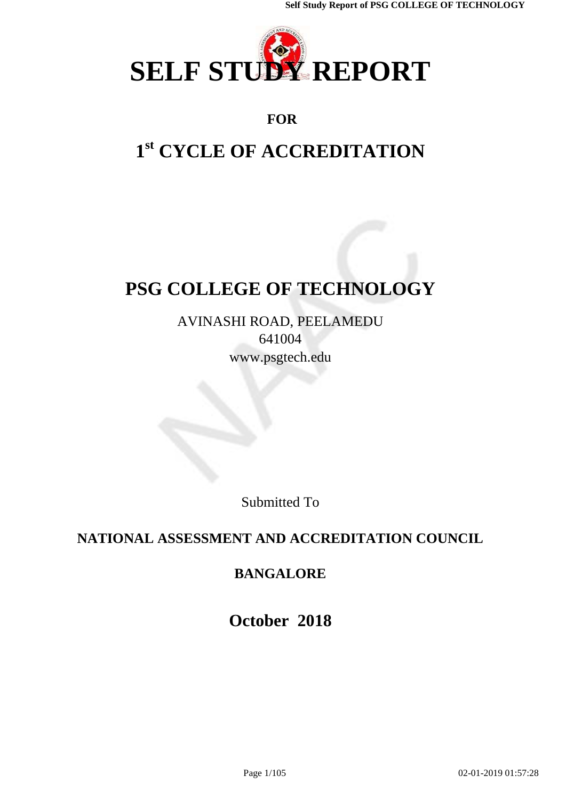

## **FOR**

# **1 st CYCLE OF ACCREDITATION**

# **PSG COLLEGE OF TECHNOLOGY**

AVINASHI ROAD, PEELAMEDU 641004 [www.psgtech.edu](http://www.psgtech.edu/)

Submitted To

# **NATIONAL ASSESSMENT AND ACCREDITATION COUNCIL**

# **BANGALORE**

**October 2018**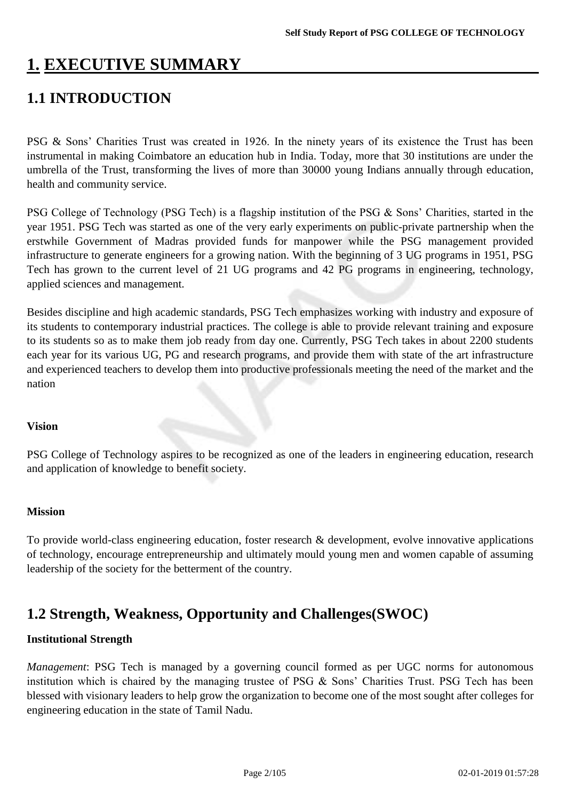# **1. EXECUTIVE SUMMARY**

# **1.1 INTRODUCTION**

PSG & Sons' Charities Trust was created in 1926. In the ninety years of its existence the Trust has been instrumental in making Coimbatore an education hub in India. Today, more that 30 institutions are under the umbrella of the Trust, transforming the lives of more than 30000 young Indians annually through education, health and community service.

PSG College of Technology (PSG Tech) is a flagship institution of the PSG & Sons' Charities, started in the year 1951. PSG Tech was started as one of the very early experiments on public-private partnership when the erstwhile Government of Madras provided funds for manpower while the PSG management provided infrastructure to generate engineers for a growing nation. With the beginning of 3 UG programs in 1951, PSG Tech has grown to the current level of 21 UG programs and 42 PG programs in engineering, technology, applied sciences and management.

Besides discipline and high academic standards, PSG Tech emphasizes working with industry and exposure of its students to contemporary industrial practices. The college is able to provide relevant training and exposure to its students so as to make them job ready from day one. Currently, PSG Tech takes in about 2200 students each year for its various UG, PG and research programs, and provide them with state of the art infrastructure and experienced teachers to develop them into productive professionals meeting the need of the market and the nation

### **Vision**

PSG College of Technology aspires to be recognized as one of the leaders in engineering education, research and application of knowledge to benefit society.

### **Mission**

To provide world-class engineering education, foster research & development, evolve innovative applications of technology, encourage entrepreneurship and ultimately mould young men and women capable of assuming leadership of the society for the betterment of the country.

## **1.2 Strength, Weakness, Opportunity and Challenges(SWOC)**

### **Institutional Strength**

*Management*: PSG Tech is managed by a governing council formed as per UGC norms for autonomous institution which is chaired by the managing trustee of PSG & Sons' Charities Trust. PSG Tech has been blessed with visionary leaders to help grow the organization to become one of the most sought after colleges for engineering education in the state of Tamil Nadu.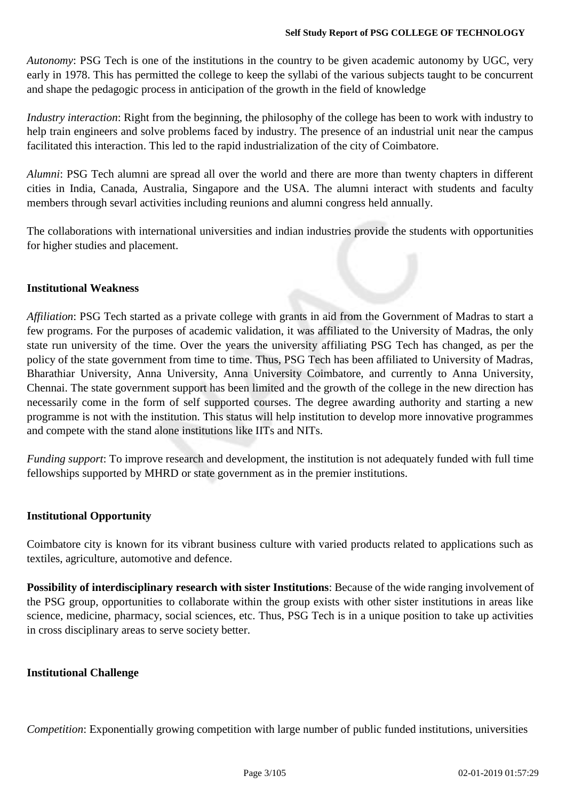*Autonomy*: PSG Tech is one of the institutions in the country to be given academic autonomy by UGC, very early in 1978. This has permitted the college to keep the syllabi of the various subjects taught to be concurrent and shape the pedagogic process in anticipation of the growth in the field of knowledge

*Industry interaction*: Right from the beginning, the philosophy of the college has been to work with industry to help train engineers and solve problems faced by industry. The presence of an industrial unit near the campus facilitated this interaction. This led to the rapid industrialization of the city of Coimbatore.

*Alumni*: PSG Tech alumni are spread all over the world and there are more than twenty chapters in different cities in India, Canada, Australia, Singapore and the USA. The alumni interact with students and faculty members through sevarl activities including reunions and alumni congress held annually.

The collaborations with international universities and indian industries provide the students with opportunities for higher studies and placement.

### **Institutional Weakness**

*Affiliation*: PSG Tech started as a private college with grants in aid from the Government of Madras to start a few programs. For the purposes of academic validation, it was affiliated to the University of Madras, the only state run university of the time. Over the years the university affiliating PSG Tech has changed, as per the policy of the state government from time to time. Thus, PSG Tech has been affiliated to University of Madras, Bharathiar University, Anna University, Anna University Coimbatore, and currently to Anna University, Chennai. The state government support has been limited and the growth of the college in the new direction has necessarily come in the form of self supported courses. The degree awarding authority and starting a new programme is not with the institution. This status will help institution to develop more innovative programmes and compete with the stand alone institutions like IITs and NITs.

*Funding support*: To improve research and development, the institution is not adequately funded with full time fellowships supported by MHRD or state government as in the premier institutions.

### **Institutional Opportunity**

Coimbatore city is known for its vibrant business culture with varied products related to applications such as textiles, agriculture, automotive and defence.

**Possibility of interdisciplinary research with sister Institutions**: Because of the wide ranging involvement of the PSG group, opportunities to collaborate within the group exists with other sister institutions in areas like science, medicine, pharmacy, social sciences, etc. Thus, PSG Tech is in a unique position to take up activities in cross disciplinary areas to serve society better.

### **Institutional Challenge**

*Competition*: Exponentially growing competition with large number of public funded institutions, universities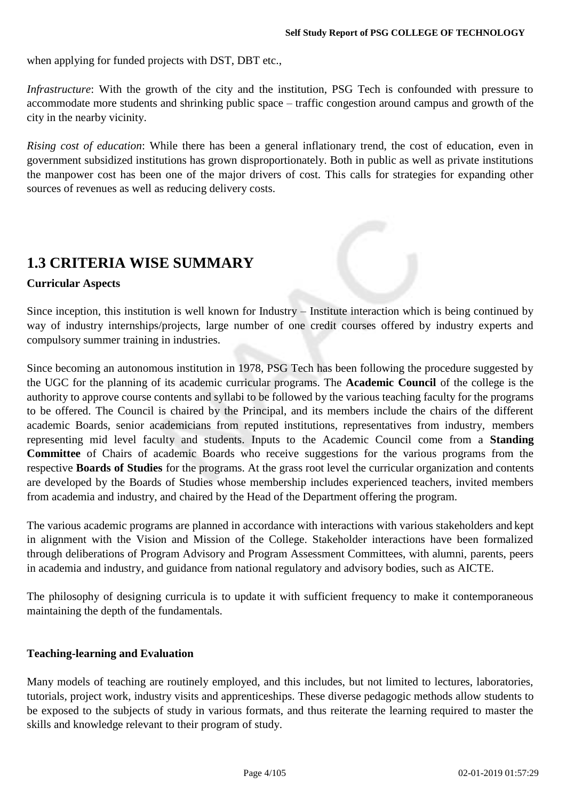when applying for funded projects with DST, DBT etc.,

*Infrastructure*: With the growth of the city and the institution, PSG Tech is confounded with pressure to accommodate more students and shrinking public space – traffic congestion around campus and growth of the city in the nearby vicinity.

*Rising cost of education*: While there has been a general inflationary trend, the cost of education, even in government subsidized institutions has grown disproportionately. Both in public as well as private institutions the manpower cost has been one of the major drivers of cost. This calls for strategies for expanding other sources of revenues as well as reducing delivery costs.

# **1.3 CRITERIA WISE SUMMARY**

### **Curricular Aspects**

Since inception, this institution is well known for Industry – Institute interaction which is being continued by way of industry internships/projects, large number of one credit courses offered by industry experts and compulsory summer training in industries.

Since becoming an autonomous institution in 1978, PSG Tech has been following the procedure suggested by the UGC for the planning of its academic curricular programs. The **Academic Council** of the college is the authority to approve course contents and syllabi to be followed by the various teaching faculty for the programs to be offered. The Council is chaired by the Principal, and its members include the chairs of the different academic Boards, senior academicians from reputed institutions, representatives from industry, members representing mid level faculty and students. Inputs to the Academic Council come from a **Standing Committee** of Chairs of academic Boards who receive suggestions for the various programs from the respective **Boards of Studies** for the programs. At the grass root level the curricular organization and contents are developed by the Boards of Studies whose membership includes experienced teachers, invited members from academia and industry, and chaired by the Head of the Department offering the program.

The various academic programs are planned in accordance with interactions with various stakeholders and kept in alignment with the Vision and Mission of the College. Stakeholder interactions have been formalized through deliberations of Program Advisory and Program Assessment Committees, with alumni, parents, peers in academia and industry, and guidance from national regulatory and advisory bodies, such as AICTE.

The philosophy of designing curricula is to update it with sufficient frequency to make it contemporaneous maintaining the depth of the fundamentals.

### **Teaching-learning and Evaluation**

Many models of teaching are routinely employed, and this includes, but not limited to lectures, laboratories, tutorials, project work, industry visits and apprenticeships. These diverse pedagogic methods allow students to be exposed to the subjects of study in various formats, and thus reiterate the learning required to master the skills and knowledge relevant to their program of study.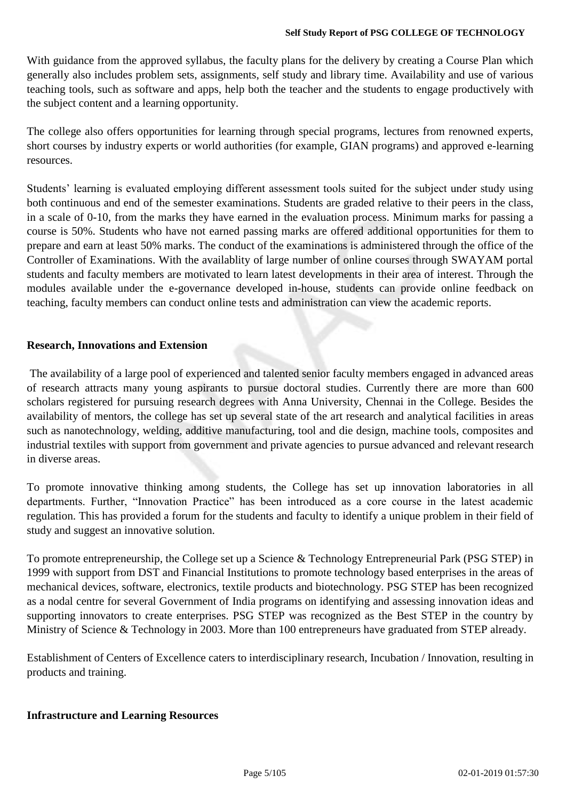With guidance from the approved syllabus, the faculty plans for the delivery by creating a Course Plan which generally also includes problem sets, assignments, self study and library time. Availability and use of various teaching tools, such as software and apps, help both the teacher and the students to engage productively with the subject content and a learning opportunity.

The college also offers opportunities for learning through special programs, lectures from renowned experts, short courses by industry experts or world authorities (for example, GIAN programs) and approved e-learning resources.

Students' learning is evaluated employing different assessment tools suited for the subject under study using both continuous and end of the semester examinations. Students are graded relative to their peers in the class, in a scale of 0-10, from the marks they have earned in the evaluation process. Minimum marks for passing a course is 50%. Students who have not earned passing marks are offered additional opportunities for them to prepare and earn at least 50% marks. The conduct of the examinations is administered through the office of the Controller of Examinations. With the availablity of large number of online courses through SWAYAM portal students and faculty members are motivated to learn latest developments in their area of interest. Through the modules available under the e-governance developed in-house, students can provide online feedback on teaching, faculty members can conduct online tests and administration can view the academic reports.

### **Research, Innovations and Extension**

The availability of a large pool of experienced and talented senior faculty members engaged in advanced areas of research attracts many young aspirants to pursue doctoral studies. Currently there are more than 600 scholars registered for pursuing research degrees with Anna University, Chennai in the College. Besides the availability of mentors, the college has set up several state of the art research and analytical facilities in areas such as nanotechnology, welding, additive manufacturing, tool and die design, machine tools, composites and industrial textiles with support from government and private agencies to pursue advanced and relevant research in diverse areas.

To promote innovative thinking among students, the College has set up innovation laboratories in all departments. Further, "Innovation Practice" has been introduced as a core course in the latest academic regulation. This has provided a forum for the students and faculty to identify a unique problem in their field of study and suggest an innovative solution.

To promote entrepreneurship, the College set up a Science & Technology Entrepreneurial Park (PSG STEP) in 1999 with support from DST and Financial Institutions to promote technology based enterprises in the areas of mechanical devices, software, electronics, textile products and biotechnology. PSG STEP has been recognized as a nodal centre for several Government of India programs on identifying and assessing innovation ideas and supporting innovators to create enterprises. PSG STEP was recognized as the Best STEP in the country by Ministry of Science & Technology in 2003. More than 100 entrepreneurs have graduated from STEP already.

Establishment of Centers of Excellence caters to interdisciplinary research, Incubation / Innovation, resulting in products and training.

### **Infrastructure and Learning Resources**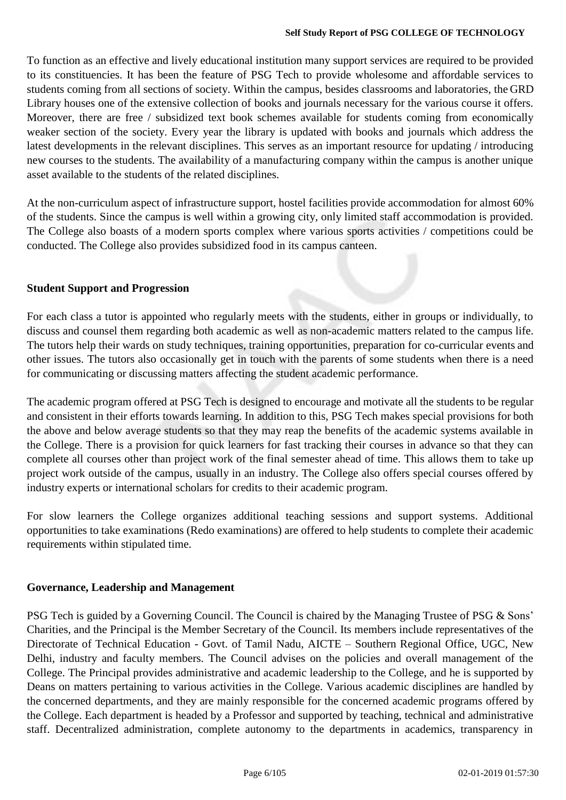To function as an effective and lively educational institution many support services are required to be provided to its constituencies. It has been the feature of PSG Tech to provide wholesome and affordable services to students coming from all sections of society. Within the campus, besides classrooms and laboratories, the GRD Library houses one of the extensive collection of books and journals necessary for the various course it offers. Moreover, there are free / subsidized text book schemes available for students coming from economically weaker section of the society. Every year the library is updated with books and journals which address the latest developments in the relevant disciplines. This serves as an important resource for updating / introducing new courses to the students. The availability of a manufacturing company within the campus is another unique asset available to the students of the related disciplines.

At the non-curriculum aspect of infrastructure support, hostel facilities provide accommodation for almost 60% of the students. Since the campus is well within a growing city, only limited staff accommodation is provided. The College also boasts of a modern sports complex where various sports activities / competitions could be conducted. The College also provides subsidized food in its campus canteen.

### **Student Support and Progression**

For each class a tutor is appointed who regularly meets with the students, either in groups or individually, to discuss and counsel them regarding both academic as well as non-academic matters related to the campus life. The tutors help their wards on study techniques, training opportunities, preparation for co-curricular events and other issues. The tutors also occasionally get in touch with the parents of some students when there is a need for communicating or discussing matters affecting the student academic performance.

The academic program offered at PSG Tech is designed to encourage and motivate all the students to be regular and consistent in their efforts towards learning. In addition to this, PSG Tech makes special provisions for both the above and below average students so that they may reap the benefits of the academic systems available in the College. There is a provision for quick learners for fast tracking their courses in advance so that they can complete all courses other than project work of the final semester ahead of time. This allows them to take up project work outside of the campus, usually in an industry. The College also offers special courses offered by industry experts or international scholars for credits to their academic program.

For slow learners the College organizes additional teaching sessions and support systems. Additional opportunities to take examinations (Redo examinations) are offered to help students to complete their academic requirements within stipulated time.

### **Governance, Leadership and Management**

PSG Tech is guided by a Governing Council. The Council is chaired by the Managing Trustee of PSG & Sons' Charities, and the Principal is the Member Secretary of the Council. Its members include representatives of the Directorate of Technical Education - Govt. of Tamil Nadu, AICTE – Southern Regional Office, UGC, New Delhi, industry and faculty members. The Council advises on the policies and overall management of the College. The Principal provides administrative and academic leadership to the College, and he is supported by Deans on matters pertaining to various activities in the College. Various academic disciplines are handled by the concerned departments, and they are mainly responsible for the concerned academic programs offered by the College. Each department is headed by a Professor and supported by teaching, technical and administrative staff. Decentralized administration, complete autonomy to the departments in academics, transparency in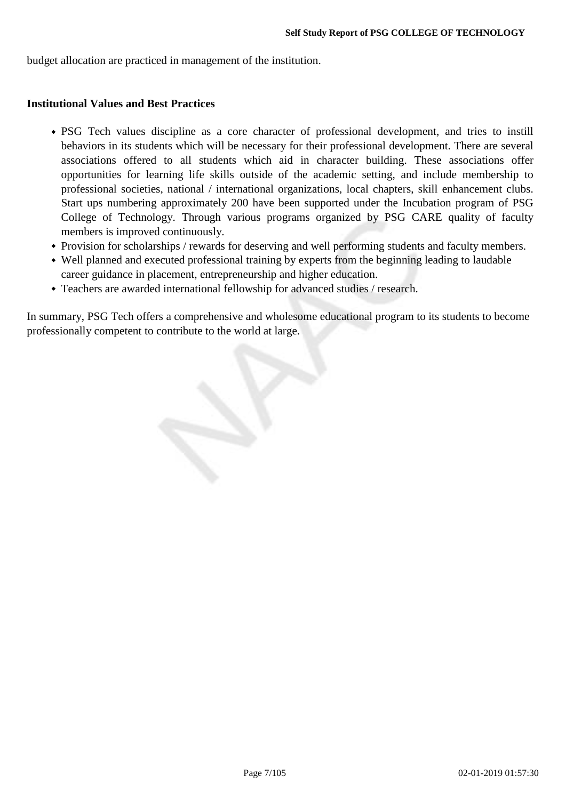budget allocation are practiced in management of the institution.

#### **Institutional Values and Best Practices**

- PSG Tech values discipline as a core character of professional development, and tries to instill behaviors in its students which will be necessary for their professional development. There are several associations offered to all students which aid in character building. These associations offer opportunities for learning life skills outside of the academic setting, and include membership to professional societies, national / international organizations, local chapters, skill enhancement clubs. Start ups numbering approximately 200 have been supported under the Incubation program of PSG College of Technology. Through various programs organized by PSG CARE quality of faculty members is improved continuously.
- Provision for scholarships / rewards for deserving and well performing students and faculty members.
- Well planned and executed professional training by experts from the beginning leading to laudable career guidance in placement, entrepreneurship and higher education.
- Teachers are awarded international fellowship for advanced studies / research.

In summary, PSG Tech offers a comprehensive and wholesome educational program to its students to become professionally competent to contribute to the world at large.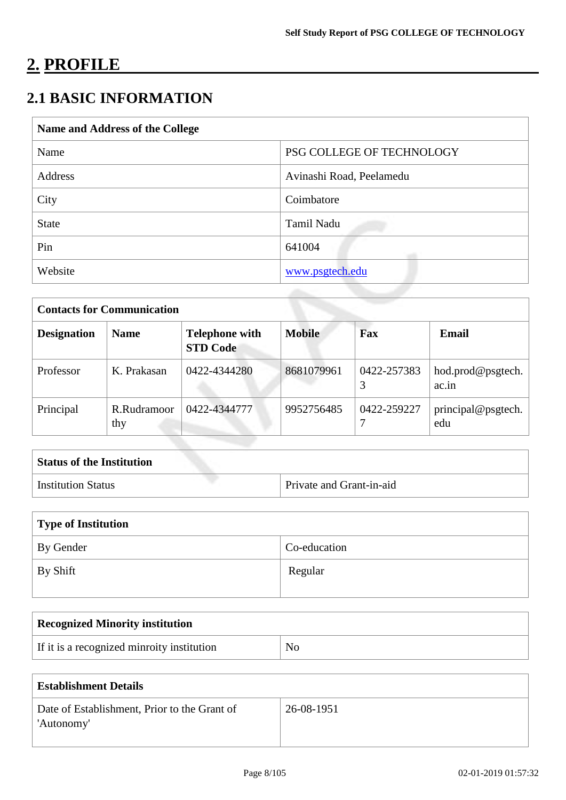# **2. PROFILE**

# **2.1 BASIC INFORMATION**

| Name and Address of the College |                           |  |  |
|---------------------------------|---------------------------|--|--|
| Name                            | PSG COLLEGE OF TECHNOLOGY |  |  |
| Address                         | Avinashi Road, Peelamedu  |  |  |
| City                            | Coimbatore                |  |  |
| <b>State</b>                    | Tamil Nadu                |  |  |
| Pin                             | 641004                    |  |  |
| Website                         | www.psgtech.edu           |  |  |

| <b>Contacts for Communication</b> |                    |                                          |               |             |                            |
|-----------------------------------|--------------------|------------------------------------------|---------------|-------------|----------------------------|
| <b>Designation</b>                | <b>Name</b>        | <b>Telephone with</b><br><b>STD Code</b> | <b>Mobile</b> | Fax         | Email                      |
| Professor                         | K. Prakasan        | 0422-4344280                             | 8681079961    | 0422-257383 | hod.prod@psgtech.<br>ac.in |
| Principal                         | R.Rudramoor<br>thy | 0422-4344777                             | 9952756485    | 0422-259227 | principal@psgtech.<br>edu  |

| <b>Status of the Institution</b> |                          |
|----------------------------------|--------------------------|
| Institution Status               | Private and Grant-in-aid |

| Type of Institution |              |  |
|---------------------|--------------|--|
| By Gender           | Co-education |  |
| By Shift            | Regular      |  |

| <b>Recognized Minority institution</b>     |                |  |
|--------------------------------------------|----------------|--|
| If it is a recognized minroity institution | N <sub>0</sub> |  |
|                                            |                |  |

| <b>Establishment Details</b>                               |            |  |  |
|------------------------------------------------------------|------------|--|--|
| Date of Establishment, Prior to the Grant of<br>'Autonomy' | 26-08-1951 |  |  |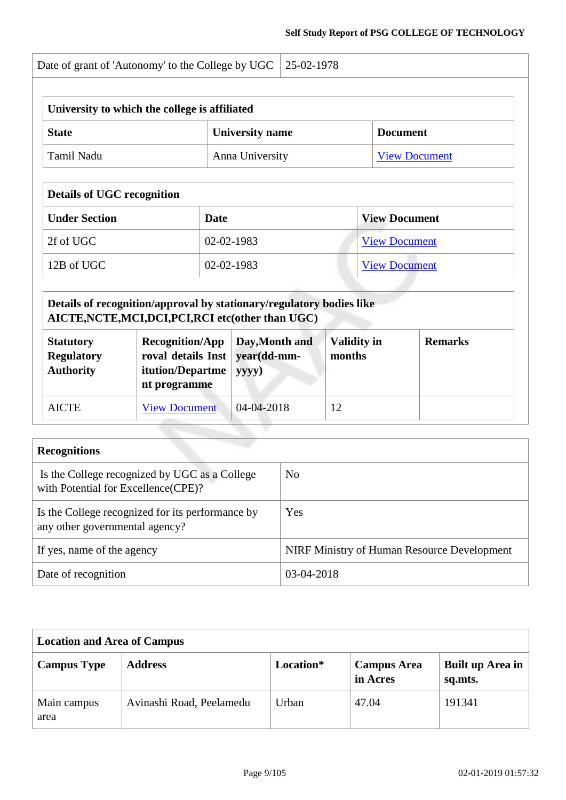| Date of grant of 'Autonomy' to the College by UGC   25-02-1978 |  |
|----------------------------------------------------------------|--|
|                                                                |  |

| University to which the college is affiliated             |                 |                      |  |  |
|-----------------------------------------------------------|-----------------|----------------------|--|--|
| <b>University name</b><br><b>State</b><br><b>Document</b> |                 |                      |  |  |
| ⊦ Tamil Nadu                                              | Anna University | <b>View Document</b> |  |  |

# **Details of UGC recognition Under Section Date Date View Document** 2f of UGC 02-02-1983 [View Document](https://assessmentonline.naac.gov.in/storage/app/hei/iiqa/ugcdocuments/101984_2163_1_1535434393.pdf)

| 12B of UGC | 02-02-1983 | $V$ iew L.<br>Document |
|------------|------------|------------------------|
|            |            |                        |

#### **Details of recognition/approval by stationary/regulatory bodies like AICTE,NCTE,MCI,DCI,PCI,RCI etc(other than UGC)**  $\mathbb{Z}$ т т

| <b>Statutory</b><br><b>Regulatory</b><br><b>Authority</b> | $Recognition/App$ Day, Month and<br>roval details Inst   year(dd-mm-<br>itution/Departme<br>nt programme | yyyy)      | <b>Validity in</b><br>months | <b>Remarks</b> |
|-----------------------------------------------------------|----------------------------------------------------------------------------------------------------------|------------|------------------------------|----------------|
| <b>AICTE</b>                                              | <b>View Document</b>                                                                                     | 04-04-2018 | 12                           |                |

| <b>Recognitions</b>                                                                   |                                             |
|---------------------------------------------------------------------------------------|---------------------------------------------|
| Is the College recognized by UGC as a College<br>with Potential for Excellence (CPE)? | N <sub>0</sub>                              |
| Is the College recognized for its performance by<br>any other governmental agency?    | Yes                                         |
| If yes, name of the agency                                                            | NIRF Ministry of Human Resource Development |
| Date of recognition                                                                   | 03-04-2018                                  |

| <b>Location and Area of Campus</b> |                          |           |                                |                             |
|------------------------------------|--------------------------|-----------|--------------------------------|-----------------------------|
| <b>Campus Type</b>                 | <b>Address</b>           | Location* | <b>Campus Area</b><br>in Acres | Built up Area in<br>sq.mts. |
| Main campus<br>area                | Avinashi Road, Peelamedu | Urban     | 47.04                          | 191341                      |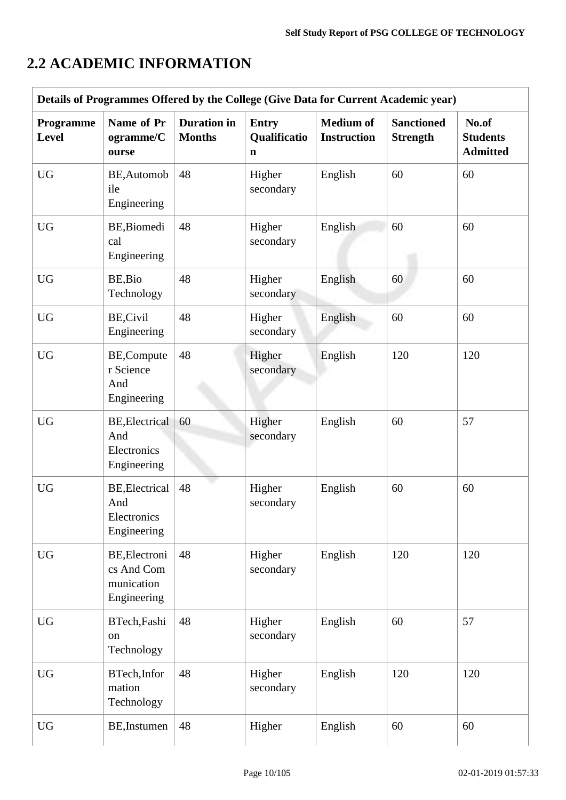# **2.2 ACADEMIC INFORMATION**

| Details of Programmes Offered by the College (Give Data for Current Academic year) |                                                            |                                     |                                             |                                        |                                      |                                             |  |  |  |  |
|------------------------------------------------------------------------------------|------------------------------------------------------------|-------------------------------------|---------------------------------------------|----------------------------------------|--------------------------------------|---------------------------------------------|--|--|--|--|
| Programme<br><b>Level</b>                                                          | Name of Pr<br>ogramme/C<br>ourse                           | <b>Duration</b> in<br><b>Months</b> | <b>Entry</b><br>Qualificatio<br>$\mathbf n$ | <b>Medium</b> of<br><b>Instruction</b> | <b>Sanctioned</b><br><b>Strength</b> | No.of<br><b>Students</b><br><b>Admitted</b> |  |  |  |  |
| <b>UG</b>                                                                          | BE, Automob<br>ile<br>Engineering                          | 48                                  | Higher<br>secondary                         | English                                | 60                                   | 60                                          |  |  |  |  |
| <b>UG</b>                                                                          | BE, Biomedi<br>cal<br>Engineering                          | 48                                  | Higher<br>secondary                         | English                                | 60                                   | 60                                          |  |  |  |  |
| <b>UG</b>                                                                          | BE, Bio<br>Technology                                      | 48                                  | Higher<br>secondary                         | English                                | 60                                   | 60                                          |  |  |  |  |
| <b>UG</b>                                                                          | <b>BE,Civil</b><br>Engineering                             | 48                                  | Higher<br>secondary                         | English                                | 60                                   | 60                                          |  |  |  |  |
| <b>UG</b>                                                                          | BE,Compute<br>r Science<br>And<br>Engineering              | 48                                  | Higher<br>secondary                         | English                                | 120                                  | 120                                         |  |  |  |  |
| <b>UG</b>                                                                          | <b>BE, Electrical</b><br>And<br>Electronics<br>Engineering | 60                                  | Higher<br>secondary                         | English                                | 60                                   | 57                                          |  |  |  |  |
| <b>UG</b>                                                                          | <b>BE, Electrical</b><br>And<br>Electronics<br>Engineering | 48                                  | Higher<br>secondary                         | English                                | 60                                   | 60                                          |  |  |  |  |
| <b>UG</b>                                                                          | BE, Electroni<br>cs And Com<br>munication<br>Engineering   | 48                                  | Higher<br>secondary                         | English                                | 120                                  | 120                                         |  |  |  |  |
| <b>UG</b>                                                                          | BTech, Fashi<br>on<br>Technology                           | 48                                  | Higher<br>secondary                         | English                                | 60                                   | 57                                          |  |  |  |  |
| <b>UG</b>                                                                          | BTech, Infor<br>mation<br>Technology                       | 48                                  | Higher<br>secondary                         | English                                | 120                                  | 120                                         |  |  |  |  |
| <b>UG</b>                                                                          | BE, Instumen                                               | 48                                  | Higher                                      | English                                | 60                                   | 60                                          |  |  |  |  |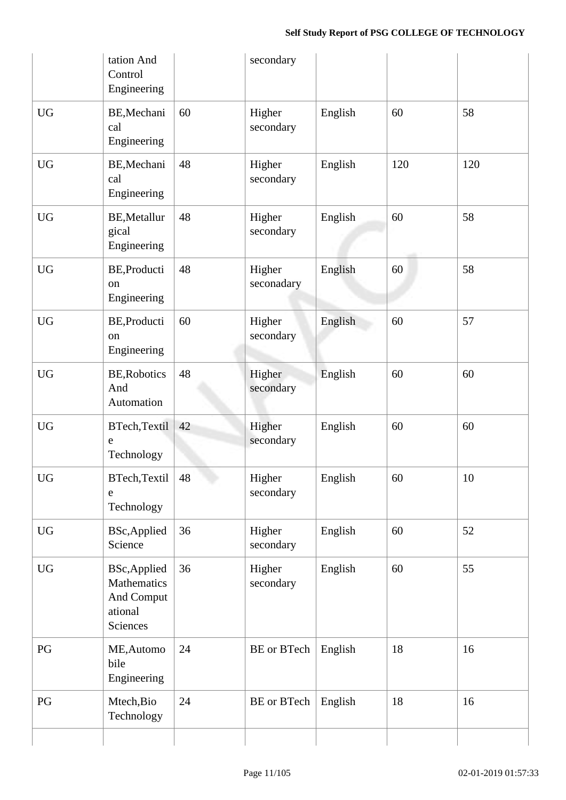|                        | tation And<br>Control<br>Engineering                                    |    | secondary                 |         |     |        |
|------------------------|-------------------------------------------------------------------------|----|---------------------------|---------|-----|--------|
| <b>UG</b>              | BE, Mechani<br>cal<br>Engineering                                       | 60 | Higher<br>secondary       | English | 60  | 58     |
| <b>UG</b>              | BE, Mechani<br>cal<br>Engineering                                       | 48 | Higher<br>secondary       | English | 120 | 120    |
| <b>UG</b>              | <b>BE, Metallur</b><br>gical<br>Engineering                             | 48 | Higher<br>secondary       | English | 60  | 58     |
| <b>UG</b>              | BE, Producti<br>on<br>Engineering                                       | 48 | Higher<br>seconadary      | English | 60  | 58     |
| <b>UG</b>              | BE, Producti<br>on<br>Engineering                                       | 60 | Higher<br>secondary       | English | 60  | 57     |
| <b>UG</b>              | <b>BE, Robotics</b><br>And<br>Automation                                | 48 | Higher<br>secondary       | English | 60  | 60     |
| <b>UG</b>              | BTech, Textil<br>e<br>Technology                                        | 42 | Higher<br>secondary       | English | 60  | 60     |
| ${\rm U}{\rm G}$       | BTech, Textil<br>e<br>Technology                                        | 48 | Higher<br>secondary       | English | 60  | $10\,$ |
| <b>UG</b>              | <b>BSc, Applied</b><br>Science                                          | 36 | Higher<br>secondary       | English | 60  | 52     |
| $\mathbf{U}\mathbf{G}$ | <b>BSc, Applied</b><br>Mathematics<br>And Comput<br>ational<br>Sciences | 36 | Higher<br>secondary       | English | 60  | 55     |
| PG                     | ME, Automo<br>bile<br>Engineering                                       | 24 | BE or BTech               | English | 18  | 16     |
| PG                     | Mtech, Bio<br>Technology                                                | 24 | <b>BE</b> or <b>BTech</b> | English | 18  | 16     |
|                        |                                                                         |    |                           |         |     |        |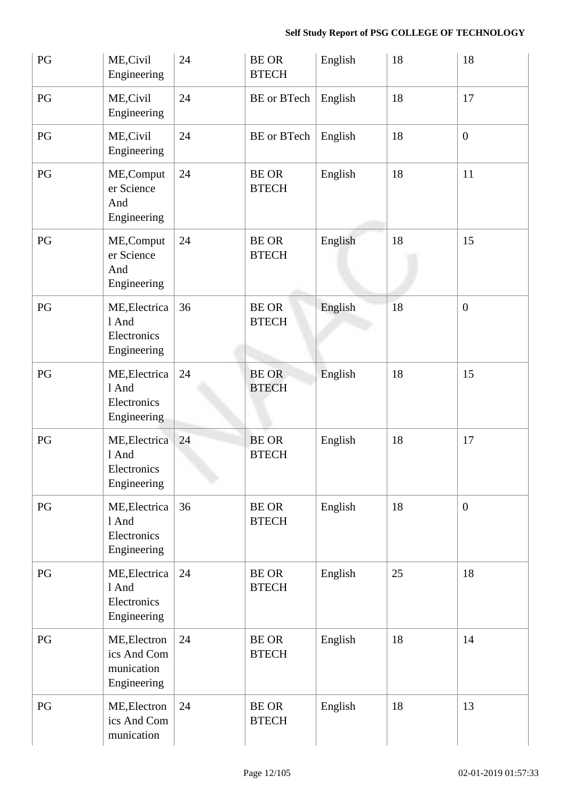| PG | ME, Civil<br>Engineering                                 | 24 | <b>BE OR</b><br><b>BTECH</b> | English | 18 | 18             |
|----|----------------------------------------------------------|----|------------------------------|---------|----|----------------|
| PG | ME, Civil<br>Engineering                                 | 24 | <b>BE</b> or <b>BTech</b>    | English | 18 | 17             |
| PG | ME, Civil<br>Engineering                                 | 24 | <b>BE</b> or <b>BTech</b>    | English | 18 | $\overline{0}$ |
| PG | ME, Comput<br>er Science<br>And<br>Engineering           | 24 | <b>BE OR</b><br><b>BTECH</b> | English | 18 | 11             |
| PG | ME, Comput<br>er Science<br>And<br>Engineering           | 24 | <b>BE OR</b><br><b>BTECH</b> | English | 18 | 15             |
| PG | ME, Electrica<br>1 And<br>Electronics<br>Engineering     | 36 | <b>BE OR</b><br><b>BTECH</b> | English | 18 | $\overline{0}$ |
| PG | ME, Electrica<br>1 And<br>Electronics<br>Engineering     | 24 | <b>BE OR</b><br><b>BTECH</b> | English | 18 | 15             |
| PG | ME, Electrica<br>1 And<br>Electronics<br>Engineering     | 24 | <b>BE OR</b><br><b>BTECH</b> | English | 18 | 17             |
| PG | ME, Electrica<br>1 And<br>Electronics<br>Engineering     | 36 | <b>BE OR</b><br><b>BTECH</b> | English | 18 | $\mathbf{0}$   |
| PG | ME, Electrica<br>1 And<br>Electronics<br>Engineering     | 24 | <b>BE OR</b><br><b>BTECH</b> | English | 25 | 18             |
| PG | ME, Electron<br>ics And Com<br>munication<br>Engineering | 24 | <b>BE OR</b><br><b>BTECH</b> | English | 18 | 14             |
| PG | ME, Electron<br>ics And Com<br>munication                | 24 | <b>BE OR</b><br><b>BTECH</b> | English | 18 | 13             |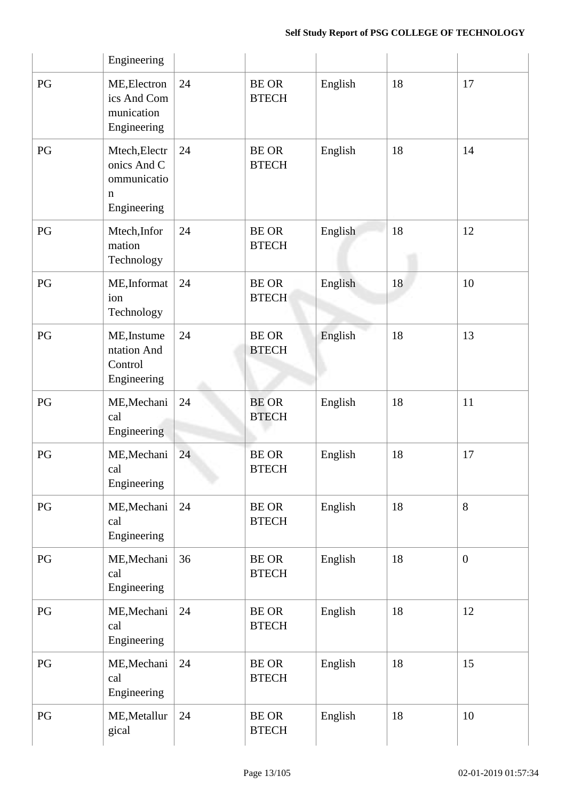|    | Engineering                                                               |    |                              |         |    |                  |
|----|---------------------------------------------------------------------------|----|------------------------------|---------|----|------------------|
| PG | ME, Electron<br>ics And Com<br>munication<br>Engineering                  | 24 | <b>BE OR</b><br><b>BTECH</b> | English | 18 | 17               |
| PG | Mtech, Electr<br>onics And C<br>ommunicatio<br>$\mathbf n$<br>Engineering | 24 | <b>BE OR</b><br><b>BTECH</b> | English | 18 | 14               |
| PG | Mtech, Infor<br>mation<br>Technology                                      | 24 | <b>BE OR</b><br><b>BTECH</b> | English | 18 | 12               |
| PG | ME, Informat<br>ion<br>Technology                                         | 24 | <b>BE OR</b><br><b>BTECH</b> | English | 18 | 10               |
| PG | ME, Instume<br>ntation And<br>Control<br>Engineering                      | 24 | <b>BE OR</b><br><b>BTECH</b> | English | 18 | 13               |
| PG | ME, Mechani<br>cal<br>Engineering                                         | 24 | <b>BE OR</b><br><b>BTECH</b> | English | 18 | 11               |
| PG | ME, Mechani<br>cal<br>Engineering                                         | 24 | <b>BE OR</b><br><b>BTECH</b> | English | 18 | 17               |
| PG | ME, Mechani<br>cal<br>Engineering                                         | 24 | <b>BE OR</b><br><b>BTECH</b> | English | 18 | 8                |
| PG | ME, Mechani<br>cal<br>Engineering                                         | 36 | <b>BE OR</b><br><b>BTECH</b> | English | 18 | $\boldsymbol{0}$ |
| PG | ME, Mechani<br>cal<br>Engineering                                         | 24 | <b>BE OR</b><br><b>BTECH</b> | English | 18 | 12               |
| PG | ME, Mechani<br>cal<br>Engineering                                         | 24 | <b>BE OR</b><br><b>BTECH</b> | English | 18 | 15               |
| PG | ME, Metallur<br>gical                                                     | 24 | <b>BE OR</b><br><b>BTECH</b> | English | 18 | 10               |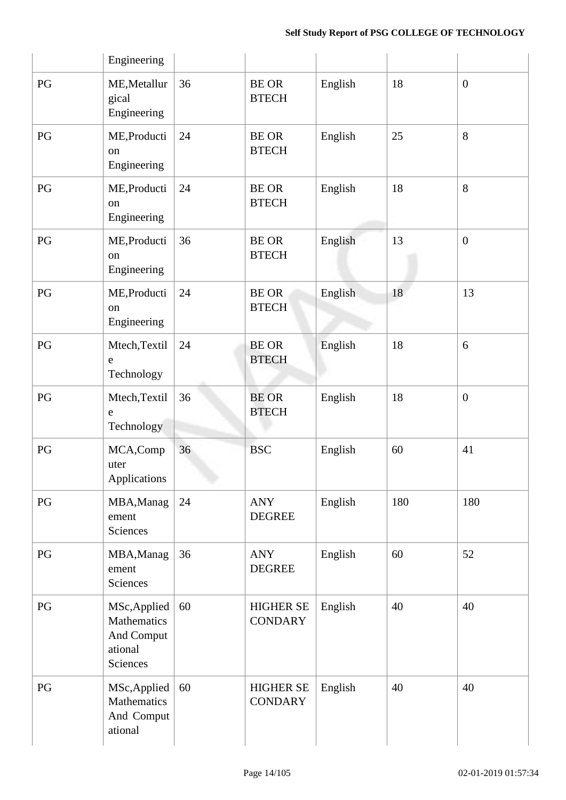|                        | Engineering                                                             |    |                                    |         |     |                  |
|------------------------|-------------------------------------------------------------------------|----|------------------------------------|---------|-----|------------------|
| PG                     | ME, Metallur<br>gical<br>Engineering                                    | 36 | <b>BE OR</b><br><b>BTECH</b>       | English | 18  | $\boldsymbol{0}$ |
| PG                     | ME, Producti<br><sub>on</sub><br>Engineering                            | 24 | <b>BE OR</b><br><b>BTECH</b>       | English | 25  | 8                |
| PG                     | ME, Producti<br>on<br>Engineering                                       | 24 | <b>BE OR</b><br><b>BTECH</b>       | English | 18  | 8                |
| PG                     | ME, Producti<br>on<br>Engineering                                       | 36 | <b>BE OR</b><br><b>BTECH</b>       | English | 13  | $\mathbf{0}$     |
| PG                     | ME, Producti<br>on<br>Engineering                                       | 24 | <b>BE OR</b><br><b>BTECH</b>       | English | 18  | 13               |
| PG                     | Mtech, Textil<br>${\bf e}$<br>Technology                                | 24 | <b>BE OR</b><br><b>BTECH</b>       | English | 18  | 6                |
| PG                     | Mtech, Textil<br>e<br>Technology                                        | 36 | <b>BE OR</b><br><b>BTECH</b>       | English | 18  | $\boldsymbol{0}$ |
| PG                     | MCA,Comp<br>uter<br>Applications                                        | 36 | <b>BSC</b>                         | English | 60  | 41               |
| $\mathbf{P}\mathbf{G}$ | MBA, Manag<br>ement<br>Sciences                                         | 24 | ANY<br><b>DEGREE</b>               | English | 180 | 180              |
| PG                     | MBA, Manag<br>ement<br>Sciences                                         | 36 | <b>ANY</b><br><b>DEGREE</b>        | English | 60  | 52               |
| PG                     | MSc, Applied<br>Mathematics<br>And Comput<br>ational<br><b>Sciences</b> | 60 | <b>HIGHER SE</b><br><b>CONDARY</b> | English | 40  | 40               |
| PG                     | MSc, Applied<br>Mathematics<br>And Comput<br>ational                    | 60 | <b>HIGHER SE</b><br><b>CONDARY</b> | English | 40  | 40               |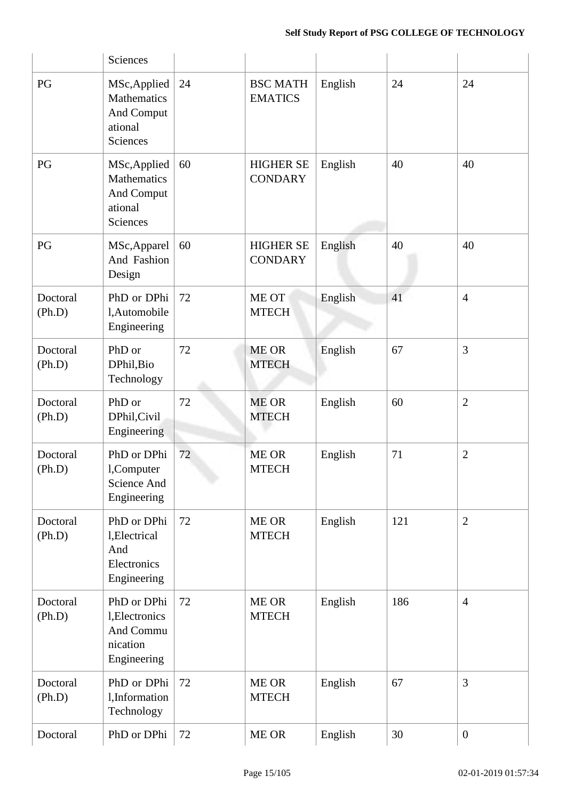|                    | Sciences                                                              |    |                                    |         |     |                |
|--------------------|-----------------------------------------------------------------------|----|------------------------------------|---------|-----|----------------|
| PG                 | MSc, Applied<br>Mathematics<br>And Comput<br>ational<br>Sciences      | 24 | <b>BSC MATH</b><br><b>EMATICS</b>  | English | 24  | 24             |
| PG                 | MSc, Applied<br>Mathematics<br>And Comput<br>ational<br>Sciences      | 60 | <b>HIGHER SE</b><br><b>CONDARY</b> | English | 40  | 40             |
| PG                 | MSc, Apparel<br>And Fashion<br>Design                                 | 60 | <b>HIGHER SE</b><br><b>CONDARY</b> | English | 40  | 40             |
| Doctoral<br>(Ph.D) | PhD or DPhi<br>l,Automobile<br>Engineering                            | 72 | ME OT<br><b>MTECH</b>              | English | 41  | $\overline{4}$ |
| Doctoral<br>(Ph.D) | PhD or<br>DPhil, Bio<br>Technology                                    | 72 | <b>ME OR</b><br><b>MTECH</b>       | English | 67  | 3              |
| Doctoral<br>(Ph.D) | PhD or<br>DPhil, Civil<br>Engineering                                 | 72 | <b>ME OR</b><br><b>MTECH</b>       | English | 60  | $\overline{2}$ |
| Doctoral<br>(Ph.D) | PhD or DPhi<br>l,Computer<br>Science And<br>Engineering               | 72 | <b>ME OR</b><br><b>MTECH</b>       | English | 71  | $\overline{2}$ |
| Doctoral<br>(Ph.D) | PhD or DPhi<br>l, Electrical<br>And<br>Electronics<br>Engineering     | 72 | <b>ME OR</b><br><b>MTECH</b>       | English | 121 | $\mathbf{2}$   |
| Doctoral<br>(Ph.D) | PhD or DPhi<br>1, Electronics<br>And Commu<br>nication<br>Engineering | 72 | ME OR<br><b>MTECH</b>              | English | 186 | $\overline{4}$ |
| Doctoral<br>(Ph.D) | PhD or DPhi<br>l, Information<br>Technology                           | 72 | ME OR<br><b>MTECH</b>              | English | 67  | 3              |
| Doctoral           | PhD or DPhi                                                           | 72 | ME OR                              | English | 30  | $\mathbf{0}$   |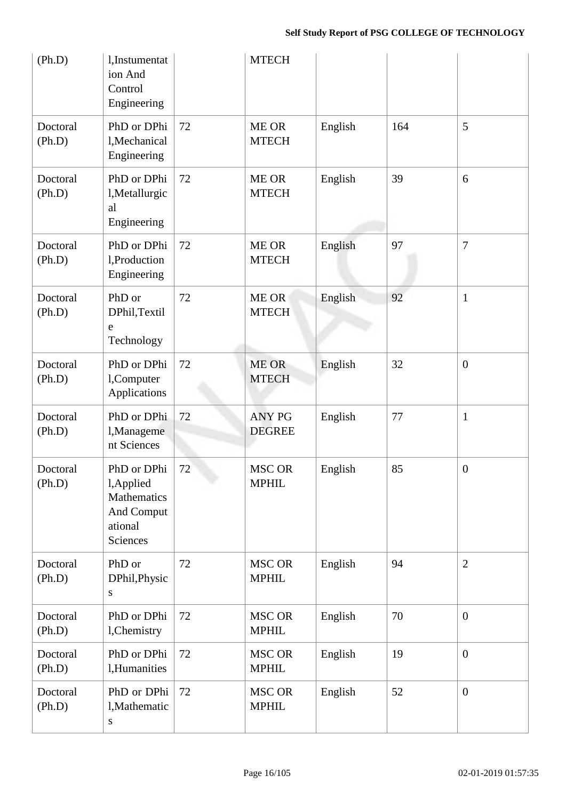| (Ph.D)             | l,Instumentat<br>ion And<br>Control<br>Engineering                            |    | <b>MTECH</b>                   |         |     |                  |
|--------------------|-------------------------------------------------------------------------------|----|--------------------------------|---------|-----|------------------|
| Doctoral<br>(Ph.D) | PhD or DPhi<br>l, Mechanical<br>Engineering                                   | 72 | ME OR<br><b>MTECH</b>          | English | 164 | 5                |
| Doctoral<br>(Ph.D) | PhD or DPhi<br>l, Metallurgic<br>al<br>Engineering                            | 72 | ME OR<br><b>MTECH</b>          | English | 39  | 6                |
| Doctoral<br>(Ph.D) | PhD or DPhi<br>1, Production<br>Engineering                                   | 72 | ME OR<br><b>MTECH</b>          | English | 97  | 7                |
| Doctoral<br>(Ph.D) | PhD or<br>DPhil, Textil<br>$\mathbf e$<br>Technology                          | 72 | ME OR<br><b>MTECH</b>          | English | 92  | $\mathbf{1}$     |
| Doctoral<br>(Ph.D) | PhD or DPhi<br>l,Computer<br>Applications                                     | 72 | <b>ME OR</b><br><b>MTECH</b>   | English | 32  | $\boldsymbol{0}$ |
| Doctoral<br>(Ph.D) | PhD or DPhi<br>l, Manageme<br>nt Sciences                                     | 72 | <b>ANY PG</b><br><b>DEGREE</b> | English | 77  | $\mathbf{1}$     |
| Doctoral<br>(Ph.D) | PhD or DPhi<br>l, Applied<br>Mathematics<br>And Comput<br>ational<br>Sciences | 72 | <b>MSC OR</b><br><b>MPHIL</b>  | English | 85  | $\overline{0}$   |
| Doctoral<br>(Ph.D) | PhD or<br>DPhil, Physic<br>${\bf S}$                                          | 72 | <b>MSC OR</b><br><b>MPHIL</b>  | English | 94  | $\mathbf{2}$     |
| Doctoral<br>(Ph.D) | PhD or DPhi<br>l, Chemistry                                                   | 72 | <b>MSC OR</b><br><b>MPHIL</b>  | English | 70  | $\mathbf{0}$     |
| Doctoral<br>(Ph.D) | PhD or DPhi<br>l,Humanities                                                   | 72 | <b>MSC OR</b><br><b>MPHIL</b>  | English | 19  | $\mathbf{0}$     |
| Doctoral<br>(Ph.D) | PhD or DPhi<br>l, Mathematic<br>${\bf S}$                                     | 72 | MSC OR<br><b>MPHIL</b>         | English | 52  | $\mathbf{0}$     |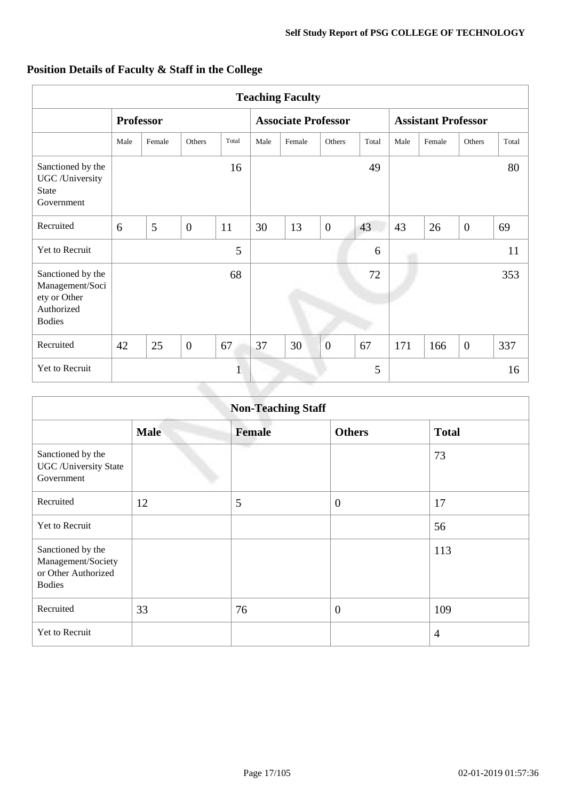| <b>Teaching Faculty</b>                                                             |      |                  |                |       |                            |        |                |                            |      |        |                |       |
|-------------------------------------------------------------------------------------|------|------------------|----------------|-------|----------------------------|--------|----------------|----------------------------|------|--------|----------------|-------|
|                                                                                     |      | <b>Professor</b> |                |       | <b>Associate Professor</b> |        |                | <b>Assistant Professor</b> |      |        |                |       |
|                                                                                     | Male | Female           | Others         | Total | Male                       | Female | Others         | Total                      | Male | Female | Others         | Total |
| Sanctioned by the<br>UGC /University<br><b>State</b><br>Government                  |      |                  |                | 16    |                            |        |                | 49                         |      |        |                | 80    |
| Recruited                                                                           | 6    | 5                | $\overline{0}$ | 11    | 30                         | 13     | $\overline{0}$ | 43                         | 43   | 26     | $\overline{0}$ | 69    |
| Yet to Recruit                                                                      |      |                  |                | 5     |                            |        |                | 6                          |      |        |                | 11    |
| Sanctioned by the<br>Management/Soci<br>ety or Other<br>Authorized<br><b>Bodies</b> |      |                  |                | 68    |                            |        |                | 72                         |      |        |                | 353   |
| Recruited                                                                           | 42   | 25               | $\overline{0}$ | 67    | 37                         | 30     | $\overline{0}$ | 67                         | 171  | 166    | $\mathbf{0}$   | 337   |
| Yet to Recruit                                                                      |      |                  |                | 1     |                            |        |                | 5                          |      |        |                | 16    |

|  |  |  |  | Position Details of Faculty & Staff in the College |
|--|--|--|--|----------------------------------------------------|
|--|--|--|--|----------------------------------------------------|

| <b>Non-Teaching Staff</b>                                                       |             |               |                |                |  |  |  |  |  |
|---------------------------------------------------------------------------------|-------------|---------------|----------------|----------------|--|--|--|--|--|
|                                                                                 | <b>Male</b> | <b>Female</b> | <b>Others</b>  | <b>Total</b>   |  |  |  |  |  |
| Sanctioned by the<br><b>UGC</b> / University State<br>Government                |             |               |                | 73             |  |  |  |  |  |
| Recruited                                                                       | 12          | 5             | $\overline{0}$ | 17             |  |  |  |  |  |
| Yet to Recruit                                                                  |             |               |                | 56             |  |  |  |  |  |
| Sanctioned by the<br>Management/Society<br>or Other Authorized<br><b>Bodies</b> |             |               |                | 113            |  |  |  |  |  |
| Recruited                                                                       | 33          | 76            | $\overline{0}$ | 109            |  |  |  |  |  |
| Yet to Recruit                                                                  |             |               |                | $\overline{4}$ |  |  |  |  |  |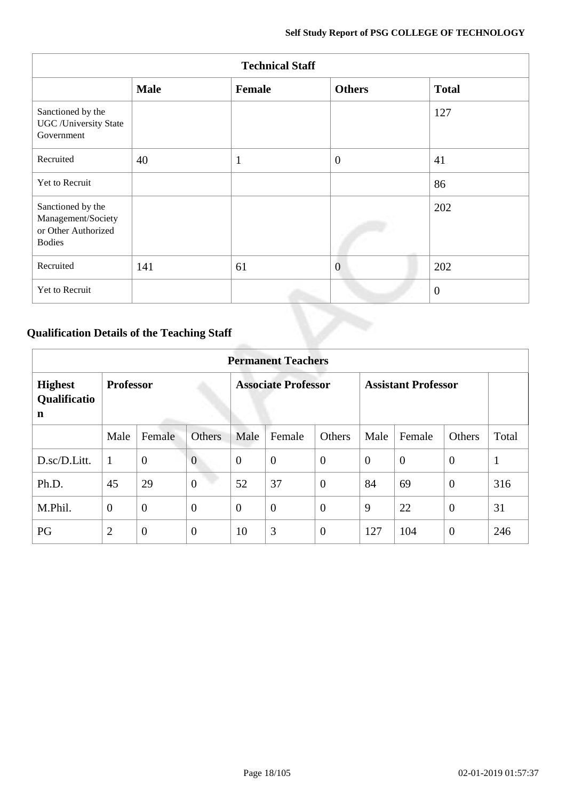| <b>Technical Staff</b>                                                          |             |        |                |              |  |  |  |  |  |
|---------------------------------------------------------------------------------|-------------|--------|----------------|--------------|--|--|--|--|--|
|                                                                                 | <b>Male</b> | Female | <b>Others</b>  | <b>Total</b> |  |  |  |  |  |
| Sanctioned by the<br><b>UGC</b> / University State<br>Government                |             |        |                | 127          |  |  |  |  |  |
| Recruited                                                                       | 40          |        | $\overline{0}$ | 41           |  |  |  |  |  |
| Yet to Recruit                                                                  |             |        |                | 86           |  |  |  |  |  |
| Sanctioned by the<br>Management/Society<br>or Other Authorized<br><b>Bodies</b> |             |        |                | 202          |  |  |  |  |  |
| Recruited                                                                       | 141         | 61     | $\overline{0}$ | 202          |  |  |  |  |  |
| Yet to Recruit                                                                  |             |        |                | $\theta$     |  |  |  |  |  |

# **Qualification Details of the Teaching Staff**

| <b>Permanent Teachers</b>                     |                  |                  |                |                |                            |                |                |                            |                |              |  |
|-----------------------------------------------|------------------|------------------|----------------|----------------|----------------------------|----------------|----------------|----------------------------|----------------|--------------|--|
| <b>Highest</b><br>Qualificatio<br>$\mathbf n$ | <b>Professor</b> |                  |                |                | <b>Associate Professor</b> |                |                | <b>Assistant Professor</b> |                |              |  |
|                                               | Male             | Female           | <b>Others</b>  | Male           | Female                     | Others         | Male           | Female                     | Others         | Total        |  |
| D.sc/D.Litt.                                  | $\mathbf{1}$     | $\boldsymbol{0}$ | $\overline{0}$ | $\theta$       | $\boldsymbol{0}$           | $\overline{0}$ | $\overline{0}$ | $\theta$                   | $\overline{0}$ | $\mathbf{1}$ |  |
| Ph.D.                                         | 45               | 29               | $\overline{0}$ | 52             | 37                         | $\overline{0}$ | 84             | 69                         | $\theta$       | 316          |  |
| M.Phil.                                       | $\theta$         | $\boldsymbol{0}$ | $\overline{0}$ | $\overline{0}$ | $\overline{0}$             | $\overline{0}$ | 9              | 22                         | $\overline{0}$ | 31           |  |
| PG                                            | $\overline{2}$   | $\boldsymbol{0}$ | $\overline{0}$ | 10             | 3                          | $\overline{0}$ | 127            | 104                        | $\overline{0}$ | 246          |  |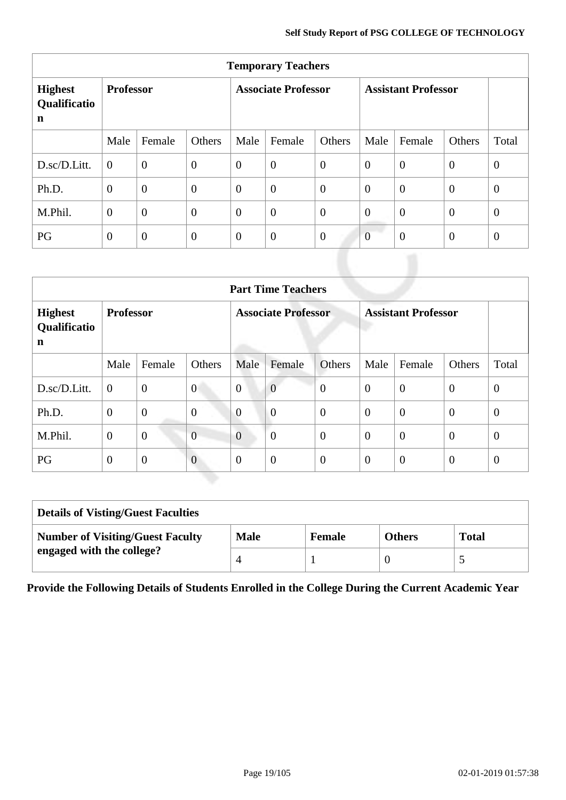| <b>Temporary Teachers</b>           |                  |                |                            |                |                  |                            |                |                |                |              |
|-------------------------------------|------------------|----------------|----------------------------|----------------|------------------|----------------------------|----------------|----------------|----------------|--------------|
| <b>Highest</b><br>Qualificatio<br>n | <b>Professor</b> |                | <b>Associate Professor</b> |                |                  | <b>Assistant Professor</b> |                |                |                |              |
|                                     | Male             | Female         | Others                     | Male           | Female           | Others                     | Male           | Female         | Others         | Total        |
| D.sc/D.Litt.                        | $\overline{0}$   | $\theta$       | $\overline{0}$             | $\overline{0}$ | $\boldsymbol{0}$ | $\overline{0}$             | $\overline{0}$ | $\overline{0}$ | $\overline{0}$ | $\mathbf{0}$ |
| Ph.D.                               | $\overline{0}$   | $\overline{0}$ | $\overline{0}$             | $\overline{0}$ | $\boldsymbol{0}$ | $\overline{0}$             | $\overline{0}$ | $\overline{0}$ | $\overline{0}$ | $\mathbf{0}$ |
| M.Phil.                             | $\overline{0}$   | $\overline{0}$ | $\overline{0}$             | $\overline{0}$ | $\overline{0}$   | $\overline{0}$             | $\overline{0}$ | $\overline{0}$ | $\overline{0}$ | $\theta$     |
| PG                                  | $\overline{0}$   | $\overline{0}$ | $\overline{0}$             | $\overline{0}$ | $\boldsymbol{0}$ | $\overline{0}$             | $\overline{0}$ | $\overline{0}$ | $\overline{0}$ | $\mathbf{0}$ |

| <b>Part Time Teachers</b>           |                  |                |                            |                |                            |                |                |                |                |                |
|-------------------------------------|------------------|----------------|----------------------------|----------------|----------------------------|----------------|----------------|----------------|----------------|----------------|
| <b>Highest</b><br>Qualificatio<br>n | <b>Professor</b> |                | <b>Associate Professor</b> |                | <b>Assistant Professor</b> |                |                |                |                |                |
|                                     | Male             | Female         | Others                     | Male           | Female                     | Others         | Male           | Female         | Others         | Total          |
| D.sc/D.Litt.                        | $\overline{0}$   | $\overline{0}$ | $\theta$                   | $\overline{0}$ | $\mathbf{0}$               | $\overline{0}$ | $\overline{0}$ | $\overline{0}$ | $\theta$       | $\overline{0}$ |
| Ph.D.                               | $\theta$         | $\mathbf{0}$   | $\theta$                   | $\overline{0}$ | $\boldsymbol{0}$           | $\theta$       | $\overline{0}$ | $\overline{0}$ | $\theta$       | $\overline{0}$ |
| M.Phil.                             | $\theta$         | $\mathbf{0}$   | $\overline{0}$             | $\overline{0}$ | $\overline{0}$             | $\theta$       | $\overline{0}$ | $\overline{0}$ | $\theta$       | $\overline{0}$ |
| PG                                  | $\overline{0}$   | $\theta$       | $\boldsymbol{0}$           | $\theta$       | $\boldsymbol{0}$           | $\overline{0}$ | $\overline{0}$ | $\overline{0}$ | $\overline{0}$ | $\overline{0}$ |

| <b>Details of Visting/Guest Faculties</b> |             |               |               |              |  |  |
|-------------------------------------------|-------------|---------------|---------------|--------------|--|--|
| <b>Number of Visiting/Guest Faculty</b>   | <b>Male</b> | <b>Female</b> | <b>Others</b> | <b>Total</b> |  |  |
| engaged with the college?                 |             |               |               | ັ            |  |  |

**Provide the Following Details of Students Enrolled in the College During the Current Academic Year**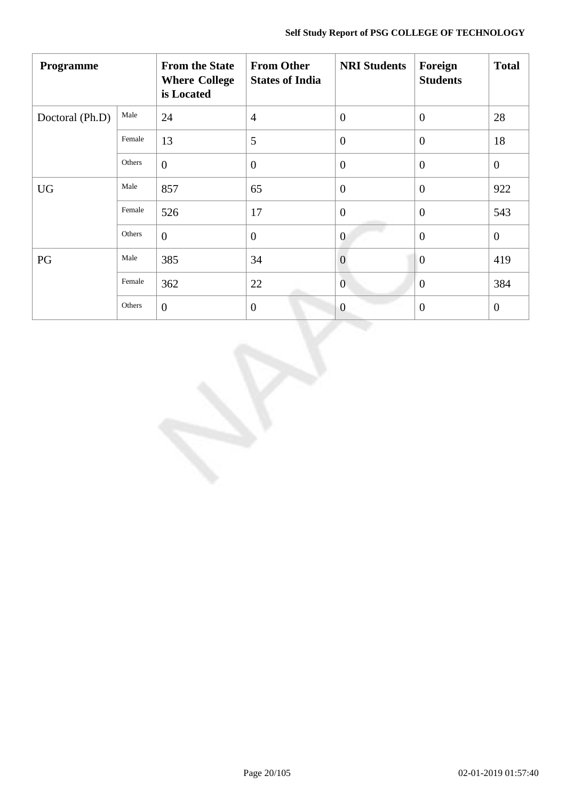| Programme       |        | <b>From the State</b><br><b>Where College</b><br>is Located | <b>From Other</b><br><b>States of India</b> | <b>NRI Students</b> | Foreign<br><b>Students</b> | <b>Total</b>   |
|-----------------|--------|-------------------------------------------------------------|---------------------------------------------|---------------------|----------------------------|----------------|
| Doctoral (Ph.D) | Male   | 24                                                          | $\overline{4}$                              | $\boldsymbol{0}$    | $\overline{0}$             | 28             |
|                 | Female | 13                                                          | 5                                           | $\overline{0}$      | $\boldsymbol{0}$           | 18             |
|                 | Others | $\overline{0}$                                              | $\overline{0}$                              | $\overline{0}$      | $\theta$                   | $\mathbf{0}$   |
| <b>UG</b>       | Male   | 857                                                         | 65                                          | $\overline{0}$      | $\overline{0}$             | 922            |
|                 | Female | 526                                                         | 17                                          | $\boldsymbol{0}$    | $\overline{0}$             | 543            |
|                 | Others | $\overline{0}$                                              | $\overline{0}$                              | $\overline{0}$      | $\overline{0}$             | $\mathbf{0}$   |
| PG              | Male   | 385                                                         | 34                                          | $\overline{0}$      | $\overline{0}$             | 419            |
|                 | Female | 362                                                         | 22                                          | $\overline{0}$      | $\mathbf{0}$               | 384            |
|                 | Others | $\overline{0}$                                              | $\theta$                                    | $\overline{0}$      | $\overline{0}$             | $\overline{0}$ |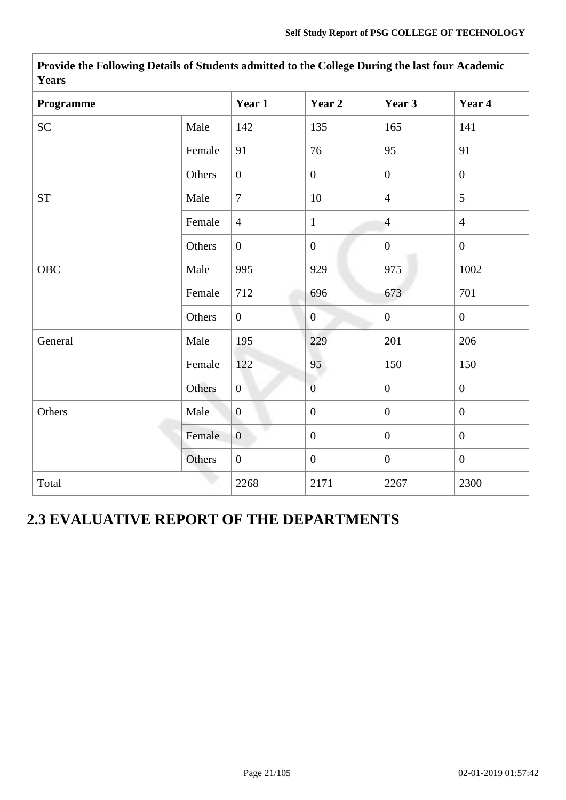| Programme          |        | Year 1         | Year 2           | Year 3           | Year 4           |
|--------------------|--------|----------------|------------------|------------------|------------------|
| <b>SC</b>          | Male   | 142            | 135              | 165              | 141              |
|                    | Female | 91             | 76               | 95               | 91               |
|                    | Others | $\overline{0}$ | $\overline{0}$   | $\overline{0}$   | $\overline{0}$   |
| ${\cal S}{\cal T}$ | Male   | $\overline{7}$ | 10               | $\overline{4}$   | 5                |
|                    | Female | $\overline{4}$ | $\mathbf{1}$     | $\overline{4}$   | $\overline{4}$   |
|                    | Others | $\overline{0}$ | $\boldsymbol{0}$ | $\overline{0}$   | $\mathbf{0}$     |
| OBC                | Male   | 995            | 929              | 975              | 1002             |
|                    | Female | 712            | 696              | 673              | 701              |
|                    | Others | $\overline{0}$ | $\overline{0}$   | $\overline{0}$   | $\mathbf{0}$     |
| General            | Male   | 195            | 229              | 201              | 206              |
|                    | Female | 122            | 95               | 150              | 150              |
|                    | Others | $\overline{0}$ | $\overline{0}$   | $\overline{0}$   | $\mathbf{0}$     |
| Others             | Male   | $\mathbf{0}$   | $\overline{0}$   | $\overline{0}$   | $\mathbf{0}$     |
|                    | Female | $\overline{0}$ | $\overline{0}$   | $\boldsymbol{0}$ | $\boldsymbol{0}$ |
|                    | Others | $\overline{0}$ | $\overline{0}$   | $\overline{0}$   | $\boldsymbol{0}$ |
| Total              |        | 2268           | 2171             | 2267             | 2300             |

**Provide the Following Details of Students admitted to the College During the last four Academic Years**

# **2.3 EVALUATIVE REPORT OF THE DEPARTMENTS**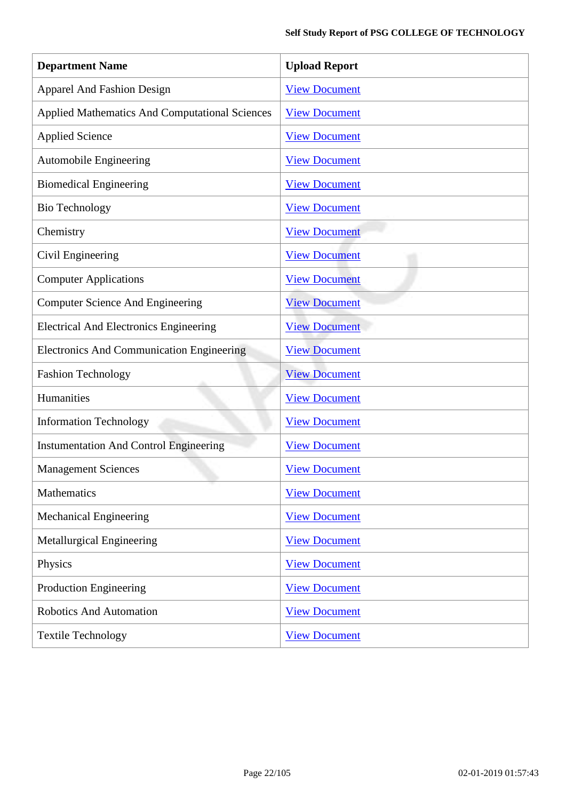| <b>Department Name</b>                                | <b>Upload Report</b> |
|-------------------------------------------------------|----------------------|
| <b>Apparel And Fashion Design</b>                     | <b>View Document</b> |
| <b>Applied Mathematics And Computational Sciences</b> | <b>View Document</b> |
| <b>Applied Science</b>                                | <b>View Document</b> |
| <b>Automobile Engineering</b>                         | <b>View Document</b> |
| <b>Biomedical Engineering</b>                         | <b>View Document</b> |
| <b>Bio Technology</b>                                 | <b>View Document</b> |
| Chemistry                                             | <b>View Document</b> |
| Civil Engineering                                     | <b>View Document</b> |
| <b>Computer Applications</b>                          | <b>View Document</b> |
| <b>Computer Science And Engineering</b>               | <b>View Document</b> |
| <b>Electrical And Electronics Engineering</b>         | <b>View Document</b> |
| <b>Electronics And Communication Engineering</b>      | <b>View Document</b> |
| <b>Fashion Technology</b>                             | <b>View Document</b> |
| Humanities                                            | <b>View Document</b> |
| <b>Information Technology</b>                         | <b>View Document</b> |
| <b>Instumentation And Control Engineering</b>         | <b>View Document</b> |
| <b>Management Sciences</b>                            | <b>View Document</b> |
| <b>Mathematics</b>                                    | <b>View Document</b> |
| <b>Mechanical Engineering</b>                         | <b>View Document</b> |
| Metallurgical Engineering                             | <b>View Document</b> |
| Physics                                               | <b>View Document</b> |
| <b>Production Engineering</b>                         | <b>View Document</b> |
| <b>Robotics And Automation</b>                        | <b>View Document</b> |
| <b>Textile Technology</b>                             | <b>View Document</b> |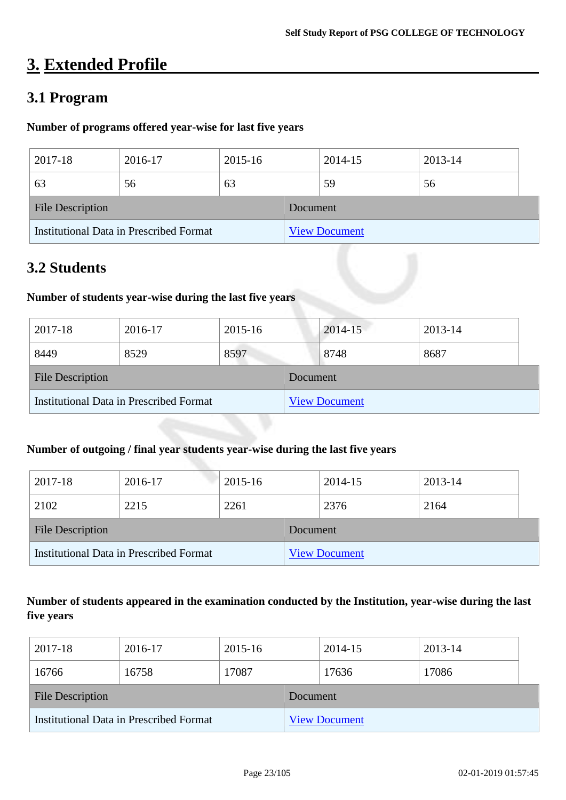# **3. Extended Profile**

## **3.1 Program**

### **Number of programs offered year-wise for last five years**

| 2017-18                                 | 2016-17 | 2015-16              |          | 2014-15 | 2013-14 |  |
|-----------------------------------------|---------|----------------------|----------|---------|---------|--|
| 63                                      | 56      | 63                   |          | 59      | 56      |  |
| <b>File Description</b>                 |         |                      | Document |         |         |  |
| Institutional Data in Prescribed Format |         | <b>View Document</b> |          |         |         |  |

# **3.2 Students**

### **Number of students year-wise during the last five years**

| 2017-18                                 | 2016-17 | 2015-16 |          | 2014-15              | 2013-14 |  |
|-----------------------------------------|---------|---------|----------|----------------------|---------|--|
| 8449                                    | 8529    | 8597    |          | 8748                 | 8687    |  |
| <b>File Description</b>                 |         |         | Document |                      |         |  |
| Institutional Data in Prescribed Format |         |         |          | <b>View Document</b> |         |  |

### **Number of outgoing / final year students year-wise during the last five years**

| 2017-18                                 | 2016-17 | 2015-16              |          | 2014-15 | 2013-14 |  |
|-----------------------------------------|---------|----------------------|----------|---------|---------|--|
| 2102                                    | 2215    | 2261                 |          | 2376    | 2164    |  |
| <b>File Description</b>                 |         |                      | Document |         |         |  |
| Institutional Data in Prescribed Format |         | <b>View Document</b> |          |         |         |  |

### **Number of students appeared in the examination conducted by the Institution, year-wise during the last five years**

| 2017-18                                 | 2016-17 | 2015-16              |  | 2014-15 | 2013-14 |  |
|-----------------------------------------|---------|----------------------|--|---------|---------|--|
| 16766                                   | 16758   | 17087                |  | 17636   | 17086   |  |
| <b>File Description</b>                 |         | Document             |  |         |         |  |
| Institutional Data in Prescribed Format |         | <b>View Document</b> |  |         |         |  |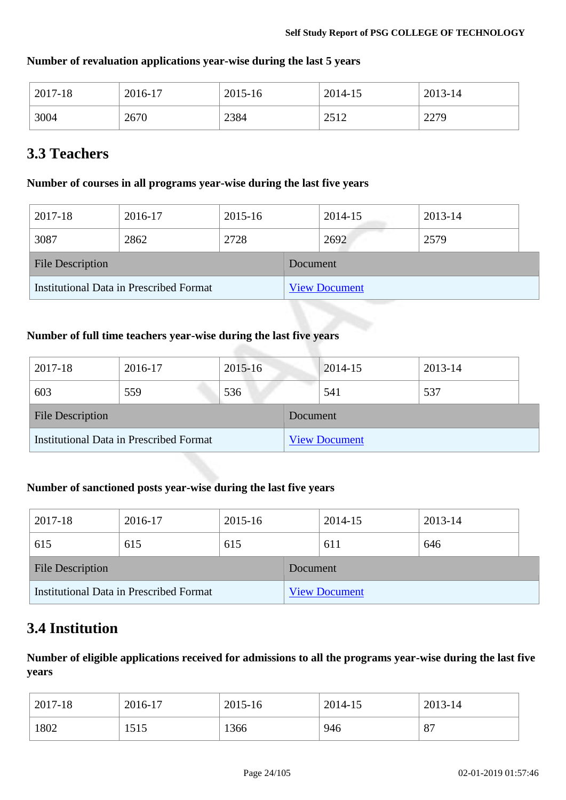| $2017 - 18$ | 2016-17 | 2015-16 | 2014-15 | 2013-14 |
|-------------|---------|---------|---------|---------|
| 3004        | 2670    | 2384    | 2512    | 2279    |

### **Number of revaluation applications year-wise during the last 5 years**

# **3.3 Teachers**

### **Number of courses in all programs year-wise during the last five years**

| 2017-18                                 | 2016-17 | 2015-16 |          | 2014-15              | 2013-14 |  |
|-----------------------------------------|---------|---------|----------|----------------------|---------|--|
| 3087                                    | 2862    | 2728    |          | 2692                 | 2579    |  |
| <b>File Description</b>                 |         |         | Document |                      |         |  |
| Institutional Data in Prescribed Format |         |         |          | <b>View Document</b> |         |  |

### **Number of full time teachers year-wise during the last five years**

| 2017-18                                        | 2016-17 | 2015-16  |                      | 2014-15 | 2013-14 |  |
|------------------------------------------------|---------|----------|----------------------|---------|---------|--|
| 603                                            | 559     | 536      |                      | 541     | 537     |  |
| <b>File Description</b>                        |         | Document |                      |         |         |  |
| <b>Institutional Data in Prescribed Format</b> |         |          | <b>View Document</b> |         |         |  |

### **Number of sanctioned posts year-wise during the last five years**

| 2017-18                                 | 2016-17 | 2015-16  |                      | 2014-15 | 2013-14 |  |
|-----------------------------------------|---------|----------|----------------------|---------|---------|--|
| 615                                     | 615     | 615      |                      | 611     | 646     |  |
| <b>File Description</b>                 |         | Document |                      |         |         |  |
| Institutional Data in Prescribed Format |         |          | <b>View Document</b> |         |         |  |

# **3.4 Institution**

**Number of eligible applications received for admissions to all the programs year-wise during the last five years**

| 2017-18 | 2016-17 | 2015-16 | 2014-15 | 2013-14 |
|---------|---------|---------|---------|---------|
| 1802    | 1515    | 1366    | 946     | 87      |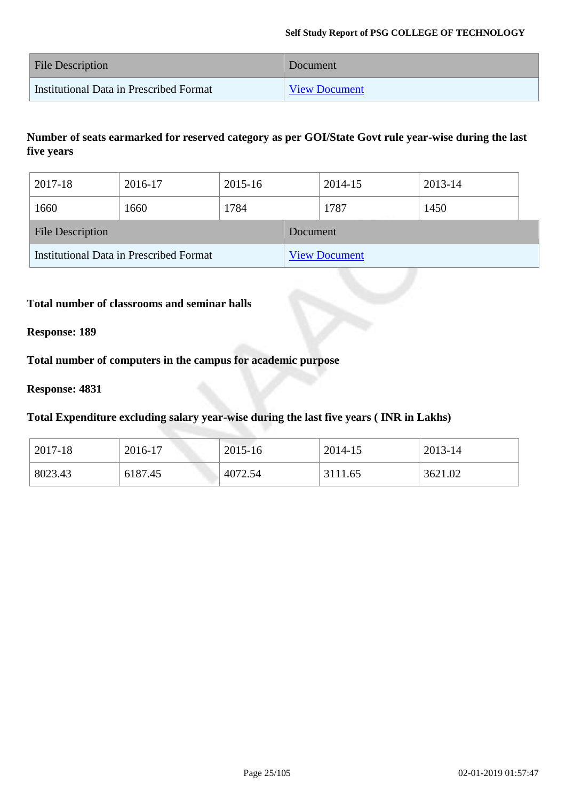| <b>File Description</b>                 | Document             |
|-----------------------------------------|----------------------|
| Institutional Data in Prescribed Format | <b>View Document</b> |

### **Number of seats earmarked for reserved category as per GOI/State Govt rule year-wise during the last five years**

| 2017-18                                 | 2016-17 | 2015-16  |                      | 2014-15 | 2013-14 |  |
|-----------------------------------------|---------|----------|----------------------|---------|---------|--|
| 1660                                    | 1660    | 1784     |                      | 1787    | 1450    |  |
| <b>File Description</b>                 |         | Document |                      |         |         |  |
| Institutional Data in Prescribed Format |         |          | <b>View Document</b> |         |         |  |

### **Total number of classrooms and seminar halls**

#### **Response: 189**

### **Total number of computers in the campus for academic purpose**

#### **Response: 4831**

### **Total Expenditure excluding salary year-wise during the last five years ( INR in Lakhs)**

| $2017 - 18$ | 2016-17 | 2015-16 | 2014-15 | 2013-14 |
|-------------|---------|---------|---------|---------|
| 8023.43     | 6187.45 | 4072.54 | 3111.65 | 3621.02 |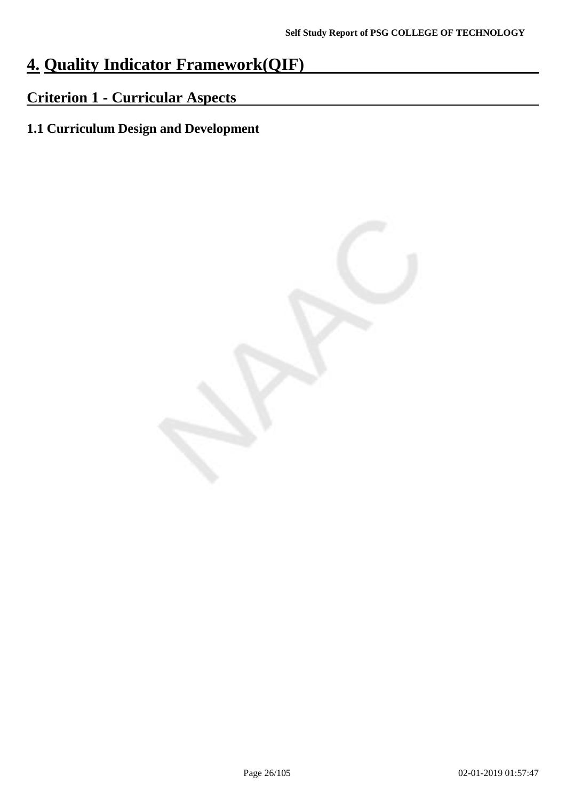# **4. Quality Indicator Framework(QIF)**

# **Criterion 1 - Curricular Aspects**

# **1.1 Curriculum Design and Development**

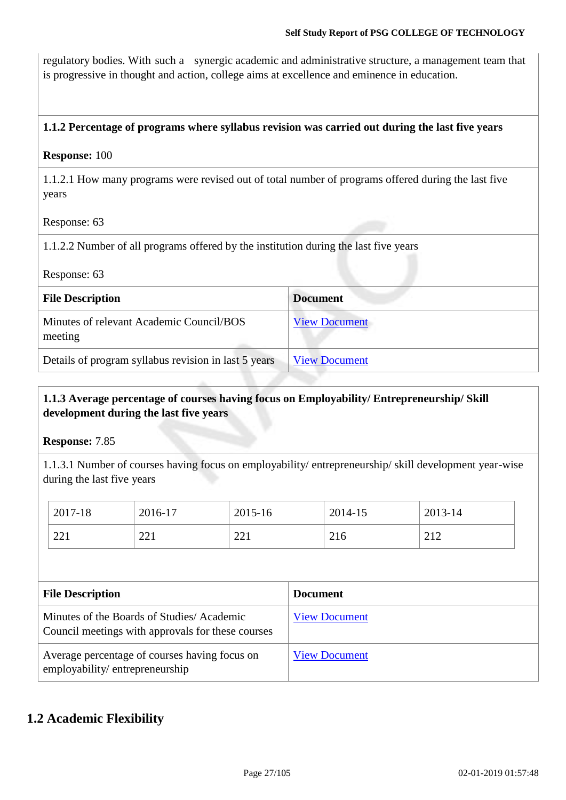regulatory bodies. With such a synergic academic and administrative structure, a management team that is progressive in thought and action, college aims at excellence and eminence in education.

### **1.1.2 Percentage of programs where syllabus revision was carried out during the last five years**

### **Response:** 100

1.1.2.1 How many programs were revised out of total number of programs offered during the last five years

Response: 63

1.1.2.2 Number of all programs offered by the institution during the last five years

Response: 63

| <b>File Description</b>                              | <b>Document</b>      |
|------------------------------------------------------|----------------------|
| Minutes of relevant Academic Council/BOS<br>meeting  | <b>View Document</b> |
| Details of program syllabus revision in last 5 years | <b>View Document</b> |

### **1.1.3 Average percentage of courses having focus on Employability/ Entrepreneurship/ Skill development during the last five years**

**Response:** 7.85

1.1.3.1 Number of courses having focus on employability/ entrepreneurship/ skill development year-wise during the last five years

| 2017-18 | 2016-17 | 2015-16 | 2014-15 | $2013 - 14$ |
|---------|---------|---------|---------|-------------|
| 221     | 221     | 221     | 216     | 212<br>∠⊥∠  |

| <b>File Description</b>                                                                        | <b>Document</b>      |
|------------------------------------------------------------------------------------------------|----------------------|
| Minutes of the Boards of Studies/Academic<br>Council meetings with approvals for these courses | <b>View Document</b> |
| Average percentage of courses having focus on<br>employability/entrepreneurship                | <b>View Document</b> |

### **1.2 Academic Flexibility**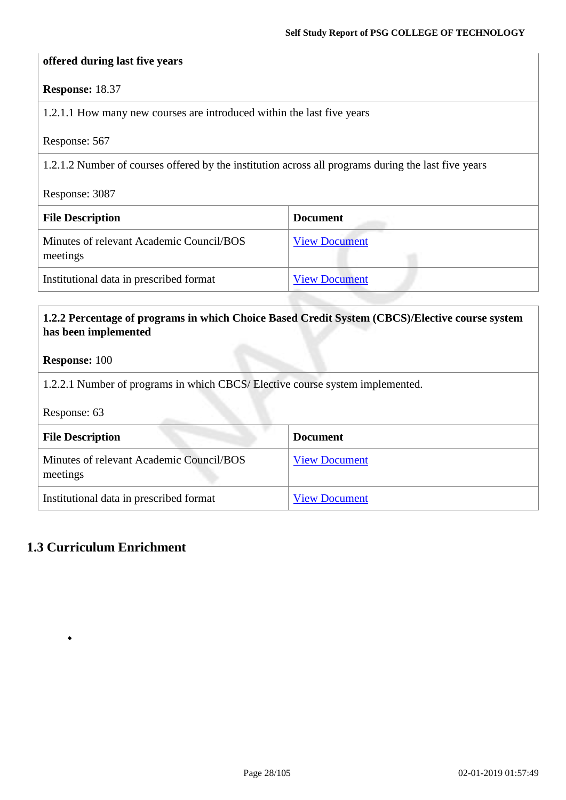### **offered during last five years**

### **Response:** 18.37

1.2.1.1 How many new courses are introduced within the last five years

Response: 567

1.2.1.2 Number of courses offered by the institution across all programs during the last five years

Response: 3087

| <b>File Description</b>                              | <b>Document</b>      |
|------------------------------------------------------|----------------------|
| Minutes of relevant Academic Council/BOS<br>meetings | <b>View Document</b> |
| Institutional data in prescribed format              | <b>View Document</b> |

### **1.2.2 Percentage of programs in which Choice Based Credit System (CBCS)/Elective course system has been implemented**

#### **Response:** 100

1.2.2.1 Number of programs in which CBCS/ Elective course system implemented.

Response: 63

| <b>File Description</b>                              | <b>Document</b>      |
|------------------------------------------------------|----------------------|
| Minutes of relevant Academic Council/BOS<br>meetings | <b>View Document</b> |
| Institutional data in prescribed format              | <b>View Document</b> |

### **1.3 Curriculum Enrichment**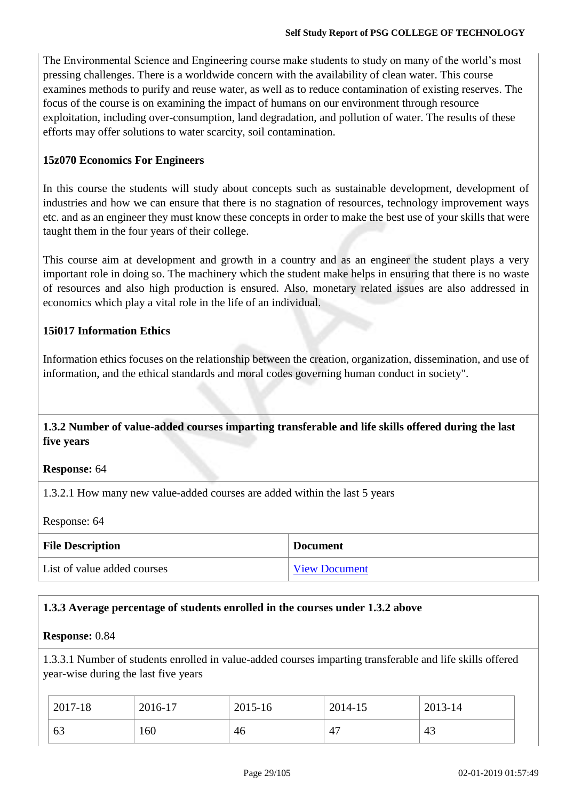The Environmental Science and Engineering course make students to study on many of the world's most pressing challenges. There is a worldwide concern with the availability of clean water. This course examines methods to purify and reuse water, as well as to reduce contamination of existing reserves. The focus of the course is on examining the impact of humans on our environment through resource exploitation, including over-consumption, land degradation, and pollution of water. The results of these efforts may offer solutions to water scarcity, soil contamination.

### **15z070 Economics For Engineers**

In this course the students will study about concepts such as sustainable development, development of industries and how we can ensure that there is no stagnation of resources, technology improvement ways etc. and as an engineer they must know these concepts in order to make the best use of your skills that were taught them in the four years of their college.

This course aim at development and growth in a country and as an engineer the student plays a very important role in doing so. The machinery which the student make helps in ensuring that there is no waste of resources and also high production is ensured. Also, monetary related issues are also addressed in economics which play a vital role in the life of an individual.

### **15i017 Information Ethics**

Information ethics focuses on the relationship between the creation, organization, dissemination, and use of information, and the ethical standards and moral codes governing human conduct in society".

### **1.3.2 Number of value-added courses imparting transferable and life skills offered during the last five years**

### **Response:** 64

1.3.2.1 How many new value-added courses are added within the last 5 years

Response: 64

| <b>File Description</b>     | <b>Document</b>      |
|-----------------------------|----------------------|
| List of value added courses | <b>View Document</b> |

### **1.3.3 Average percentage of students enrolled in the courses under 1.3.2 above**

### **Response:** 0.84

1.3.3.1 Number of students enrolled in value-added courses imparting transferable and life skills offered year-wise during the last five years

| $2017 - 18$ | 2016-17 | 2015-16 | 2014-15               | 2013-14 |
|-------------|---------|---------|-----------------------|---------|
| 63          | 160     | 46      | $\Delta$ <sup>-</sup> | 43      |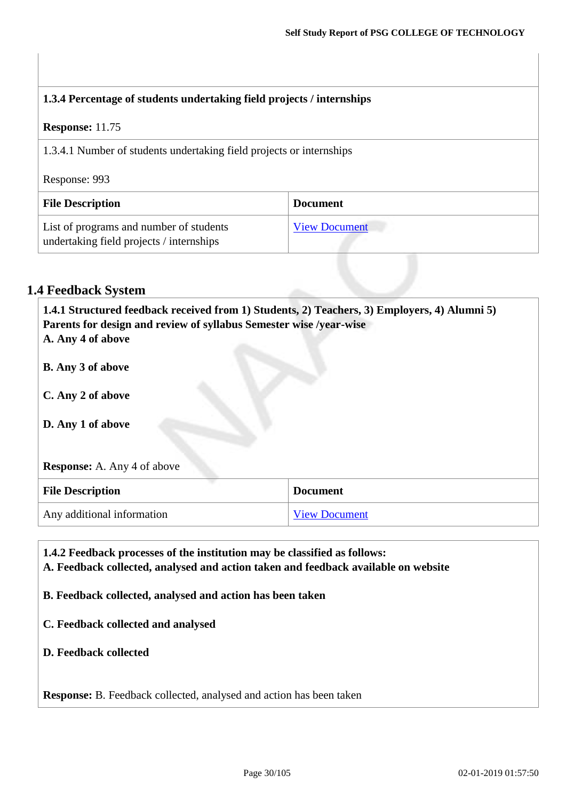| 1.3.4 Percentage of students undertaking field projects / internships               |                      |  |
|-------------------------------------------------------------------------------------|----------------------|--|
| <b>Response:</b> 11.75                                                              |                      |  |
| 1.3.4.1 Number of students undertaking field projects or internships                |                      |  |
| Response: 993                                                                       |                      |  |
| <b>File Description</b>                                                             | <b>Document</b>      |  |
| List of programs and number of students<br>undertaking field projects / internships | <b>View Document</b> |  |

### **1.4 Feedback System**

**1.4.1 Structured feedback received from 1) Students, 2) Teachers, 3) Employers, 4) Alumni 5) Parents for design and review of syllabus Semester wise /year-wise A. Any 4 of above B. Any 3 of above C. Any 2 of above D. Any 1 of above Response:** A. Any 4 of above **File Description Document** Any additional information [View Document](https://assessmentonline.naac.gov.in/storage/app/hei/SSR/101984/1.4.1_1539331357_2163.pdf)

**1.4.2 Feedback processes of the institution may be classified as follows: A. Feedback collected, analysed and action taken and feedback available on website B. Feedback collected, analysed and action has been taken C. Feedback collected and analysed D. Feedback collected**

**Response:** B. Feedback collected, analysed and action has been taken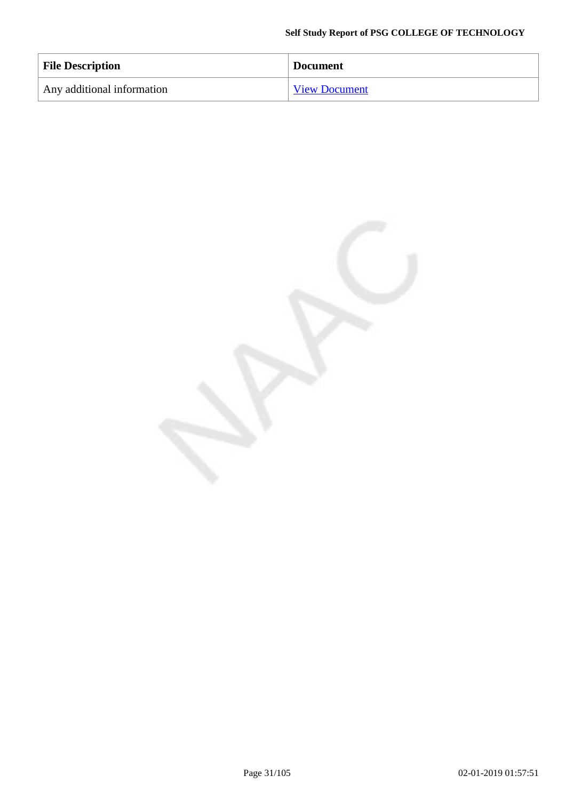| <b>File Description</b>    | <b>Document</b>      |
|----------------------------|----------------------|
| Any additional information | <b>View Document</b> |

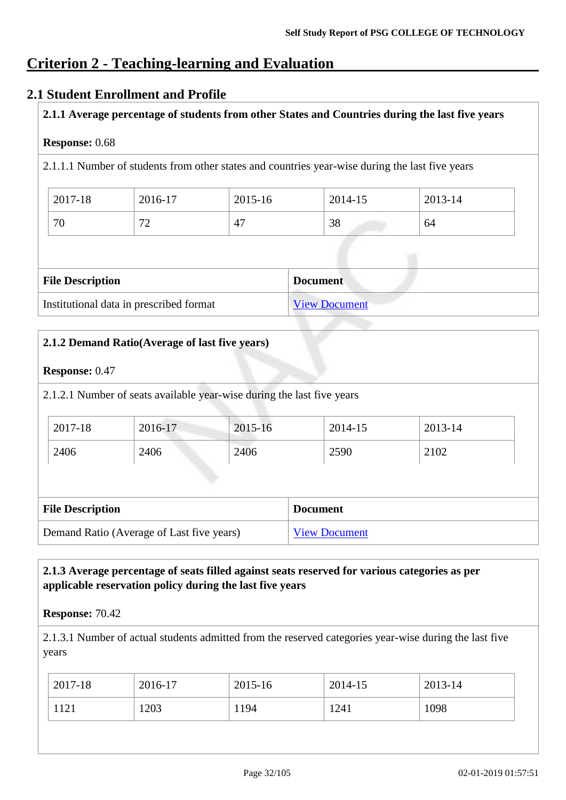## **Criterion 2 - Teaching-learning and Evaluation**

### **2.1 Student Enrollment and Profile**

### **2.1.1 Average percentage of students from other States and Countries during the last five years**

### **Response:** 0.68

2.1.1.1 Number of students from other states and countries year-wise during the last five years

| 2017-18 | 2016-17             | 2015-16 | 2014-15 | 2013-14 |
|---------|---------------------|---------|---------|---------|
| 70      | $\overline{ }$<br>∼ | 47      | 38      | 64      |

| <b>File Description</b>                 | <b>Document</b> |
|-----------------------------------------|-----------------|
| Institutional data in prescribed format | View Document   |

# **2.1.2 Demand Ratio(Average of last five years) Response:** 0.47 2.1.2.1 Number of seats available year-wise during the last five years **File Description Document** Demand Ratio (Average of Last five years) [View Document](https://assessmentonline.naac.gov.in/storage/app/hei/SSR/101984/2.1.2_1538024830_2163.xlsx) 2017-18 2016-17 2015-16 2014-15 2013-14 2406 2406 2406 2590 2102

### **2.1.3 Average percentage of seats filled against seats reserved for various categories as per applicable reservation policy during the last five years**

### **Response:** 70.42

2.1.3.1 Number of actual students admitted from the reserved categories year-wise during the last five years

| $2017-18$ | 2016-17 | 2015-16 | 2014-15 | 2013-14 |
|-----------|---------|---------|---------|---------|
| 1121      | 1203    | 1194    | 1241    | 1098    |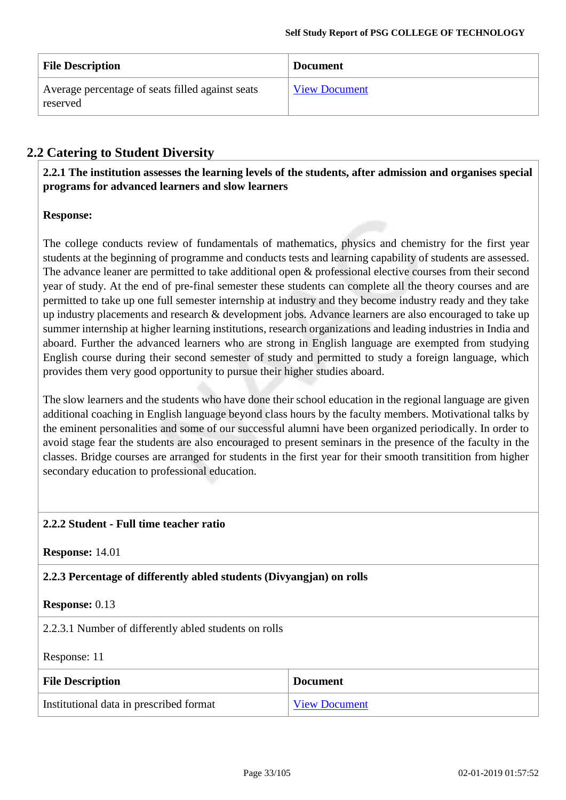| <b>File Description</b>                                      | <b>Document</b>      |
|--------------------------------------------------------------|----------------------|
| Average percentage of seats filled against seats<br>reserved | <b>View Document</b> |

### **2.2 Catering to Student Diversity**

**2.2.1 The institution assesses the learning levels of the students, after admission and organises special programs for advanced learners and slow learners**

### **Response:**

The college conducts review of fundamentals of mathematics, physics and chemistry for the first year students at the beginning of programme and conducts tests and learning capability of students are assessed. The advance leaner are permitted to take additional open & professional elective courses from their second year of study. At the end of pre-final semester these students can complete all the theory courses and are permitted to take up one full semester internship at industry and they become industry ready and they take up industry placements and research & development jobs. Advance learners are also encouraged to take up summer internship at higher learning institutions, research organizations and leading industries in India and aboard. Further the advanced learners who are strong in English language are exempted from studying English course during their second semester of study and permitted to study a foreign language, which provides them very good opportunity to pursue their higher studies aboard.

The slow learners and the students who have done their school education in the regional language are given additional coaching in English language beyond class hours by the faculty members. Motivational talks by the eminent personalities and some of our successful alumni have been organized periodically. In order to avoid stage fear the students are also encouraged to present seminars in the presence of the faculty in the classes. Bridge courses are arranged for students in the first year for their smooth transitition from higher secondary education to professional education.

### **2.2.2 Student - Full time teacher ratio**

**Response:** 14.01

**2.2.3 Percentage of differently abled students (Divyangjan) on rolls**

### **Response:** 0.13

2.2.3.1 Number of differently abled students on rolls

Response: 11

| <b>File Description</b>                 | <b>Document</b>      |
|-----------------------------------------|----------------------|
| Institutional data in prescribed format | <b>View Document</b> |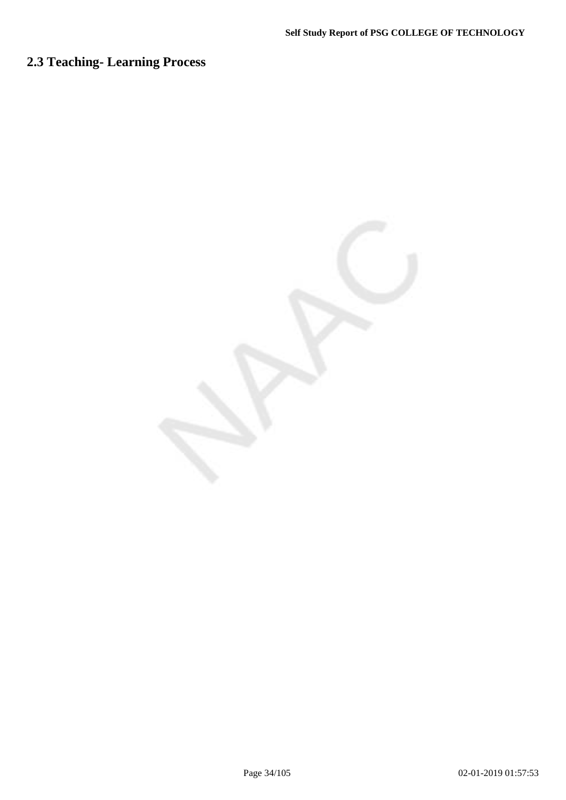# **2.3 Teaching- Learning Process**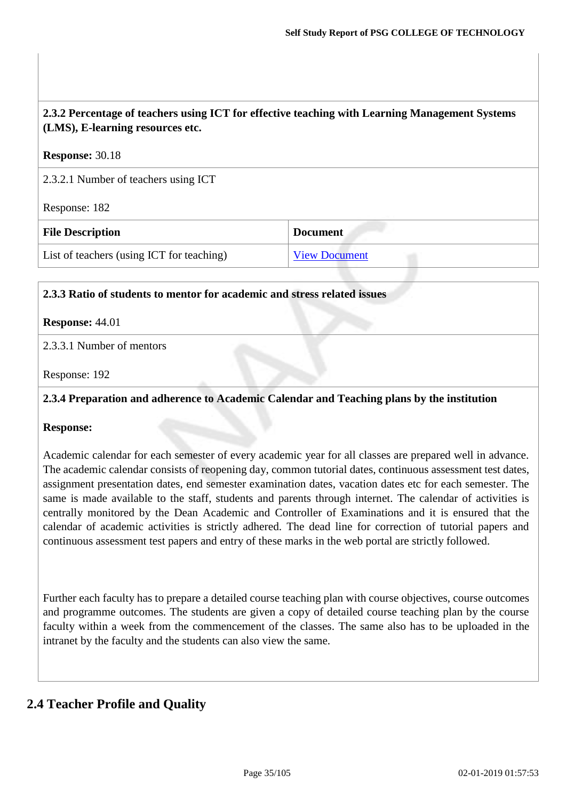| 2.3.2 Percentage of teachers using ICT for effective teaching with Learning Management Systems<br>(LMS), E-learning resources etc. |                      |  |
|------------------------------------------------------------------------------------------------------------------------------------|----------------------|--|
| <b>Response: 30.18</b>                                                                                                             |                      |  |
| 2.3.2.1 Number of teachers using ICT                                                                                               |                      |  |
| Response: 182                                                                                                                      |                      |  |
| <b>File Description</b><br><b>Document</b>                                                                                         |                      |  |
| List of teachers (using ICT for teaching)                                                                                          | <b>View Document</b> |  |

### **2.3.3 Ratio of students to mentor for academic and stress related issues**

### **Response:** 44.01

### 2.3.3.1 Number of mentors

Response: 192

### **2.3.4 Preparation and adherence to Academic Calendar and Teaching plans by the institution**

### **Response:**

Academic calendar for each semester of every academic year for all classes are prepared well in advance. The academic calendar consists of reopening day, common tutorial dates, continuous assessment test dates, assignment presentation dates, end semester examination dates, vacation dates etc for each semester. The same is made available to the staff, students and parents through internet. The calendar of activities is centrally monitored by the Dean Academic and Controller of Examinations and it is ensured that the calendar of academic activities is strictly adhered. The dead line for correction of tutorial papers and continuous assessment test papers and entry of these marks in the web portal are strictly followed.

Further each faculty has to prepare a detailed course teaching plan with course objectives, course outcomes and programme outcomes. The students are given a copy of detailed course teaching plan by the course faculty within a week from the commencement of the classes. The same also has to be uploaded in the intranet by the faculty and the students can also view the same.

### **2.4 Teacher Profile and Quality**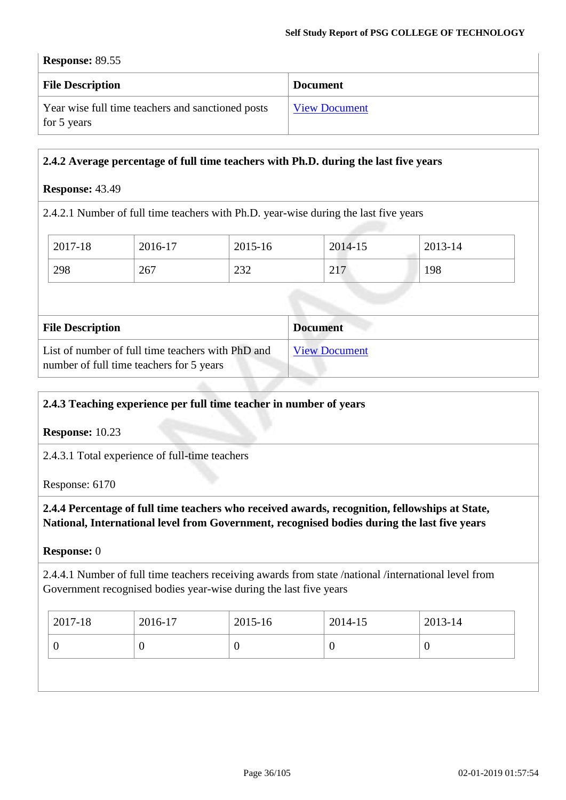### **Response:** 89.55

| <b>File Description</b>                           | <b>Document</b>      |
|---------------------------------------------------|----------------------|
| Year wise full time teachers and sanctioned posts | <b>View Document</b> |
| for 5 years                                       |                      |

### **2.4.2 Average percentage of full time teachers with Ph.D. during the last five years**

### **Response:** 43.49

2.4.2.1 Number of full time teachers with Ph.D. year-wise during the last five years

| 2017-18 | 2016-17 | 2015-16 | 2014-15 | 2013-14 |
|---------|---------|---------|---------|---------|
| 298     | 267     | 232     | 217     | 198     |
|         |         |         |         |         |

| <b>File Description</b>                                                                       | <b>Document</b>      |
|-----------------------------------------------------------------------------------------------|----------------------|
| List of number of full time teachers with PhD and<br>number of full time teachers for 5 years | <b>View Document</b> |

### **2.4.3 Teaching experience per full time teacher in number of years**

**Response:** 10.23

2.4.3.1 Total experience of full-time teachers

### Response: 6170

**2.4.4 Percentage of full time teachers who received awards, recognition, fellowships at State, National, International level from Government, recognised bodies during the last five years**

### **Response:** 0

2.4.4.1 Number of full time teachers receiving awards from state /national /international level from Government recognised bodies year-wise during the last five years

| $2017 - 18$ | 2016-17 | $2015 - 16$ | 2014-15 | 2013-14 |
|-------------|---------|-------------|---------|---------|
|             |         |             | ν       |         |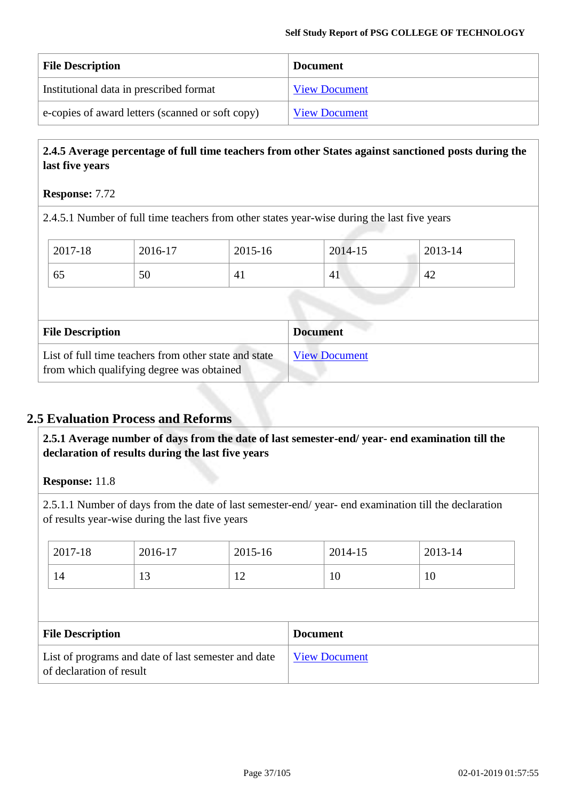| <b>File Description</b>                          | <b>Document</b>      |
|--------------------------------------------------|----------------------|
| Institutional data in prescribed format          | <b>View Document</b> |
| e-copies of award letters (scanned or soft copy) | <b>View Document</b> |

## **2.4.5 Average percentage of full time teachers from other States against sanctioned posts during the last five years**

#### **Response:** 7.72

2.4.5.1 Number of full time teachers from other states year-wise during the last five years

| 2017-18                 | 2016-17 | 2015-16 | 2014-15         | $2013 - 14$ |  |
|-------------------------|---------|---------|-----------------|-------------|--|
| 65                      | 50      | 41      | 41              | 42          |  |
|                         |         |         |                 |             |  |
|                         |         |         |                 |             |  |
|                         |         |         |                 |             |  |
| <b>File Description</b> |         |         | <b>Document</b> |             |  |

## **2.5 Evaluation Process and Reforms**

**2.5.1 Average number of days from the date of last semester-end/ year- end examination till the declaration of results during the last five years**

**Response:** 11.8

2.5.1.1 Number of days from the date of last semester-end/ year- end examination till the declaration of results year-wise during the last five years

| 2017-18                  | 2016-17                                             | 2015-16 |                 | 2014-15              | 2013-14 |
|--------------------------|-----------------------------------------------------|---------|-----------------|----------------------|---------|
| 14                       | 13                                                  | 12      |                 | 10                   | 10      |
|                          |                                                     |         |                 |                      |         |
| <b>File Description</b>  |                                                     |         | <b>Document</b> |                      |         |
| of declaration of result | List of programs and date of last semester and date |         |                 | <b>View Document</b> |         |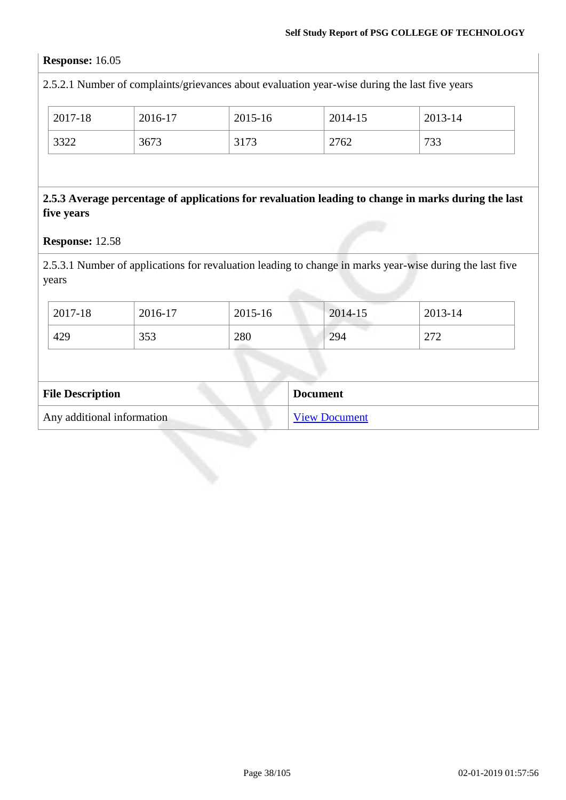## **Response:** 16.05

2.5.2.1 Number of complaints/grievances about evaluation year-wise during the last five years

| 2017-18 | 2016-17 | 2015-16 | 2014-15 | 2013-14     |
|---------|---------|---------|---------|-------------|
| 3322    | 3673    | 3173    | 2762    | 733<br>ככ י |

## **2.5.3 Average percentage of applications for revaluation leading to change in marks during the last five years**

**Response:** 12.58

2.5.3.1 Number of applications for revaluation leading to change in marks year-wise during the last five years

| 2017-18 | 2016-17 | 2015-16 | 2014-15 | 2013-14                |
|---------|---------|---------|---------|------------------------|
| 429     | 353     | 280     | 294     | 272<br>$\sim$ 1 $\sim$ |

| <b>File Description</b>    | <b>Document</b>      |
|----------------------------|----------------------|
| Any additional information | <b>View Document</b> |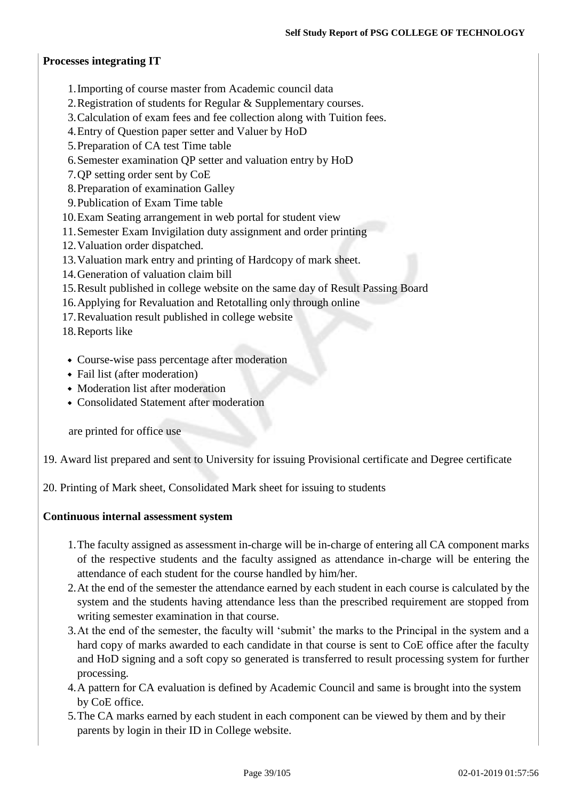## **Processes integrating IT**

- 1.Importing of course master from Academic council data
- 2.Registration of students for Regular & Supplementary courses.
- 3.Calculation of exam fees and fee collection along with Tuition fees.
- 4.Entry of Question paper setter and Valuer by HoD
- 5.Preparation of CA test Time table
- 6.Semester examination QP setter and valuation entry by HoD
- 7.QP setting order sent by CoE
- 8.Preparation of examination Galley
- 9.Publication of Exam Time table
- 10.Exam Seating arrangement in web portal for student view
- 11.Semester Exam Invigilation duty assignment and order printing
- 12.Valuation order dispatched.
- 13.Valuation mark entry and printing of Hardcopy of mark sheet.
- 14.Generation of valuation claim bill
- 15.Result published in college website on the same day of Result Passing Board
- 16.Applying for Revaluation and Retotalling only through online
- 17.Revaluation result published in college website
- 18.Reports like
- Course-wise pass percentage after moderation
- Fail list (after moderation)
- Moderation list after moderation
- Consolidated Statement after moderation

are printed for office use

19. Award list prepared and sent to University for issuing Provisional certificate and Degree certificate

20. Printing of Mark sheet, Consolidated Mark sheet for issuing to students

## **Continuous internal assessment system**

- 1.The faculty assigned as assessment in-charge will be in-charge of entering all CA component marks of the respective students and the faculty assigned as attendance in-charge will be entering the attendance of each student for the course handled by him/her.
- 2.At the end of the semester the attendance earned by each student in each course is calculated by the system and the students having attendance less than the prescribed requirement are stopped from writing semester examination in that course.
- 3.At the end of the semester, the faculty will 'submit' the marks to the Principal in the system and a hard copy of marks awarded to each candidate in that course is sent to CoE office after the faculty and HoD signing and a soft copy so generated is transferred to result processing system for further processing.
- 4.A pattern for CA evaluation is defined by Academic Council and same is brought into the system by CoE office.
- 5.The CA marks earned by each student in each component can be viewed by them and by their parents by login in their ID in College website.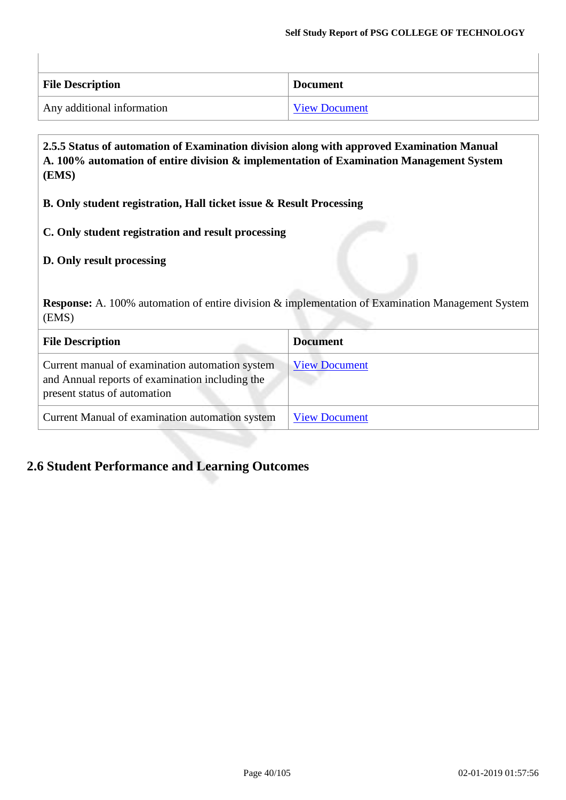| <b>File Description</b>    | <b>Document</b>      |
|----------------------------|----------------------|
| Any additional information | <b>View Document</b> |

**2.5.5 Status of automation of Examination division along with approved Examination Manual A. 100% automation of entire division & implementation of Examination Management System (EMS)**

**B. Only student registration, Hall ticket issue & Result Processing**

**C. Only student registration and result processing**

## **D. Only result processing**

**Response:** A. 100% automation of entire division & implementation of Examination Management System (EMS)

| <b>File Description</b>                                                                                                            | <b>Document</b>      |
|------------------------------------------------------------------------------------------------------------------------------------|----------------------|
| Current manual of examination automation system<br>and Annual reports of examination including the<br>present status of automation | <b>View Document</b> |
| Current Manual of examination automation system                                                                                    | <b>View Document</b> |

## **2.6 Student Performance and Learning Outcomes**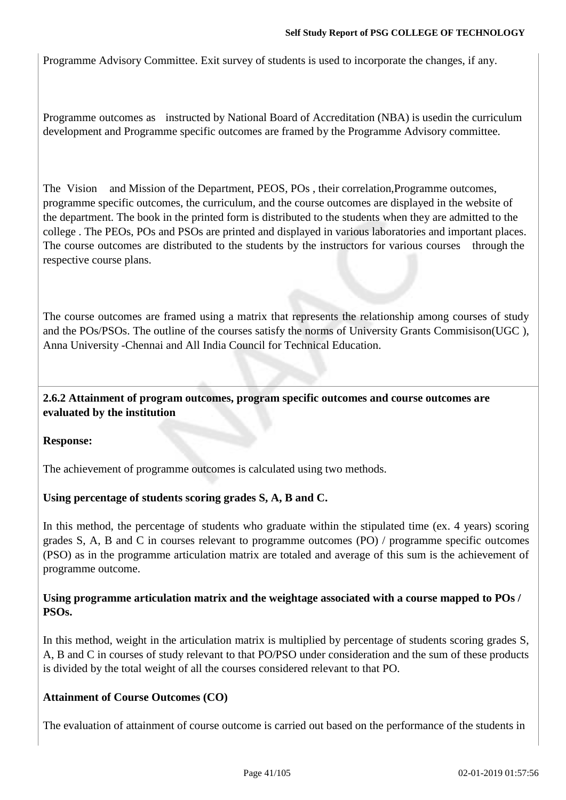Programme Advisory Committee. Exit survey of students is used to incorporate the changes, if any.

Programme outcomes as instructed by National Board of Accreditation (NBA) is usedin the curriculum development and Programme specific outcomes are framed by the Programme Advisory committee.

The Vision and Mission of the Department, PEOS, POs , their correlation,Programme outcomes, programme specific outcomes, the curriculum, and the course outcomes are displayed in the website of the department. The book in the printed form is distributed to the students when they are admitted to the college . The PEOs, POs and PSOs are printed and displayed in various laboratories and important places. The course outcomes are distributed to the students by the instructors for various courses through the respective course plans.

The course outcomes are framed using a matrix that represents the relationship among courses of study and the POs/PSOs. The outline of the courses satisfy the norms of University Grants Commisison(UGC ), Anna University -Chennai and All India Council for Technical Education.

**2.6.2 Attainment of program outcomes, program specific outcomes and course outcomes are evaluated by the institution**

## **Response:**

The achievement of programme outcomes is calculated using two methods.

## **Using percentage of students scoring grades S, A, B and C.**

In this method, the percentage of students who graduate within the stipulated time (ex. 4 years) scoring grades S, A, B and C in courses relevant to programme outcomes (PO) / programme specific outcomes (PSO) as in the programme articulation matrix are totaled and average of this sum is the achievement of programme outcome.

## **Using programme articulation matrix and the weightage associated with a course mapped to POs / PSOs.**

In this method, weight in the articulation matrix is multiplied by percentage of students scoring grades S, A, B and C in courses of study relevant to that PO/PSO under consideration and the sum of these products is divided by the total weight of all the courses considered relevant to that PO.

## **Attainment of Course Outcomes (CO)**

The evaluation of attainment of course outcome is carried out based on the performance of the students in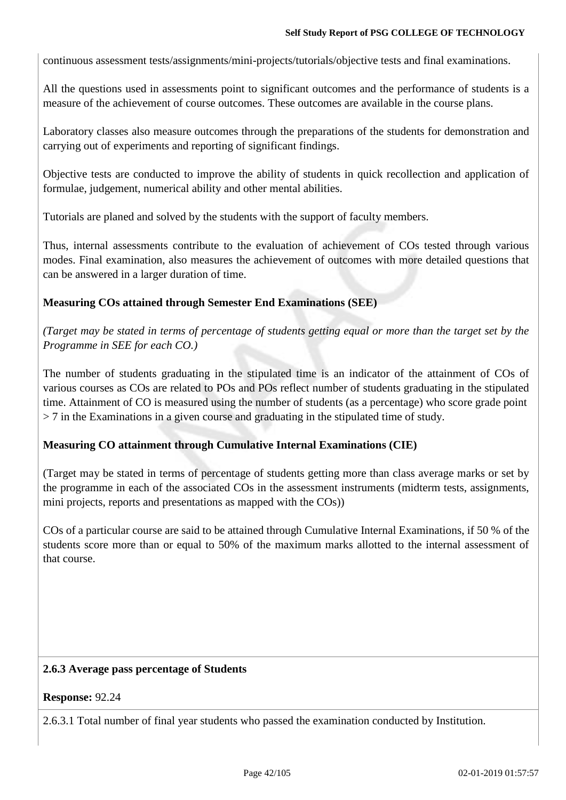continuous assessment tests/assignments/mini-projects/tutorials/objective tests and final examinations.

All the questions used in assessments point to significant outcomes and the performance of students is a measure of the achievement of course outcomes. These outcomes are available in the course plans.

Laboratory classes also measure outcomes through the preparations of the students for demonstration and carrying out of experiments and reporting of significant findings.

Objective tests are conducted to improve the ability of students in quick recollection and application of formulae, judgement, numerical ability and other mental abilities.

Tutorials are planed and solved by the students with the support of faculty members.

Thus, internal assessments contribute to the evaluation of achievement of COs tested through various modes. Final examination, also measures the achievement of outcomes with more detailed questions that can be answered in a larger duration of time.

## **Measuring COs attained through Semester End Examinations (SEE)**

*(Target may be stated in terms of percentage of students getting equal or more than the target set by the Programme in SEE for each CO.)*

The number of students graduating in the stipulated time is an indicator of the attainment of COs of various courses as COs are related to POs and POs reflect number of students graduating in the stipulated time. Attainment of CO is measured using the number of students (as a percentage) who score grade point > 7 in the Examinations in a given course and graduating in the stipulated time of study.

## **Measuring CO attainment through Cumulative Internal Examinations (CIE)**

(Target may be stated in terms of percentage of students getting more than class average marks or set by the programme in each of the associated COs in the assessment instruments (midterm tests, assignments, mini projects, reports and presentations as mapped with the COs))

COs of a particular course are said to be attained through Cumulative Internal Examinations, if 50 % of the students score more than or equal to 50% of the maximum marks allotted to the internal assessment of that course.

## **2.6.3 Average pass percentage of Students**

#### **Response:** 92.24

2.6.3.1 Total number of final year students who passed the examination conducted by Institution.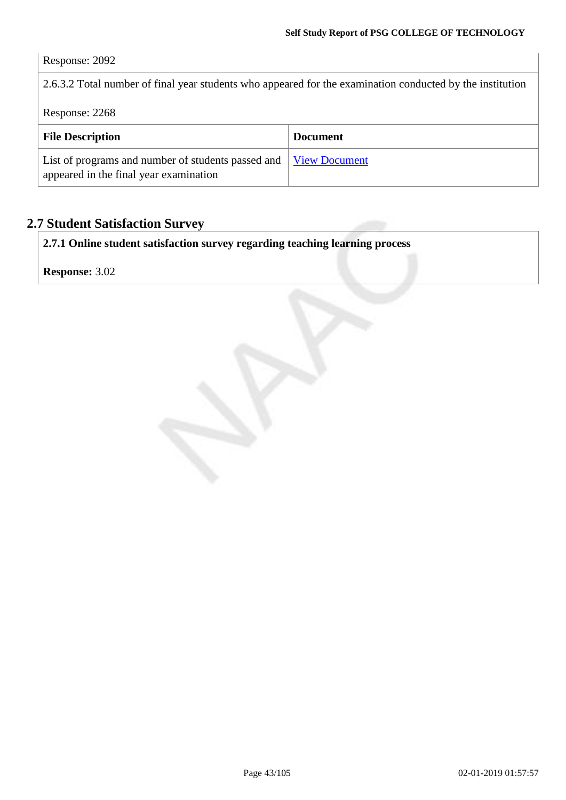## Response: 2092

2.6.3.2 Total number of final year students who appeared for the examination conducted by the institution

Response: 2268

| <b>File Description</b>                                                                                    | <b>Document</b> |
|------------------------------------------------------------------------------------------------------------|-----------------|
| List of programs and number of students passed and View Document<br>appeared in the final year examination |                 |

## **2.7 Student Satisfaction Survey**

**2.7.1 Online student satisfaction survey regarding teaching learning process**

**Response:** 3.02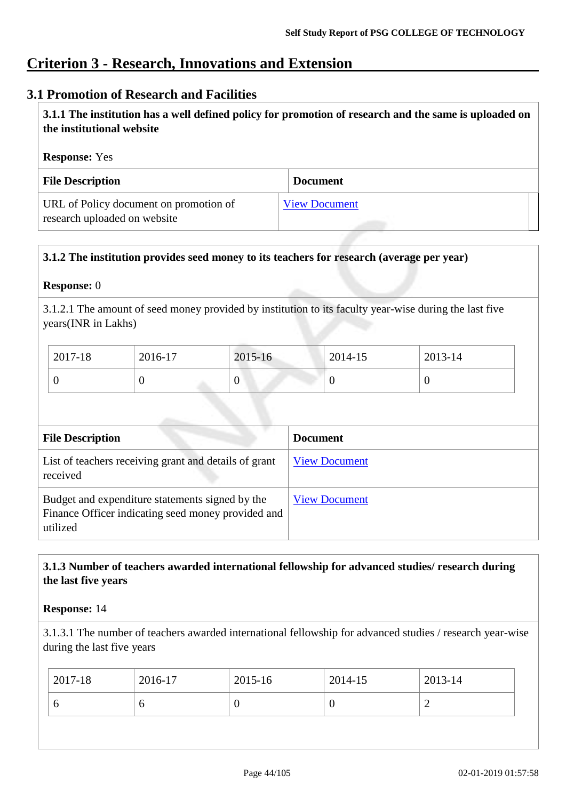## **Criterion 3 - Research, Innovations and Extension**

## **3.1 Promotion of Research and Facilities**

**3.1.1 The institution has a well defined policy for promotion of research and the same is uploaded on the institutional website**

#### **Response:** Yes

| <b>File Description</b>                                                | <b>Document</b>      |
|------------------------------------------------------------------------|----------------------|
| URL of Policy document on promotion of<br>research uploaded on website | <b>View Document</b> |

## **3.1.2 The institution provides seed money to its teachers for research (average per year)**

#### **Response:** 0

3.1.2.1 The amount of seed money provided by institution to its faculty year-wise during the last five years(INR in Lakhs)

| $2017 - 18$ | 2016-17 | 2015-16 | 2014-15 | 2013-14 |
|-------------|---------|---------|---------|---------|
| v           |         |         |         |         |

| <b>File Description</b>                                                                                           | <b>Document</b>      |
|-------------------------------------------------------------------------------------------------------------------|----------------------|
| List of teachers receiving grant and details of grant<br>received                                                 | <b>View Document</b> |
| Budget and expenditure statements signed by the<br>Finance Officer indicating seed money provided and<br>utilized | <b>View Document</b> |

## **3.1.3 Number of teachers awarded international fellowship for advanced studies/ research during the last five years**

#### **Response:** 14

3.1.3.1 The number of teachers awarded international fellowship for advanced studies / research year-wise during the last five years

| $ 2017-18 $ | 2016-17 | $2015 - 16$ | 2014-15 | 2013-14 |
|-------------|---------|-------------|---------|---------|
| U           |         | ν           | ິ       | ∼       |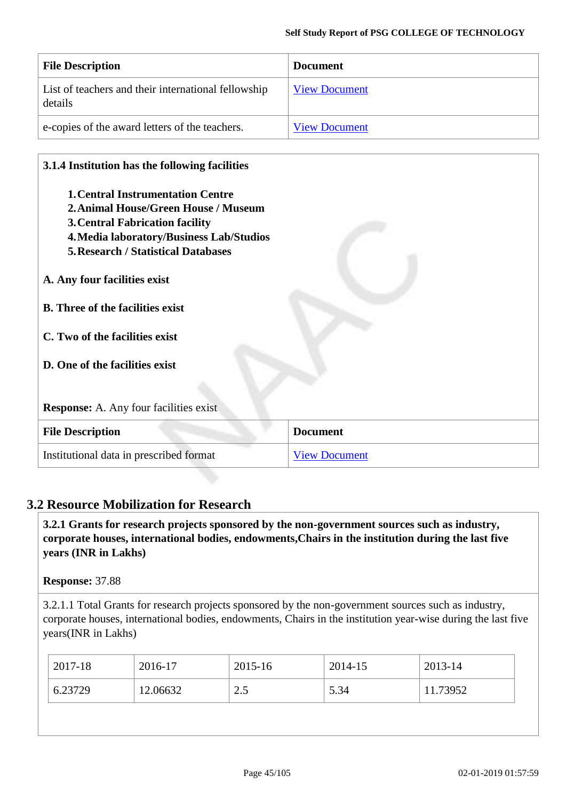| <b>File Description</b>                                        | <b>Document</b>      |
|----------------------------------------------------------------|----------------------|
| List of teachers and their international fellowship<br>details | <b>View Document</b> |
| e-copies of the award letters of the teachers.                 | <b>View Document</b> |

#### **3.1.4 Institution has the following facilities**

- **1.Central Instrumentation Centre**
- **2.Animal House/Green House / Museum**
- **3.Central Fabrication facility**
- **4.Media laboratory/Business Lab/Studios**
- **5.Research / Statistical Databases**
- **A. Any four facilities exist**
- **B. Three of the facilities exist**
- **C. Two of the facilities exist**
- **D. One of the facilities exist**

**Response:** A. Any four facilities exist

| <b>File Description</b>                 | <b>Document</b>      |
|-----------------------------------------|----------------------|
| Institutional data in prescribed format | <b>View Document</b> |

## **3.2 Resource Mobilization for Research**

**3.2.1 Grants for research projects sponsored by the non-government sources such as industry, corporate houses, international bodies, endowments,Chairs in the institution during the last five years (INR in Lakhs)**

**Response:** 37.88

3.2.1.1 Total Grants for research projects sponsored by the non-government sources such as industry, corporate houses, international bodies, endowments, Chairs in the institution year-wise during the last five years(INR in Lakhs)

| $2017-18$ | 2016-17  | 2015-16               | 2014-15 | 2013-14  |
|-----------|----------|-----------------------|---------|----------|
| 6.23729   | 12.06632 | $\cap$ $\leq$<br>ر. ک | 5.34    | 11.73952 |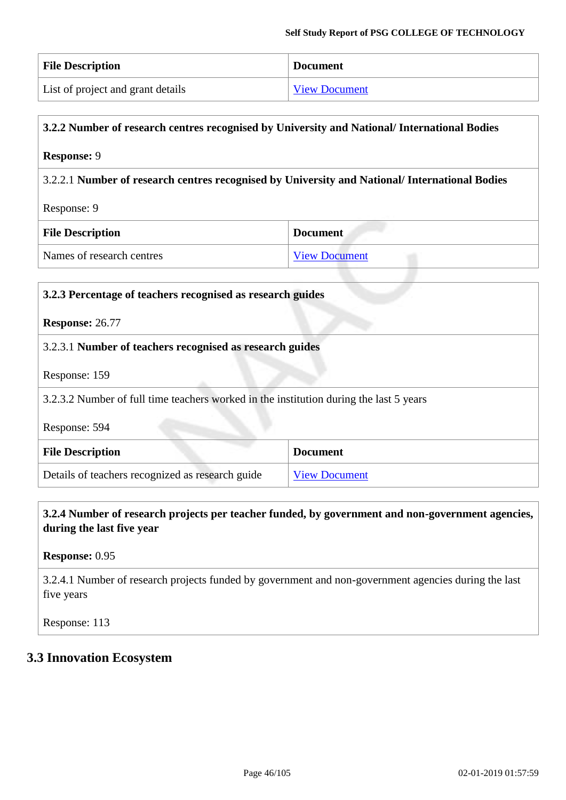| <b>File Description</b>           | <b>Document</b>      |
|-----------------------------------|----------------------|
| List of project and grant details | <b>View Document</b> |

## **3.2.2 Number of research centres recognised by University and National/ International Bodies**

#### **Response:** 9

3.2.2.1 **Number of research centres recognised by University and National/ International Bodies**

#### Response: 9

| <b>File Description</b>   | <b>Document</b>      |
|---------------------------|----------------------|
| Names of research centres | <b>View Document</b> |

# **3.2.3 Percentage of teachers recognised as research guides Response:** 26.77 3.2.3.1 **Number of teachers recognised as research guides** Response: 159 3.2.3.2 Number of full time teachers worked in the institution during the last 5 years Response: 594 **File Description Document** Details of teachers recognized as research guide [View Document](https://assessmentonline.naac.gov.in/storage/app/hei/SSR/101984/3.2.3_1538203678_2163.xls)

## **3.2.4 Number of research projects per teacher funded, by government and non-government agencies, during the last five year**

#### **Response:** 0.95

3.2.4.1 Number of research projects funded by government and non-government agencies during the last five years

Response: 113

## **3.3 Innovation Ecosystem**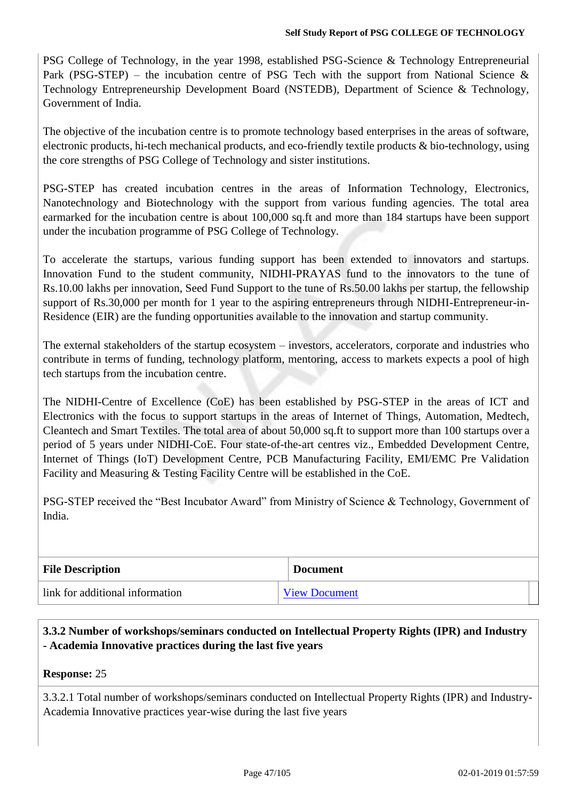PSG College of Technology, in the year 1998, established PSG-Science & Technology Entrepreneurial Park (PSG-STEP) – the incubation centre of PSG Tech with the support from National Science  $\&$ Technology Entrepreneurship Development Board (NSTEDB), Department of Science & Technology, Government of India.

The objective of the incubation centre is to promote technology based enterprises in the areas of software, electronic products, hi-tech mechanical products, and eco-friendly textile products & bio-technology, using the core strengths of PSG College of Technology and sister institutions.

PSG-STEP has created incubation centres in the areas of Information Technology, Electronics, Nanotechnology and Biotechnology with the support from various funding agencies. The total area earmarked for the incubation centre is about 100,000 sq.ft and more than 184 startups have been support under the incubation programme of PSG College of Technology.

To accelerate the startups, various funding support has been extended to innovators and startups. Innovation Fund to the student community, NIDHI-PRAYAS fund to the innovators to the tune of Rs.10.00 lakhs per innovation, Seed Fund Support to the tune of Rs.50.00 lakhs per startup, the fellowship support of Rs.30,000 per month for 1 year to the aspiring entrepreneurs through NIDHI-Entrepreneur-in-Residence (EIR) are the funding opportunities available to the innovation and startup community.

The external stakeholders of the startup ecosystem – investors, accelerators, corporate and industries who contribute in terms of funding, technology platform, mentoring, access to markets expects a pool of high tech startups from the incubation centre.

The NIDHI-Centre of Excellence (CoE) has been established by PSG-STEP in the areas of ICT and Electronics with the focus to support startups in the areas of Internet of Things, Automation, Medtech, Cleantech and Smart Textiles. The total area of about 50,000 sq.ft to support more than 100 startups over a period of 5 years under NIDHI-CoE. Four state-of-the-art centres viz., Embedded Development Centre, Internet of Things (IoT) Development Centre, PCB Manufacturing Facility, EMI/EMC Pre Validation Facility and Measuring & Testing Facility Centre will be established in the CoE.

PSG-STEP received the "Best Incubator Award" from Ministry of Science & Technology, Government of India.

| <b>File Description</b>         | <b>Document</b>      |  |
|---------------------------------|----------------------|--|
| link for additional information | <b>View Document</b> |  |

**3.3.2 Number of workshops/seminars conducted on Intellectual Property Rights (IPR) and Industry - Academia Innovative practices during the last five years**

#### **Response:** 25

3.3.2.1 Total number of workshops/seminars conducted on Intellectual Property Rights (IPR) and Industry-Academia Innovative practices year-wise during the last five years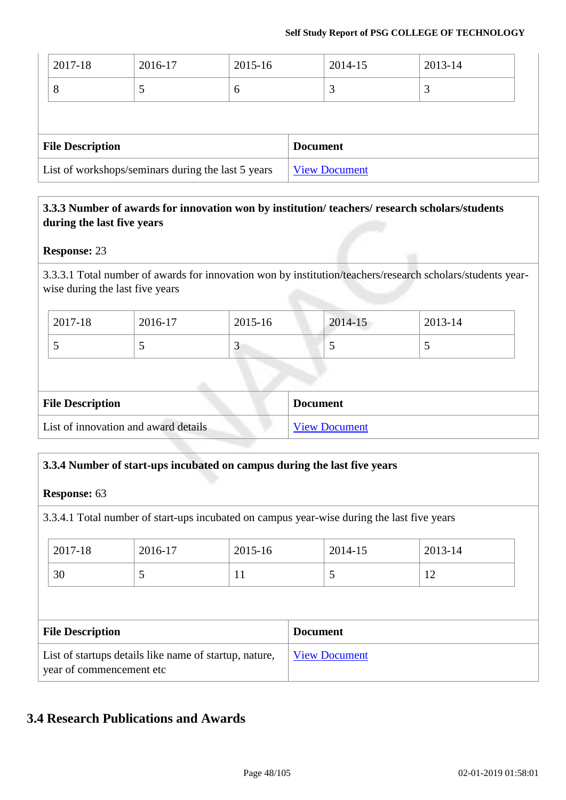| List of workshops/seminars during the last 5 years |         | <b>View Document</b> |                 |         |  |
|----------------------------------------------------|---------|----------------------|-----------------|---------|--|
| <b>File Description</b>                            |         |                      | <b>Document</b> |         |  |
|                                                    |         |                      |                 |         |  |
| 8                                                  |         | 6                    | 3               | 3       |  |
| 2017-18                                            | 2016-17 | 2015-16              | 2014-15         | 2013-14 |  |

## **3.3.3 Number of awards for innovation won by institution/ teachers/ research scholars/students during the last five years**

## **Response:** 23

3.3.3.1 Total number of awards for innovation won by institution/teachers/research scholars/students yearwise during the last five years

| $2017 - 18$ | 2016-17 | 2015-16          | $2014 - 15$ | $2013 - 14$ |
|-------------|---------|------------------|-------------|-------------|
|             |         | $\sim$ $\lambda$ | ~           | .           |

| <b>File Description</b>              | <b>Document</b>      |
|--------------------------------------|----------------------|
| List of innovation and award details | <b>View Document</b> |

## **3.3.4 Number of start-ups incubated on campus during the last five years**

#### **Response:** 63

3.3.4.1 Total number of start-ups incubated on campus year-wise during the last five years

| 2017-18                 | 2016-17 | 2015-16 |                 | 2014-15 | 2013-14 |
|-------------------------|---------|---------|-----------------|---------|---------|
| 30                      | C       | 11      |                 | 5       | 12      |
|                         |         |         |                 |         |         |
| <b>File Description</b> |         |         |                 |         |         |
|                         |         |         | <b>Document</b> |         |         |

## **3.4 Research Publications and Awards**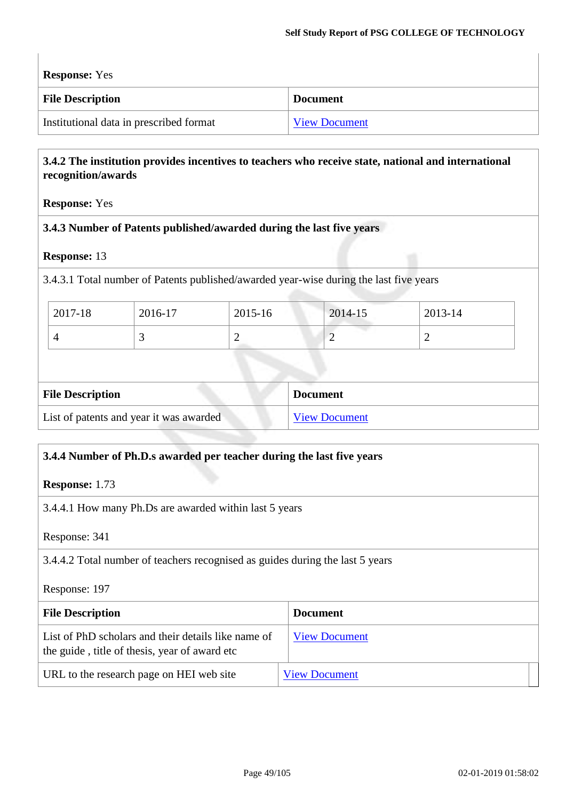**Response:** Yes

| <b>File Description</b>                 | <b>Document</b>      |
|-----------------------------------------|----------------------|
| Institutional data in prescribed format | <b>View Document</b> |

## **3.4.2 The institution provides incentives to teachers who receive state, national and international recognition/awards**

**Response:** Yes

#### **3.4.3 Number of Patents published/awarded during the last five years**

#### **Response:** 13

3.4.3.1 Total number of Patents published/awarded year-wise during the last five years

| $12017 - 18$ | 2016-17 | 2015-16 | 2014-15 | 2013-14 |
|--------------|---------|---------|---------|---------|
|              |         | ∽       | ∼       | _       |

| <b>File Description</b>                 | <b>Document</b>      |
|-----------------------------------------|----------------------|
| List of patents and year it was awarded | <b>View Document</b> |

## **3.4.4 Number of Ph.D.s awarded per teacher during the last five years**

**Response:** 1.73

3.4.4.1 How many Ph.Ds are awarded within last 5 years

Response: 341

3.4.4.2 Total number of teachers recognised as guides during the last 5 years

Response: 197

| <b>File Description</b>                                                                              | <b>Document</b>      |
|------------------------------------------------------------------------------------------------------|----------------------|
| List of PhD scholars and their details like name of<br>the guide, title of thesis, year of award etc | <b>View Document</b> |
| URL to the research page on HEI web site                                                             | <b>View Document</b> |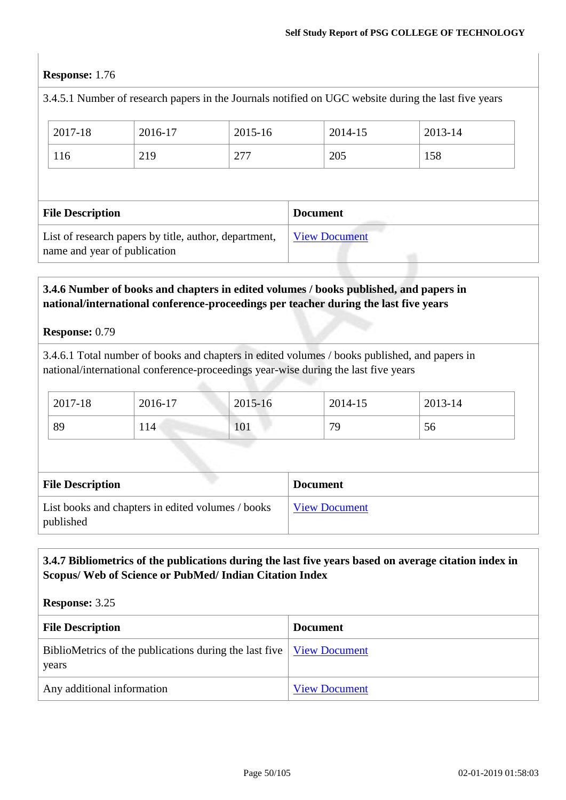## **Response:** 1.76

|                              |                                                       |         |                 |                      | 3.4.5.1 Number of research papers in the Journals notified on UGC website during the last five years |
|------------------------------|-------------------------------------------------------|---------|-----------------|----------------------|------------------------------------------------------------------------------------------------------|
| 2017-18                      | 2016-17                                               | 2015-16 |                 | 2014-15              | 2013-14                                                                                              |
| 116                          | 219                                                   | 277     |                 | 205                  | 158                                                                                                  |
|                              |                                                       |         |                 |                      |                                                                                                      |
| <b>File Description</b>      |                                                       |         | <b>Document</b> |                      |                                                                                                      |
| name and year of publication | List of research papers by title, author, department, |         |                 | <b>View Document</b> |                                                                                                      |

## **3.4.6 Number of books and chapters in edited volumes / books published, and papers in national/international conference-proceedings per teacher during the last five years**

#### **Response:** 0.79

3.4.6.1 Total number of books and chapters in edited volumes / books published, and papers in national/international conference-proceedings year-wise during the last five years

| 2017-18 | 2016-17 | $2015 - 16$ | 2014-15 | $2013 - 14$ |
|---------|---------|-------------|---------|-------------|
| 89      | 114     | 101         | 79      | 56          |

| <b>File Description</b>                                        | <b>Document</b>      |
|----------------------------------------------------------------|----------------------|
| List books and chapters in edited volumes / books<br>published | <b>View Document</b> |

## **3.4.7 Bibliometrics of the publications during the last five years based on average citation index in Scopus/ Web of Science or PubMed/ Indian Citation Index**

#### **Response:** 3.25

| <b>File Description</b>                                                                                                 | <b>Document</b>      |
|-------------------------------------------------------------------------------------------------------------------------|----------------------|
| BiblioMetrics of the publications during the last five $\sqrt{\frac{V_{\text{icW}}}{V_{\text{icW}}}}$ Document<br>years |                      |
| Any additional information                                                                                              | <b>View Document</b> |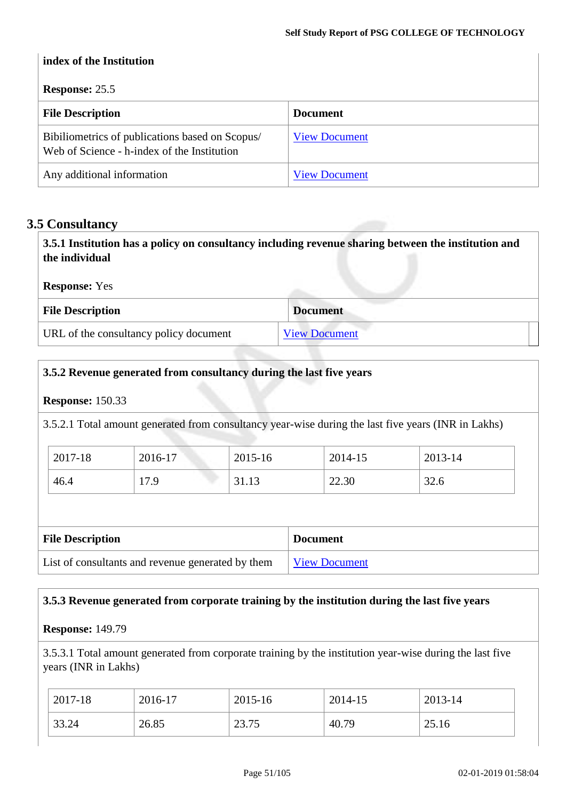## **index of the Institution Response:** 25.5 **File Description Document** Bibiliometrics of publications based on Scopus/ Web of Science - h-index of the Institution [View Document](https://assessmentonline.naac.gov.in/storage/app/hei/SSR/101984/3.4.8_1536662882_2163.xls) Any additional information [View Document](https://assessmentonline.naac.gov.in/storage/app/hei/SSR/101984/3.4.8_1536667985_2163.docx)

## **3.5 Consultancy**

**3.5.1 Institution has a policy on consultancy including revenue sharing between the institution and the individual Response:** Yes **File Description Document** URL of the consultancy policy document [View Document](Policy%20for%20Promotion%20of%20Research%202.pdf)

## **3.5.2 Revenue generated from consultancy during the last five years**

#### **Response:** 150.33

3.5.2.1 Total amount generated from consultancy year-wise during the last five years (INR in Lakhs)

| 2017-18 | 2016-17 | 2015-16 | 2014-15 | 2013-14 |
|---------|---------|---------|---------|---------|
| 46.4    | 17.9    | 31.13   | 22.30   | 32.6    |

| <b>File Description</b>                           | <b>Document</b>      |
|---------------------------------------------------|----------------------|
| List of consultants and revenue generated by them | <b>View Document</b> |

## **3.5.3 Revenue generated from corporate training by the institution during the last five years**

#### **Response:** 149.79

3.5.3.1 Total amount generated from corporate training by the institution year-wise during the last five years (INR in Lakhs)

| $2017 - 18$ | 2016-17 | 2015-16 | 2014-15 | 2013-14 |
|-------------|---------|---------|---------|---------|
| 33.24       | 26.85   | 23.75   | 40.79   | 25.16   |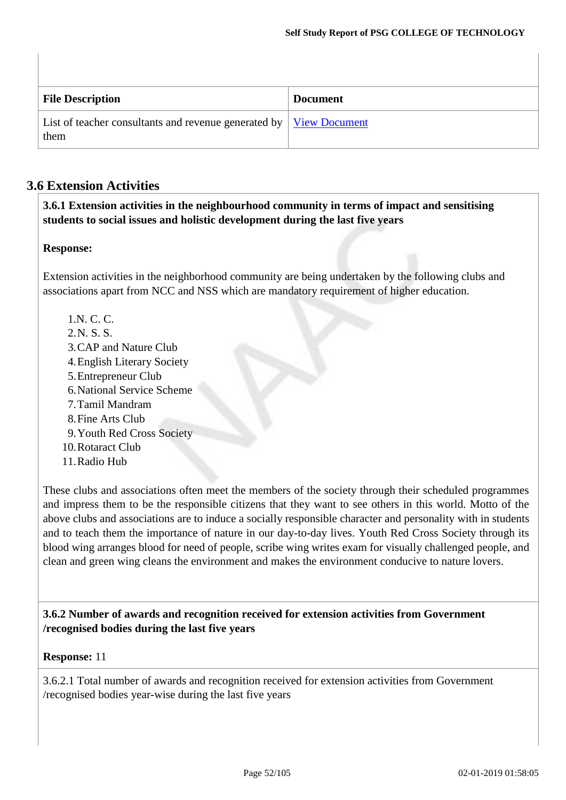| <b>File Description</b>                                                                                     | <b>Document</b> |
|-------------------------------------------------------------------------------------------------------------|-----------------|
| List of teacher consultants and revenue generated by $\sqrt{\frac{V_{\text{icW}}}{V_{\text{icW}}}}$<br>them |                 |

## **3.6 Extension Activities**

**3.6.1 Extension activities in the neighbourhood community in terms of impact and sensitising students to social issues and holistic development during the last five years**

## **Response:**

Extension activities in the neighborhood community are being undertaken by the following clubs and associations apart from NCC and NSS which are mandatory requirement of higher education.

1.N. C. C. 2.N. S. S. 3.CAP and Nature Club 4.English Literary Society 5.Entrepreneur Club 6.National Service Scheme 7.Tamil Mandram 8.Fine Arts Club 9.Youth Red Cross Society 10.Rotaract Club 11.Radio Hub

These clubs and associations often meet the members of the society through their scheduled programmes and impress them to be the responsible citizens that they want to see others in this world. Motto of the above clubs and associations are to induce a socially responsible character and personality with in students and to teach them the importance of nature in our day-to-day lives. Youth Red Cross Society through its blood wing arranges blood for need of people, scribe wing writes exam for visually challenged people, and clean and green wing cleans the environment and makes the environment conducive to nature lovers.

**3.6.2 Number of awards and recognition received for extension activities from Government /recognised bodies during the last five years**

#### **Response:** 11

3.6.2.1 Total number of awards and recognition received for extension activities from Government /recognised bodies year-wise during the last five years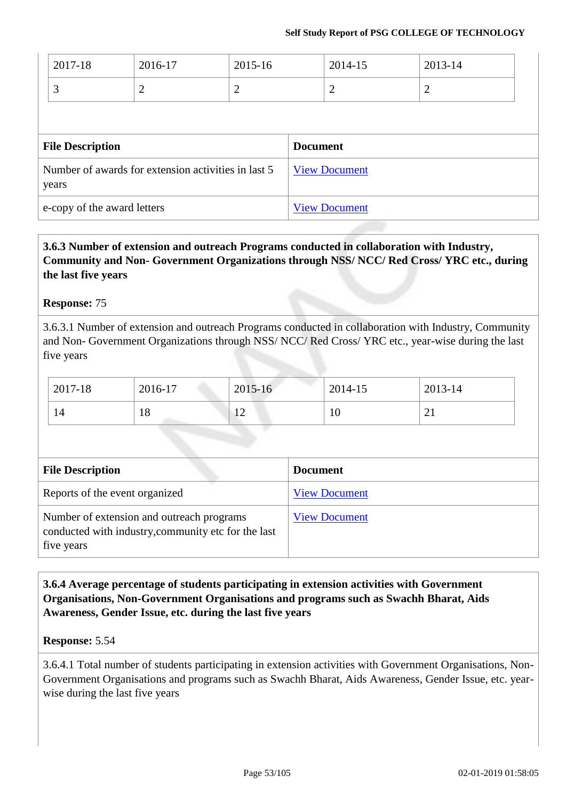| 2017-18                                                      | 2016-17                     | 2015-16              | 2014-15              | 2013-14        |
|--------------------------------------------------------------|-----------------------------|----------------------|----------------------|----------------|
| 3                                                            | $\overline{2}$              | $\overline{2}$       | 2                    | $\overline{2}$ |
|                                                              |                             |                      |                      |                |
| <b>File Description</b>                                      |                             | <b>Document</b>      |                      |                |
| Number of awards for extension activities in last 5<br>years |                             | <b>View Document</b> |                      |                |
|                                                              | e-copy of the award letters |                      | <b>View Document</b> |                |

## **3.6.3 Number of extension and outreach Programs conducted in collaboration with Industry, Community and Non- Government Organizations through NSS/ NCC/ Red Cross/ YRC etc., during the last five years**

## **Response:** 75

3.6.3.1 Number of extension and outreach Programs conducted in collaboration with Industry, Community and Non- Government Organizations through NSS/ NCC/ Red Cross/ YRC etc., year-wise during the last five years

| 2017-18 | 2016-17        | 2015-16                          | 2014-15 | 2013-14  |
|---------|----------------|----------------------------------|---------|----------|
| 14      | $\Omega$<br>10 | 1 <sub>2</sub><br>$\overline{ }$ | 10      | $\sim$ 1 |

| <b>File Description</b>                                                                                        | <b>Document</b>      |
|----------------------------------------------------------------------------------------------------------------|----------------------|
| Reports of the event organized                                                                                 | <b>View Document</b> |
| Number of extension and outreach programs<br>conducted with industry, community etc for the last<br>five years | <b>View Document</b> |

**3.6.4 Average percentage of students participating in extension activities with Government Organisations, Non-Government Organisations and programs such as Swachh Bharat, Aids Awareness, Gender Issue, etc. during the last five years**

#### **Response:** 5.54

3.6.4.1 Total number of students participating in extension activities with Government Organisations, Non-Government Organisations and programs such as Swachh Bharat, Aids Awareness, Gender Issue, etc. yearwise during the last five years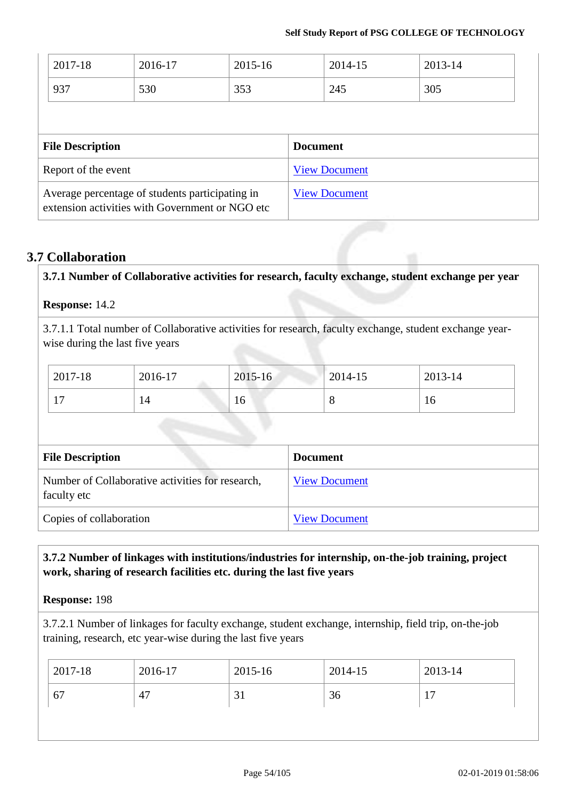| 2017-18<br>937                                                                                     | 2016-17<br>530 | 2015-16<br>353 |                      | 2014-15<br>245       | 2013-14<br>305 |
|----------------------------------------------------------------------------------------------------|----------------|----------------|----------------------|----------------------|----------------|
| <b>File Description</b>                                                                            |                |                | <b>Document</b>      |                      |                |
| Report of the event                                                                                |                |                |                      | <b>View Document</b> |                |
| Average percentage of students participating in<br>extension activities with Government or NGO etc |                |                | <b>View Document</b> |                      |                |

## **3.7 Collaboration**

| 3.7.1 Number of Collaborative activities for research, faculty exchange, student exchange per year |                                                                                                                                            |             |                      |         |  |
|----------------------------------------------------------------------------------------------------|--------------------------------------------------------------------------------------------------------------------------------------------|-------------|----------------------|---------|--|
|                                                                                                    | Response: 14.2                                                                                                                             |             |                      |         |  |
|                                                                                                    | 3.7.1.1 Total number of Collaborative activities for research, faculty exchange, student exchange year-<br>wise during the last five years |             |                      |         |  |
| 2017-18                                                                                            | 2016-17                                                                                                                                    | $2015 - 16$ | 2014-15              | 2013-14 |  |
| 17                                                                                                 | 14                                                                                                                                         | 16          | 8                    | 16      |  |
|                                                                                                    | <b>File Description</b>                                                                                                                    |             | <b>Document</b>      |         |  |
| faculty etc                                                                                        | Number of Collaborative activities for research,                                                                                           |             | <b>View Document</b> |         |  |

Copies of collaboration View [Document](https://assessmentonline.naac.gov.in/storage/app/hei/SSR/101984/3.7.1_1538977954_2163.pdf)

## **3.7.2 Number of linkages with institutions/industries for internship, on-the-job training, project work, sharing of research facilities etc. during the last five years**

**Response:** 198

3.7.2.1 Number of linkages for faculty exchange, student exchange, internship, field trip, on-the-job training, research, etc year-wise during the last five years

| $12017 - 18$ | 2016-17 | 2015-16 | 2014-15 | 2013-14 |
|--------------|---------|---------|---------|---------|
| 67           | 4,      | JI      | 36      | -       |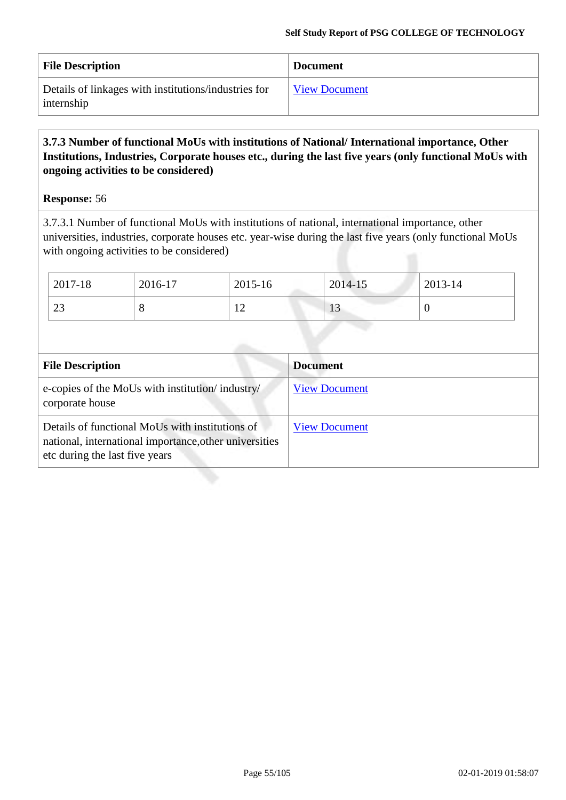| <b>File Description</b>                                            | <b>Document</b>      |
|--------------------------------------------------------------------|----------------------|
| Details of linkages with institutions/industries for<br>internship | <b>View Document</b> |

## **3.7.3 Number of functional MoUs with institutions of National/ International importance, Other Institutions, Industries, Corporate houses etc., during the last five years (only functional MoUs with ongoing activities to be considered)**

#### **Response:** 56

3.7.3.1 Number of functional MoUs with institutions of national, international importance, other universities, industries, corporate houses etc. year-wise during the last five years (only functional MoUs with ongoing activities to be considered)

| $2017 - 18$ | 2016-17 | 2015-16  | 2014-15 | 2013-14 |
|-------------|---------|----------|---------|---------|
| ີ<br>23     | O       | 1 ^<br>┸ | IJ      |         |

| <b>File Description</b>                                                                                                                     | <b>Document</b>      |
|---------------------------------------------------------------------------------------------------------------------------------------------|----------------------|
| e-copies of the MoUs with institution/industry/<br>corporate house                                                                          | <b>View Document</b> |
| Details of functional MoUs with institutions of<br>national, international importance, other universities<br>etc during the last five years | <b>View Document</b> |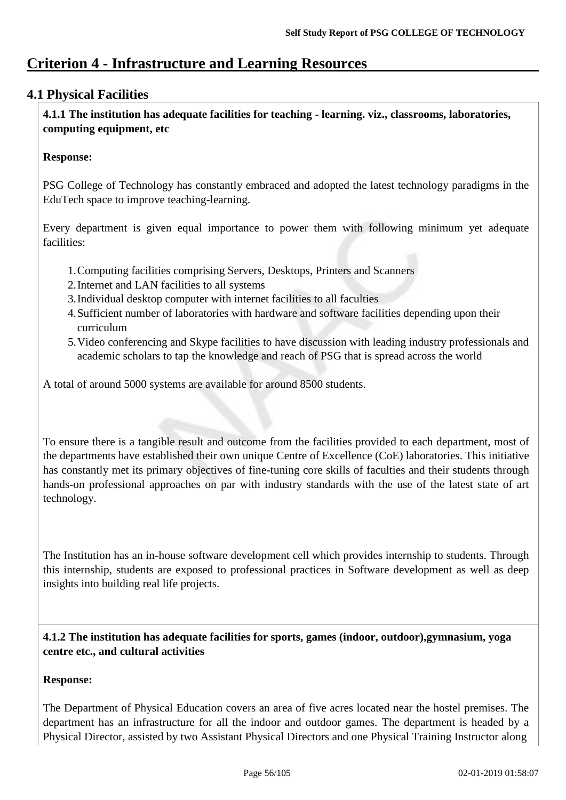## **Criterion 4 - Infrastructure and Learning Resources**

## **4.1 Physical Facilities**

**4.1.1 The institution has adequate facilities for teaching - learning. viz., classrooms, laboratories, computing equipment, etc**

## **Response:**

PSG College of Technology has constantly embraced and adopted the latest technology paradigms in the EduTech space to improve teaching-learning.

Every department is given equal importance to power them with following minimum yet adequate facilities:

- 1.Computing facilities comprising Servers, Desktops, Printers and Scanners
- 2.Internet and LAN facilities to all systems
- 3.Individual desktop computer with internet facilities to all faculties
- 4.Sufficient number of laboratories with hardware and software facilities depending upon their curriculum
- 5.Video conferencing and Skype facilities to have discussion with leading industry professionals and academic scholars to tap the knowledge and reach of PSG that is spread across the world

A total of around 5000 systems are available for around 8500 students.

To ensure there is a tangible result and outcome from the facilities provided to each department, most of the departments have established their own unique Centre of Excellence (CoE) laboratories. This initiative has constantly met its primary objectives of fine-tuning core skills of faculties and their students through hands-on professional approaches on par with industry standards with the use of the latest state of art technology.

The Institution has an in-house software development cell which provides internship to students. Through this internship, students are exposed to professional practices in Software development as well as deep insights into building real life projects.

**4.1.2 The institution has adequate facilities for sports, games (indoor, outdoor),gymnasium, yoga centre etc., and cultural activities**

## **Response:**

The Department of Physical Education covers an area of five acres located near the hostel premises. The department has an infrastructure for all the indoor and outdoor games. The department is headed by a Physical Director, assisted by two Assistant Physical Directors and one Physical Training Instructor along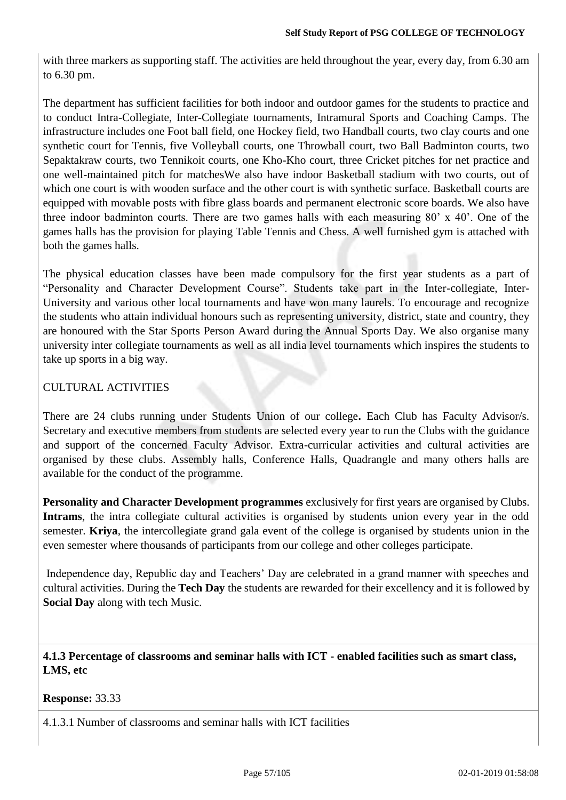with three markers as supporting staff. The activities are held throughout the year, every day, from 6.30 am to 6.30 pm.

The department has sufficient facilities for both indoor and outdoor games for the students to practice and to conduct Intra-Collegiate, Inter-Collegiate tournaments, Intramural Sports and Coaching Camps. The infrastructure includes one Foot ball field, one Hockey field, two Handball courts, two clay courts and one synthetic court for Tennis, five Volleyball courts, one Throwball court, two Ball Badminton courts, two Sepaktakraw courts, two Tennikoit courts, one Kho-Kho court, three Cricket pitches for net practice and one well-maintained pitch for matchesWe also have indoor Basketball stadium with two courts, out of which one court is with wooden surface and the other court is with synthetic surface. Basketball courts are equipped with movable posts with fibre glass boards and permanent electronic score boards. We also have three indoor badminton courts. There are two games halls with each measuring 80' x 40'. One of the games halls has the provision for playing Table Tennis and Chess. A well furnished gym is attached with both the games halls.

The physical education classes have been made compulsory for the first year students as a part of "Personality and Character Development Course". Students take part in the Inter-collegiate, Inter-University and various other local tournaments and have won many laurels. To encourage and recognize the students who attain individual honours such as representing university, district, state and country, they are honoured with the Star Sports Person Award during the Annual Sports Day. We also organise many university inter collegiate tournaments as well as all india level tournaments which inspires the students to take up sports in a big way.

## CULTURAL ACTIVITIES

There are 24 clubs running under Students Union of our college**.** Each Club has Faculty Advisor/s. Secretary and executive members from students are selected every year to run the Clubs with the guidance and support of the concerned Faculty Advisor. Extra-curricular activities and cultural activities are organised by these clubs. Assembly halls, Conference Halls, Quadrangle and many others halls are available for the conduct of the programme.

**Personality and Character Development programmes** exclusively for first years are organised by Clubs. **Intrams**, the intra collegiate cultural activities is organised by students union every year in the odd semester. **Kriya**, the intercollegiate grand gala event of the college is organised by students union in the even semester where thousands of participants from our college and other colleges participate.

Independence day, Republic day and Teachers' Day are celebrated in a grand manner with speeches and cultural activities. During the **Tech Day** the students are rewarded for their excellency and it is followed by **Social Day** along with tech Music.

**4.1.3 Percentage of classrooms and seminar halls with ICT - enabled facilities such as smart class, LMS, etc**

**Response:** 33.33

4.1.3.1 Number of classrooms and seminar halls with ICT facilities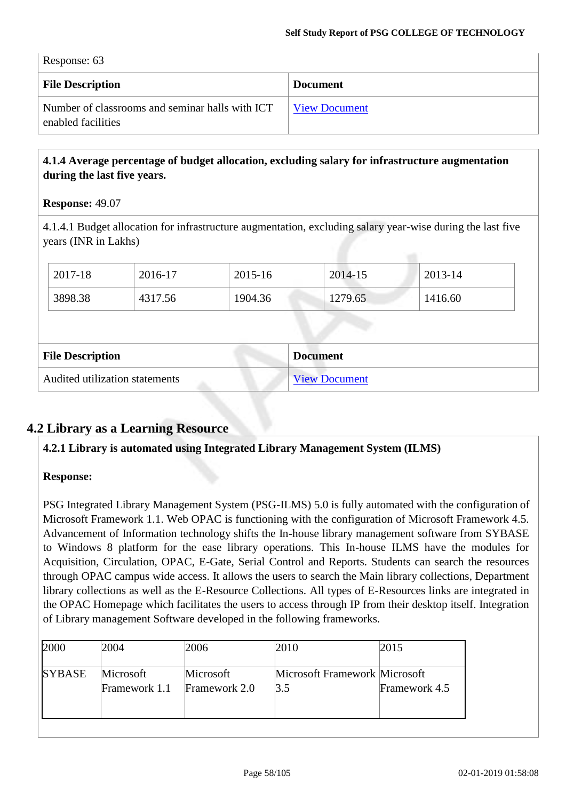| Response: 63 |  |
|--------------|--|
|--------------|--|

| <b>File Description</b>                                               | <b>Document</b> |
|-----------------------------------------------------------------------|-----------------|
| Number of classrooms and seminar halls with ICT<br>enabled facilities | View Document   |

## **4.1.4 Average percentage of budget allocation, excluding salary for infrastructure augmentation during the last five years.**

#### **Response:** 49.07

4.1.4.1 Budget allocation for infrastructure augmentation, excluding salary year-wise during the last five years (INR in Lakhs)

| 2017-18                                    | 2016-17 | 2015-16 | 2014-15              | 2013-14 |  |
|--------------------------------------------|---------|---------|----------------------|---------|--|
| 3898.38                                    | 4317.56 | 1904.36 | 1279.65              | 1416.60 |  |
|                                            |         |         |                      |         |  |
| <b>File Description</b><br><b>Document</b> |         |         |                      |         |  |
| Audited utilization statements             |         |         | <b>View Document</b> |         |  |

## **4.2 Library as a Learning Resource**

**4.2.1 Library is automated using Integrated Library Management System (ILMS)** 

## **Response:**

PSG Integrated Library Management System (PSG-ILMS) 5.0 is fully automated with the configuration of Microsoft Framework 1.1. Web OPAC is functioning with the configuration of Microsoft Framework 4.5. Advancement of Information technology shifts the In-house library management software from SYBASE to Windows 8 platform for the ease library operations. This In-house ILMS have the modules for Acquisition, Circulation, OPAC, E-Gate, Serial Control and Reports. Students can search the resources through OPAC campus wide access. It allows the users to search the Main library collections, Department library collections as well as the E-Resource Collections. All types of E-Resources links are integrated in the OPAC Homepage which facilitates the users to access through IP from their desktop itself. Integration of Library management Software developed in the following frameworks.

| 2000          | 2004                       | 2006                       | 2010                                               | 2015          |
|---------------|----------------------------|----------------------------|----------------------------------------------------|---------------|
| <b>SYBASE</b> | Microsoft<br>Framework 1.1 | Microsoft<br>Framework 2.0 | Microsoft Framework Microsoft<br>$\vert 3.5 \vert$ | Framework 4.5 |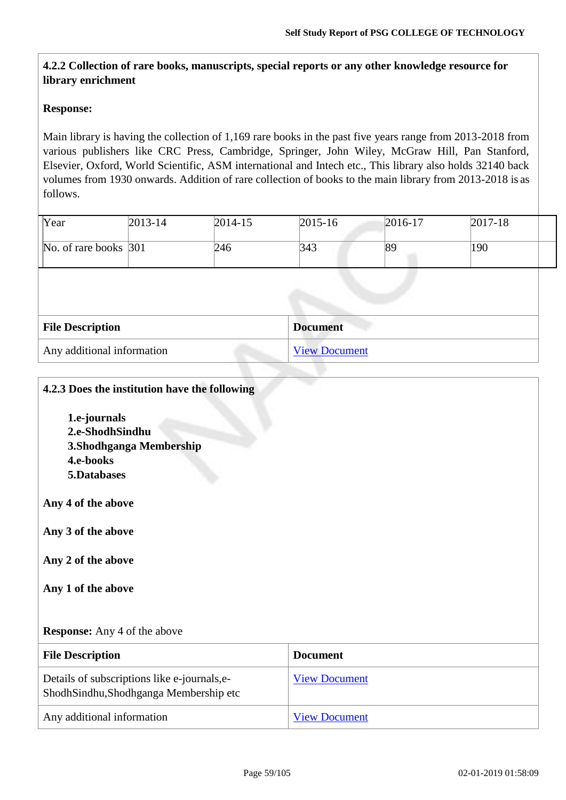## **4.2.2 Collection of rare books, manuscripts, special reports or any other knowledge resource for library enrichment**

#### **Response:**

Main library is having the collection of 1,169 rare books in the past five years range from 2013-2018 from various publishers like CRC Press, Cambridge, Springer, John Wiley, McGraw Hill, Pan Stanford, Elsevier, Oxford, World Scientific, ASM international and Intech etc., This library also holds 32140 back volumes from 1930 onwards. Addition of rare collection of books to the main library from 2013-2018 is as follows.

| Year                       | $2013 - 14$ | $2014 - 15$ | $2015 - 16$          | $2016 - 17$ | $ 2017-18 $ |  |
|----------------------------|-------------|-------------|----------------------|-------------|-------------|--|
| No. of rare books 301      |             | 246         | 343                  | 89          | 190         |  |
|                            |             |             |                      |             |             |  |
|                            |             |             |                      |             |             |  |
| <b>File Description</b>    |             |             | <b>Document</b>      |             |             |  |
| Any additional information |             |             | <b>View Document</b> |             |             |  |

#### **4.2.3 Does the institution have the following**

**1.e-journals 2.e-ShodhSindhu 3.Shodhganga Membership 4.e-books 5.Databases** 

**Any 4 of the above** 

**Any 3 of the above** 

**Any 2 of the above** 

**Any 1 of the above**

#### **Response:** Any 4 of the above

| <b>File Description</b>                                                               | <b>Document</b>      |
|---------------------------------------------------------------------------------------|----------------------|
| Details of subscriptions like e-journals, e-<br>ShodhSindhu,Shodhganga Membership etc | <b>View Document</b> |
| Any additional information                                                            | <b>View Document</b> |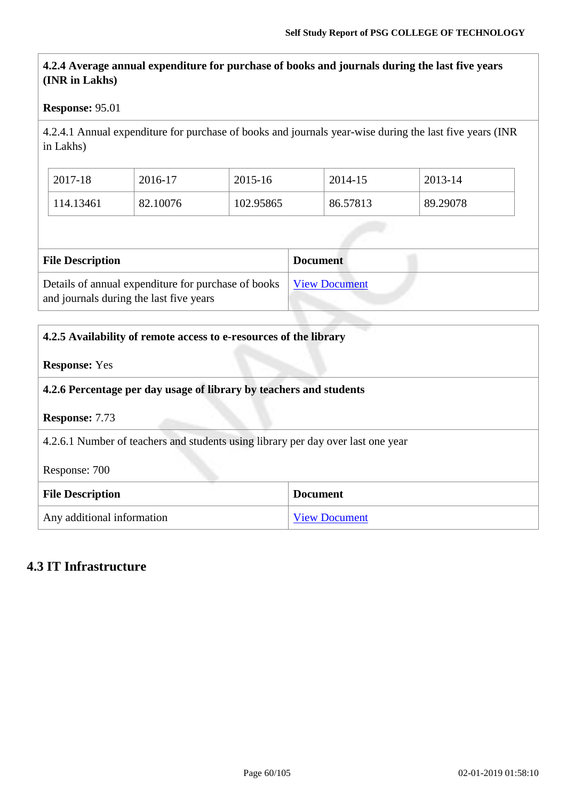## **4.2.4 Average annual expenditure for purchase of books and journals during the last five years (INR in Lakhs)**

#### **Response:** 95.01

4.2.4.1 Annual expenditure for purchase of books and journals year-wise during the last five years (INR in Lakhs)

| 2017-18   | 2016-17  | 2015-16   | 2014-15  | 2013-14  |
|-----------|----------|-----------|----------|----------|
| 114.13461 | 82.10076 | 102.95865 | 86.57813 | 89.29078 |

| <b>File Description</b>                                                                        | <b>Document</b>      |
|------------------------------------------------------------------------------------------------|----------------------|
| Details of annual expenditure for purchase of books<br>and journals during the last five years | <b>View Document</b> |

| 4.2.5 Availability of remote access to e-resources of the library  |                                                                                  |  |  |  |
|--------------------------------------------------------------------|----------------------------------------------------------------------------------|--|--|--|
| <b>Response:</b> Yes                                               |                                                                                  |  |  |  |
| 4.2.6 Percentage per day usage of library by teachers and students |                                                                                  |  |  |  |
| <b>Response: 7.73</b>                                              |                                                                                  |  |  |  |
|                                                                    | 4.2.6.1 Number of teachers and students using library per day over last one year |  |  |  |
| Response: 700                                                      |                                                                                  |  |  |  |
| <b>File Description</b><br><b>Document</b>                         |                                                                                  |  |  |  |
| Any additional information                                         | <b>View Document</b>                                                             |  |  |  |

## **4.3 IT Infrastructure**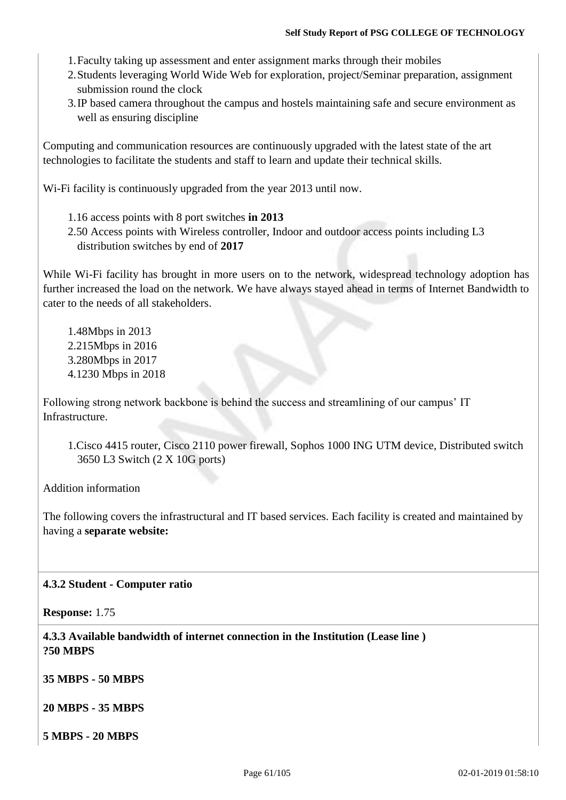- 1.Faculty taking up assessment and enter assignment marks through their mobiles
- 2.Students leveraging World Wide Web for exploration, project/Seminar preparation, assignment submission round the clock
- 3.IP based camera throughout the campus and hostels maintaining safe and secure environment as well as ensuring discipline

Computing and communication resources are continuously upgraded with the latest state of the art technologies to facilitate the students and staff to learn and update their technical skills.

Wi-Fi facility is continuously upgraded from the year 2013 until now.

- 1.16 access points with 8 port switches **in 2013**
- 2.50 Access points with Wireless controller, Indoor and outdoor access points including L3 distribution switches by end of **2017**

While Wi-Fi facility has brought in more users on to the network, widespread technology adoption has further increased the load on the network. We have always stayed ahead in terms of Internet Bandwidth to cater to the needs of all stakeholders.

1.48Mbps in 2013 2.215Mbps in 2016 3.280Mbps in 2017 4.1230 Mbps in 2018

Following strong network backbone is behind the success and streamlining of our campus' IT **Infrastructure.** 

1.Cisco 4415 router, Cisco 2110 power firewall, Sophos 1000 ING UTM device, Distributed switch 3650 L3 Switch (2 X 10G ports)

Addition information

The following covers the infrastructural and IT based services. Each facility is created and maintained by having a **separate website:**

## **4.3.2 Student - Computer ratio**

**Response:** 1.75

**4.3.3 Available bandwidth of internet connection in the Institution (Lease line ) ?50 MBPS**

**35 MBPS - 50 MBPS**

**20 MBPS - 35 MBPS**

**5 MBPS - 20 MBPS**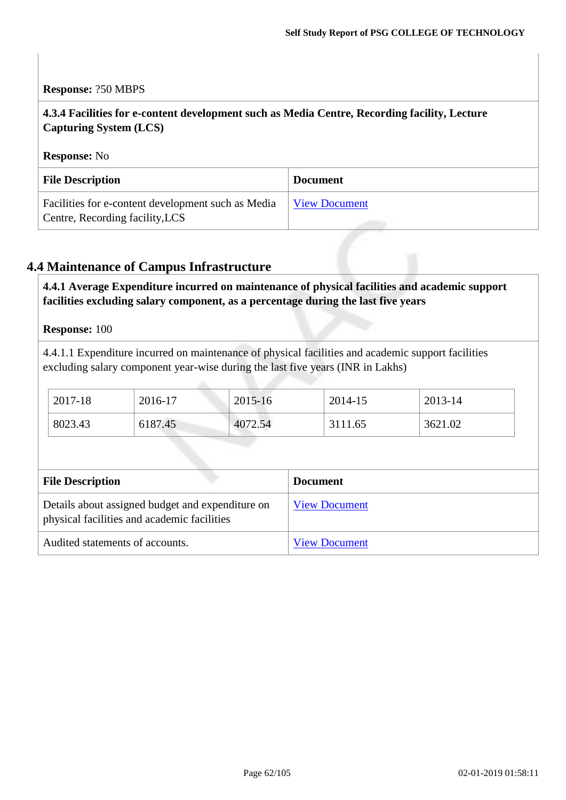#### **Response:** ?50 MBPS

**4.3.4 Facilities for e-content development such as Media Centre, Recording facility, Lecture Capturing System (LCS)**

**Response:** No

| <b>File Description</b>                                                               | <b>Document</b>      |
|---------------------------------------------------------------------------------------|----------------------|
| Facilities for e-content development such as Media<br>Centre, Recording facility, LCS | <b>View Document</b> |

## **4.4 Maintenance of Campus Infrastructure**

**4.4.1 Average Expenditure incurred on maintenance of physical facilities and academic support facilities excluding salary component, as a percentage during the last five years**

**Response:** 100

4.4.1.1 Expenditure incurred on maintenance of physical facilities and academic support facilities excluding salary component year-wise during the last five years (INR in Lakhs)

| 2017-18 | 2016-17 | 2015-16 | 2014-15 | 2013-14 |
|---------|---------|---------|---------|---------|
| 8023.43 | 6187.45 | 4072.54 | 3111.65 | 3621.02 |

| <b>File Description</b>                                                                         | <b>Document</b>      |
|-------------------------------------------------------------------------------------------------|----------------------|
| Details about assigned budget and expenditure on<br>physical facilities and academic facilities | <b>View Document</b> |
| Audited statements of accounts.                                                                 | <b>View Document</b> |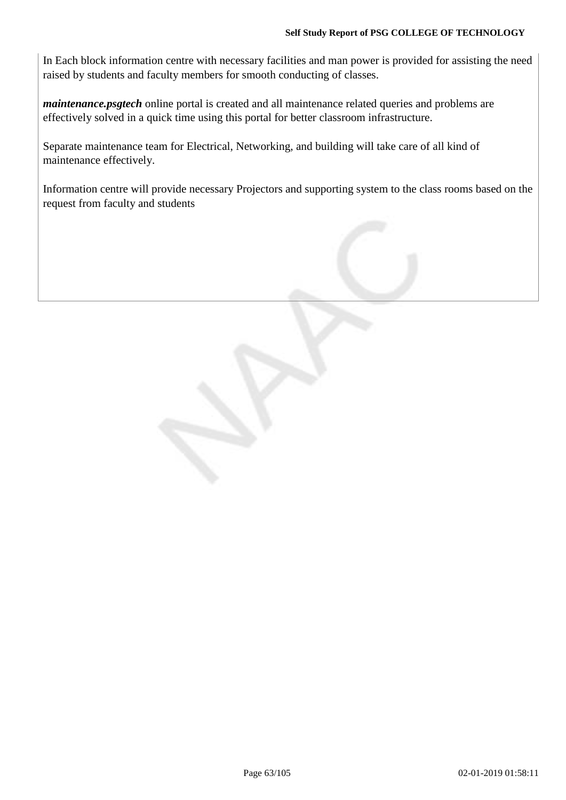In Each block information centre with necessary facilities and man power is provided for assisting the need raised by students and faculty members for smooth conducting of classes.

*maintenance.psgtech* online portal is created and all maintenance related queries and problems are effectively solved in a quick time using this portal for better classroom infrastructure.

Separate maintenance team for Electrical, Networking, and building will take care of all kind of maintenance effectively.

Information centre will provide necessary Projectors and supporting system to the class rooms based on the request from faculty and students

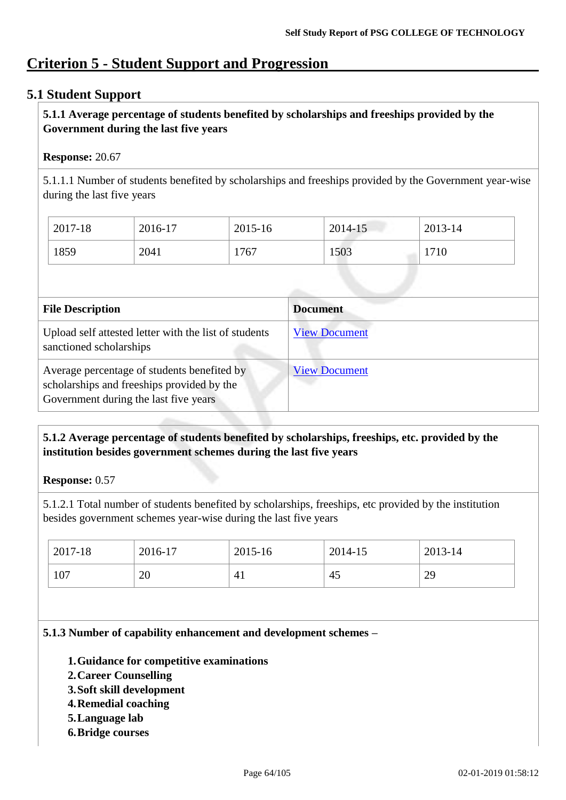## **Criterion 5 - Student Support and Progression**

## **5.1 Student Support**

## **5.1.1 Average percentage of students benefited by scholarships and freeships provided by the Government during the last five years**

## **Response:** 20.67

5.1.1.1 Number of students benefited by scholarships and freeships provided by the Government year-wise during the last five years

| $^{\circ}$ 2017-18 | 2016-17 | $2015 - 16$ | $2014 - 15$ | $2013 - 14$ |
|--------------------|---------|-------------|-------------|-------------|
| 1859               | 2041    | 1767        | 1503        | 1710        |

| <b>File Description</b>                                                                                                            | <b>Document</b>      |
|------------------------------------------------------------------------------------------------------------------------------------|----------------------|
| Upload self attested letter with the list of students<br>sanctioned scholarships                                                   | <b>View Document</b> |
| Average percentage of students benefited by<br>scholarships and freeships provided by the<br>Government during the last five years | <b>View Document</b> |

## **5.1.2 Average percentage of students benefited by scholarships, freeships, etc. provided by the institution besides government schemes during the last five years**

**Response:** 0.57

5.1.2.1 Total number of students benefited by scholarships, freeships, etc provided by the institution besides government schemes year-wise during the last five years

| $\frac{1}{2017}$ -18 | 2016-17  | 2015-16        | 2014-15 | $2013 - 14$ |
|----------------------|----------|----------------|---------|-------------|
| 107                  | ററ<br>ZV | 4 <sub>1</sub> | 45      | 29          |

## **5.1.3 Number of capability enhancement and development schemes –**

- **1.Guidance for competitive examinations**
- **2.Career Counselling**
- **3.Soft skill development**
- **4.Remedial coaching**
- **5.Language lab**
- **6.Bridge courses**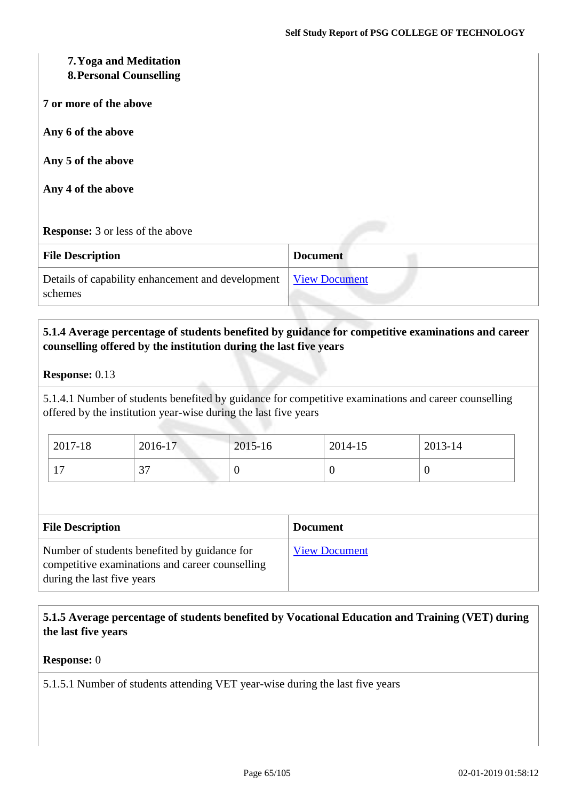# **7.Yoga and Meditation 8.Personal Counselling 7 or more of the above Any 6 of the above Any 5 of the above Any 4 of the above Response:** 3 or less of the above **File Description Document** Details of capability enhancement and development schemes [View Document](https://assessmentonline.naac.gov.in/storage/app/hei/SSR/101984/5.1.3_1538635146_2163.xlsx)

## **5.1.4 Average percentage of students benefited by guidance for competitive examinations and career counselling offered by the institution during the last five years**

#### **Response:** 0.13

5.1.4.1 Number of students benefited by guidance for competitive examinations and career counselling offered by the institution year-wise during the last five years

| $2017 - 18$ | 2016-17       | 2015-16 | 2014-15 | $2013 - 14$ |
|-------------|---------------|---------|---------|-------------|
| . .         | $\sim$<br>، ب | v       |         | ν           |

| <b>File Description</b>                                                                                                       | <b>Document</b>      |
|-------------------------------------------------------------------------------------------------------------------------------|----------------------|
| Number of students benefited by guidance for<br>competitive examinations and career counselling<br>during the last five years | <b>View Document</b> |

## **5.1.5 Average percentage of students benefited by Vocational Education and Training (VET) during the last five years**

#### **Response:** 0

5.1.5.1 Number of students attending VET year-wise during the last five years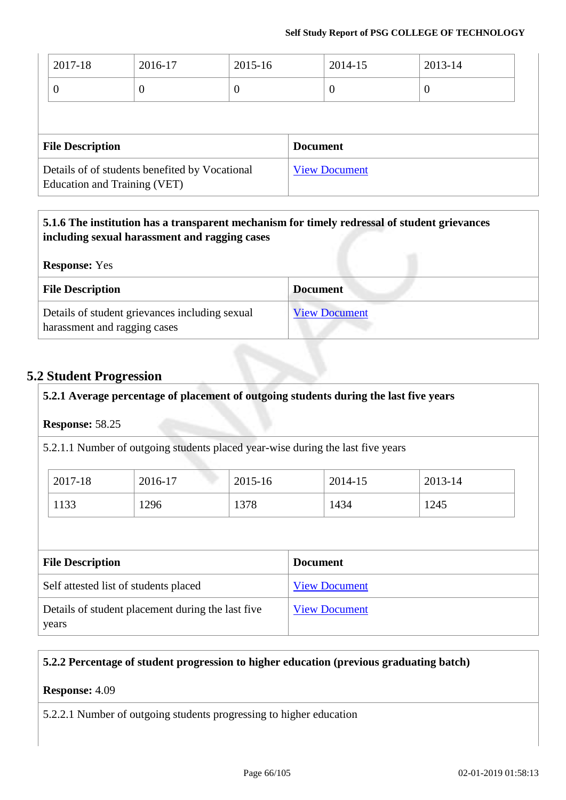| 2017-18                      | 2016-17                                        | 2015-16 |                 | 2014-15              | 2013-14          |
|------------------------------|------------------------------------------------|---------|-----------------|----------------------|------------------|
| 0                            | $\theta$                                       | O       |                 | $\theta$             | $\boldsymbol{0}$ |
|                              |                                                |         |                 |                      |                  |
| <b>File Description</b>      |                                                |         | <b>Document</b> |                      |                  |
| Education and Training (VET) | Details of of students benefited by Vocational |         |                 | <b>View Document</b> |                  |

## **5.1.6 The institution has a transparent mechanism for timely redressal of student grievances including sexual harassment and ragging cases**

| <b>Response:</b> Yes                                                           |                      |
|--------------------------------------------------------------------------------|----------------------|
| <b>File Description</b>                                                        | <b>Document</b>      |
| Details of student grievances including sexual<br>harassment and ragging cases | <b>View Document</b> |

## **5.2 Student Progression**

## **5.2.1 Average percentage of placement of outgoing students during the last five years**

## **Response:** 58.25

5.2.1.1 Number of outgoing students placed year-wise during the last five years

| 2017-18 | 2016-17 | 2015-16 | 2014-15 | 2013-14 |
|---------|---------|---------|---------|---------|
| 1133    | 1296    | 1378    | 1434    | 1245    |

| <b>File Description</b>                                    | <b>Document</b>      |
|------------------------------------------------------------|----------------------|
| Self attested list of students placed                      | <b>View Document</b> |
| Details of student placement during the last five<br>years | <b>View Document</b> |

## **5.2.2 Percentage of student progression to higher education (previous graduating batch)**

## **Response:** 4.09

5.2.2.1 Number of outgoing students progressing to higher education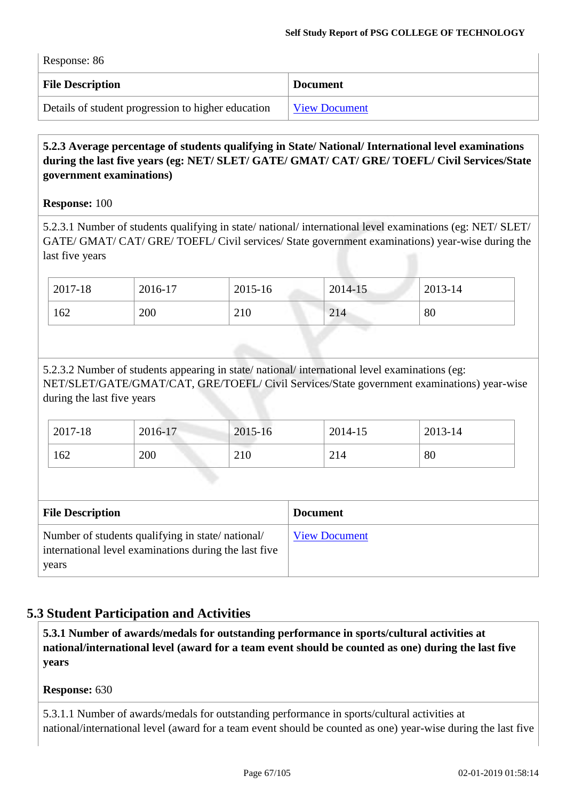| $\sim$ response. $\sigma$                          |                      |
|----------------------------------------------------|----------------------|
| <b>File Description</b>                            | <b>Document</b>      |
| Details of student progression to higher education | <b>View Document</b> |

## **5.2.3 Average percentage of students qualifying in State/ National/ International level examinations during the last five years (eg: NET/ SLET/ GATE/ GMAT/ CAT/ GRE/ TOEFL/ Civil Services/State government examinations)**

## **Response:** 100

 $R_{\text{C}^{\text{an}}\text{C}^{\text{an}}\text{C}^{\text{an}}\text{C}^{\text{an}}$ 

5.2.3.1 Number of students qualifying in state/ national/ international level examinations (eg: NET/ SLET/ GATE/ GMAT/ CAT/ GRE/ TOEFL/ Civil services/ State government examinations) year-wise during the last five years

| 2017-18 | 2016-17 | 2015-16 | $2014 - 15$ | $2013 - 14$ |
|---------|---------|---------|-------------|-------------|
| 162     | 200     | 210     | 214         | 80          |

5.2.3.2 Number of students appearing in state/ national/ international level examinations (eg: NET/SLET/GATE/GMAT/CAT, GRE/TOEFL/ Civil Services/State government examinations) year-wise during the last five years

| 2017-18 | 2016-17 | 2015-16 | 2014-15 | $2013 - 14$ |
|---------|---------|---------|---------|-------------|
| 162     | 200     | 210     | 214     | -80         |

| <b>File Description</b>                                                                                            | <b>Document</b>      |
|--------------------------------------------------------------------------------------------------------------------|----------------------|
| Number of students qualifying in state/national/<br>international level examinations during the last five<br>years | <b>View Document</b> |

## **5.3 Student Participation and Activities**

**5.3.1 Number of awards/medals for outstanding performance in sports/cultural activities at national/international level (award for a team event should be counted as one) during the last five years**

## **Response:** 630

5.3.1.1 Number of awards/medals for outstanding performance in sports/cultural activities at national/international level (award for a team event should be counted as one) year-wise during the last five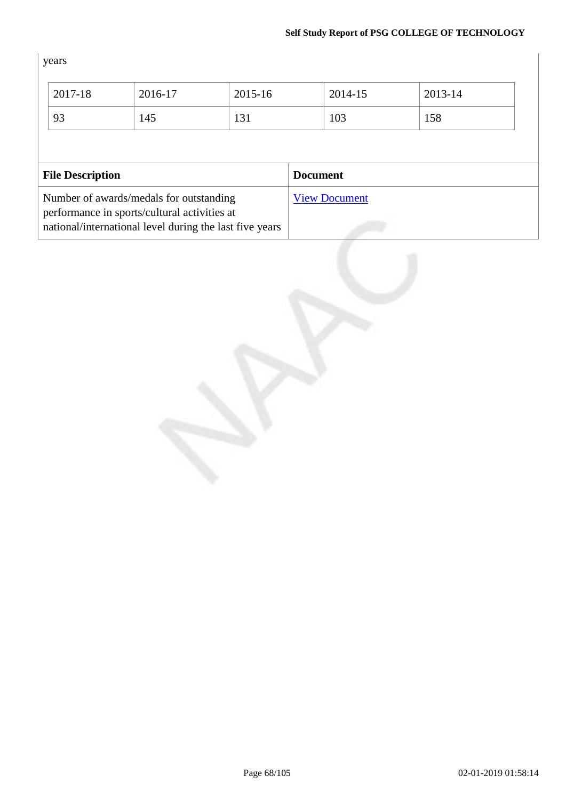years

| 2017-18                 | 2016-17                                                 | 2015-16 | 2014-15              | 2013-14 |
|-------------------------|---------------------------------------------------------|---------|----------------------|---------|
| 93                      | 145                                                     | 131     | 103                  | 158     |
|                         |                                                         |         |                      |         |
|                         |                                                         |         |                      |         |
| <b>File Description</b> |                                                         |         | <b>Document</b>      |         |
|                         | Number of awards/medals for outstanding                 |         | <b>View Document</b> |         |
|                         | performance in sports/cultural activities at            |         |                      |         |
|                         | national/international level during the last five years |         |                      |         |

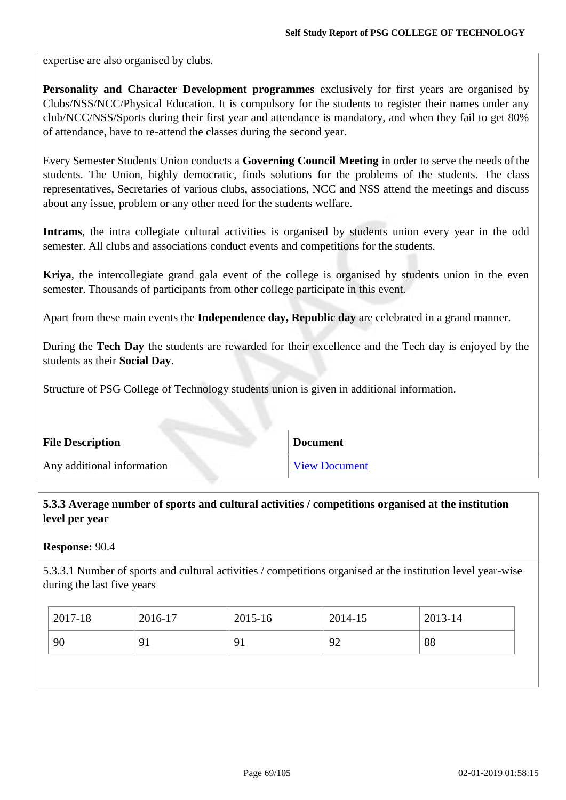expertise are also organised by clubs.

**Personality and Character Development programmes** exclusively for first years are organised by Clubs/NSS/NCC/Physical Education. It is compulsory for the students to register their names under any club/NCC/NSS/Sports during their first year and attendance is mandatory, and when they fail to get 80% of attendance, have to re-attend the classes during the second year.

Every Semester Students Union conducts a **Governing Council Meeting** in order to serve the needs ofthe students. The Union, highly democratic, finds solutions for the problems of the students. The class representatives, Secretaries of various clubs, associations, NCC and NSS attend the meetings and discuss about any issue, problem or any other need for the students welfare.

**Intrams**, the intra collegiate cultural activities is organised by students union every year in the odd semester. All clubs and associations conduct events and competitions for the students.

**Kriya**, the intercollegiate grand gala event of the college is organised by students union in the even semester. Thousands of participants from other college participate in this event.

Apart from these main events the **Independence day, Republic day** are celebrated in a grand manner.

During the **Tech Day** the students are rewarded for their excellence and the Tech day is enjoyed by the students as their **Social Day**.

Structure of PSG College of Technology students union is given in additional information.

| <b>File Description</b>    | ⊩Document            |
|----------------------------|----------------------|
| Any additional information | <b>View Document</b> |

## **5.3.3 Average number of sports and cultural activities / competitions organised at the institution level per year**

## **Response:** 90.4

5.3.3.1 Number of sports and cultural activities / competitions organised at the institution level year-wise during the last five years

|                                | 2013-14 |
|--------------------------------|---------|
| 90<br>91<br>$\mathbf{Q}$<br>92 | 88      |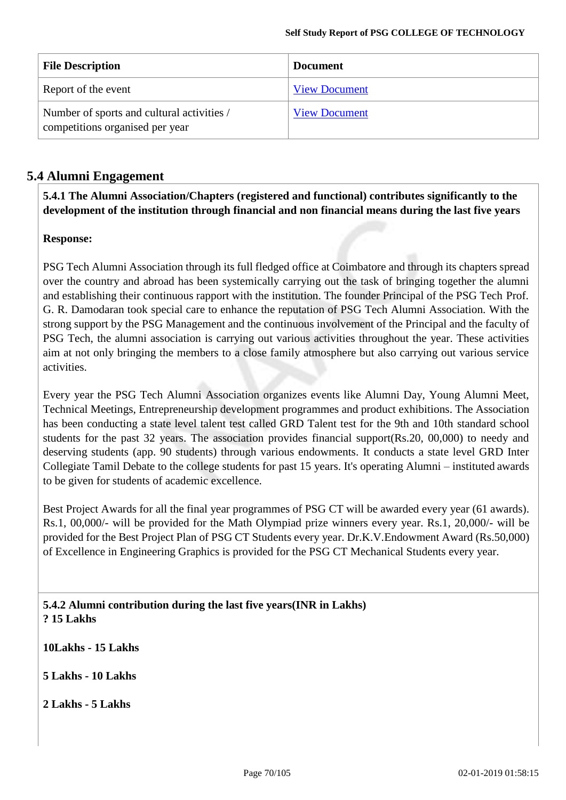| <b>File Description</b>                                                       | <b>Document</b>      |
|-------------------------------------------------------------------------------|----------------------|
| Report of the event                                                           | <b>View Document</b> |
| Number of sports and cultural activities /<br>competitions organised per year | <b>View Document</b> |

## **5.4 Alumni Engagement**

**5.4.1 The Alumni Association/Chapters (registered and functional) contributes significantly to the development of the institution through financial and non financial means during the last five years**

## **Response:**

PSG Tech Alumni Association through its full fledged office at Coimbatore and through its chapters spread over the country and abroad has been systemically carrying out the task of bringing together the alumni and establishing their continuous rapport with the institution. The founder Principal of the PSG Tech Prof. G. R. Damodaran took special care to enhance the reputation of PSG Tech Alumni Association. With the strong support by the PSG Management and the continuous involvement of the Principal and the faculty of PSG Tech, the alumni association is carrying out various activities throughout the year. These activities aim at not only bringing the members to a close family atmosphere but also carrying out various service activities.

Every year the PSG Tech Alumni Association organizes events like Alumni Day, Young Alumni Meet, Technical Meetings, Entrepreneurship development programmes and product exhibitions. The Association has been conducting a state level talent test called GRD Talent test for the 9th and 10th standard school students for the past 32 years. The association provides financial support(Rs.20, 00,000) to needy and deserving students (app. 90 students) through various endowments. It conducts a state level GRD Inter Collegiate Tamil Debate to the college students for past 15 years. It's operating Alumni – instituted awards to be given for students of academic excellence.

Best Project Awards for all the final year programmes of PSG CT will be awarded every year (61 awards). Rs.1, 00,000/- will be provided for the Math Olympiad prize winners every year. Rs.1, 20,000/- will be provided for the Best Project Plan of PSG CT Students every year. Dr.K.V.Endowment Award (Rs.50,000) of Excellence in Engineering Graphics is provided for the PSG CT Mechanical Students every year.

**5.4.2 Alumni contribution during the last five years(INR in Lakhs) ? 15 Lakhs** 

**10Lakhs - 15 Lakhs** 

**5 Lakhs - 10 Lakhs**

**2 Lakhs - 5 Lakhs**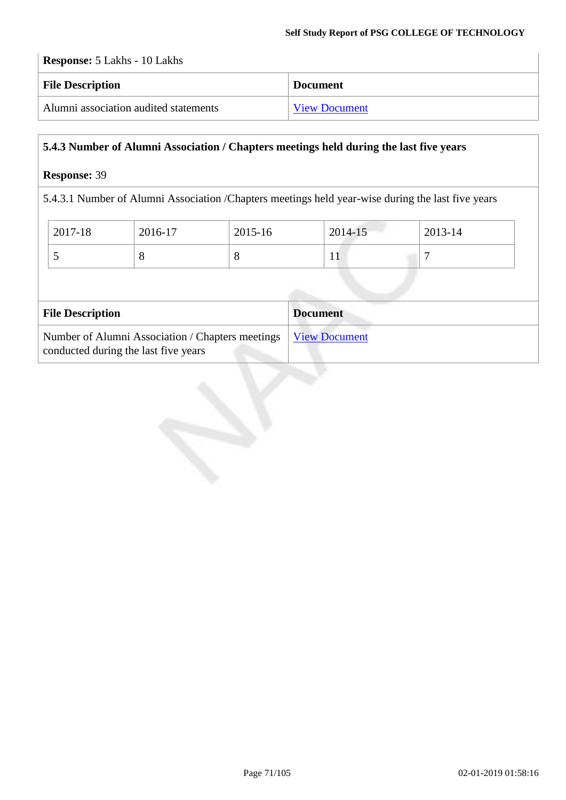## **Response:** 5 Lakhs - 10 Lakhs

| <b>File Description</b>               | <b>Document</b>      |
|---------------------------------------|----------------------|
| Alumni association audited statements | <b>View Document</b> |

## **5.4.3 Number of Alumni Association / Chapters meetings held during the last five years**

## **Response:** 39

5.4.3.1 Number of Alumni Association /Chapters meetings held year-wise during the last five years

| 2017-18 | 2016-17 | 2015-16 | 2014-15      | 2013-14 |
|---------|---------|---------|--------------|---------|
| ັ       | Ő       | Ő       | $\mathbf{r}$ |         |

| <b>File Description</b>                                                                                  | <b>Document</b> |
|----------------------------------------------------------------------------------------------------------|-----------------|
| Number of Alumni Association / Chapters meetings   View Document<br>conducted during the last five years |                 |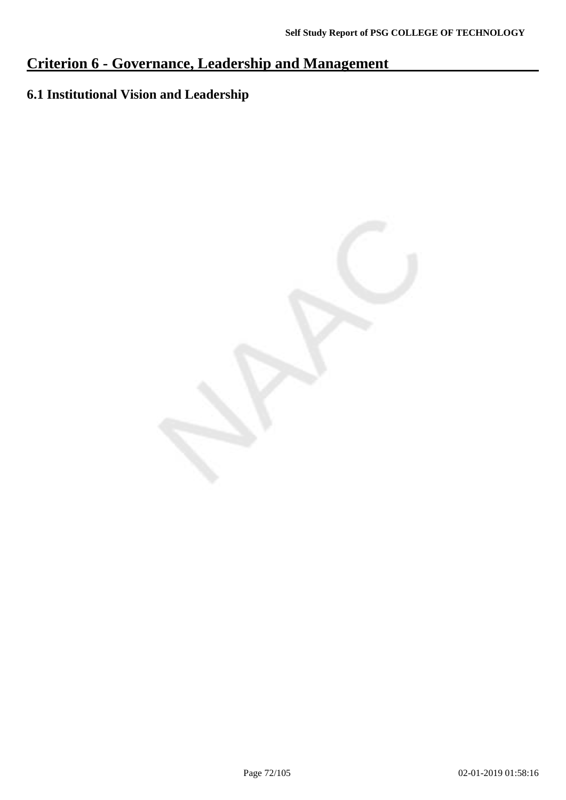## **Criterion 6 - Governance, Leadership and Management**

## **6.1 Institutional Vision and Leadership**

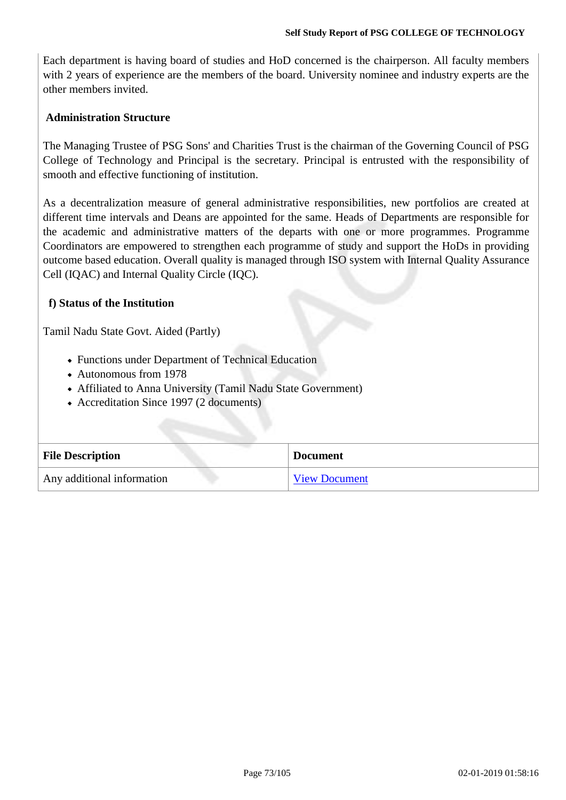Each department is having board of studies and HoD concerned is the chairperson. All faculty members with 2 years of experience are the members of the board. University nominee and industry experts are the other members invited.

### **Administration Structure**

The Managing Trustee of PSG Sons' and Charities Trust is the chairman of the Governing Council of PSG College of Technology and Principal is the secretary. Principal is entrusted with the responsibility of smooth and effective functioning of institution.

As a decentralization measure of general administrative responsibilities, new portfolios are created at different time intervals and Deans are appointed for the same. Heads of Departments are responsible for the academic and administrative matters of the departs with one or more programmes. Programme Coordinators are empowered to strengthen each programme of study and support the HoDs in providing outcome based education. Overall quality is managed through ISO system with Internal Quality Assurance Cell (IQAC) and Internal Quality Circle (IQC).

### **f) Status of the Institution**

Tamil Nadu State Govt. Aided (Partly)

- Functions under Department of Technical Education
- Autonomous from 1978
- Affiliated to Anna University (Tamil Nadu State Government)
- Accreditation Since 1997 (2 documents)

| <b>File Description</b>    | <b>Document</b>      |
|----------------------------|----------------------|
| Any additional information | <b>View Document</b> |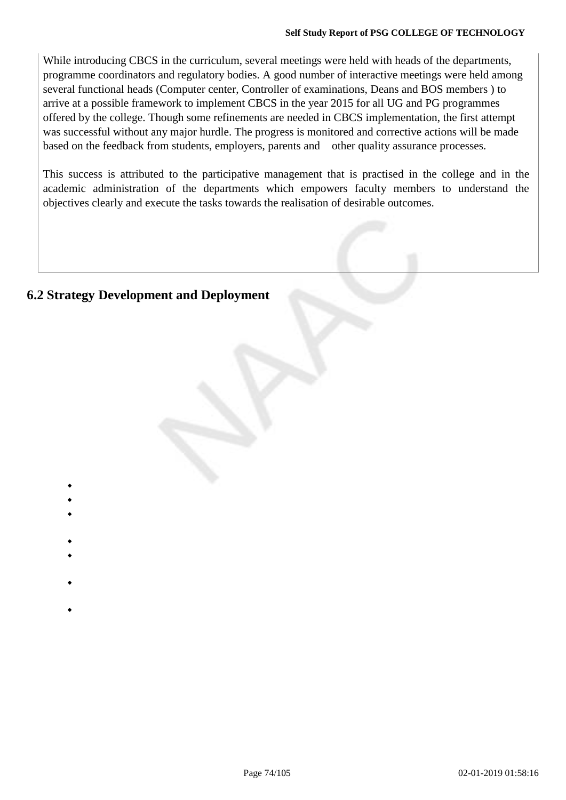While introducing CBCS in the curriculum, several meetings were held with heads of the departments, programme coordinators and regulatory bodies. A good number of interactive meetings were held among several functional heads (Computer center, Controller of examinations, Deans and BOS members ) to arrive at a possible framework to implement CBCS in the year 2015 for all UG and PG programmes offered by the college. Though some refinements are needed in CBCS implementation, the first attempt was successful without any major hurdle. The progress is monitored and corrective actions will be made based on the feedback from students, employers, parents and other quality assurance processes.

This success is attributed to the participative management that is practised in the college and in the academic administration of the departments which empowers faculty members to understand the objectives clearly and execute the tasks towards the realisation of desirable outcomes.

# **6.2 Strategy Development and Deployment**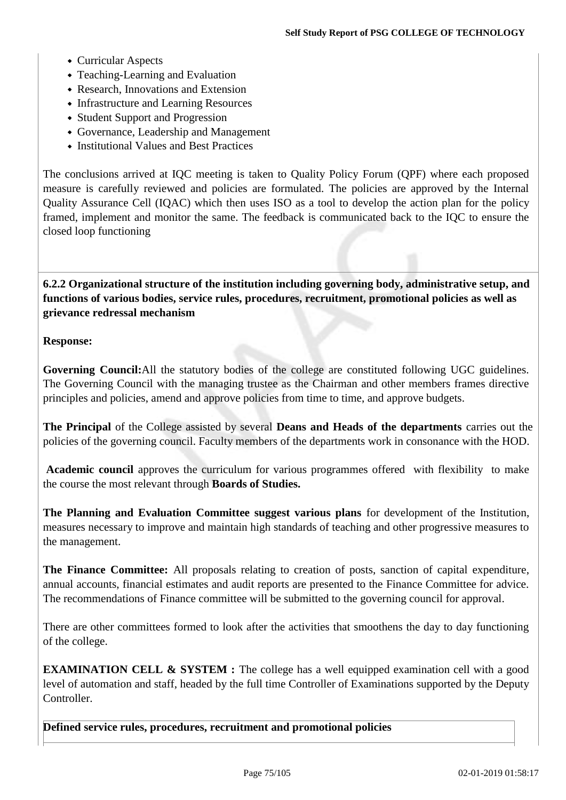- Curricular Aspects
- Teaching-Learning and Evaluation
- Research, Innovations and Extension
- Infrastructure and Learning Resources
- Student Support and Progression
- Governance, Leadership and Management
- Institutional Values and Best Practices

The conclusions arrived at IQC meeting is taken to Quality Policy Forum (QPF) where each proposed measure is carefully reviewed and policies are formulated. The policies are approved by the Internal Quality Assurance Cell (IQAC) which then uses ISO as a tool to develop the action plan for the policy framed, implement and monitor the same. The feedback is communicated back to the IQC to ensure the closed loop functioning

**6.2.2 Organizational structure of the institution including governing body, administrative setup, and functions of various bodies, service rules, procedures, recruitment, promotional policies as well as grievance redressal mechanism**

### **Response:**

**Governing Council:**All the statutory bodies of the college are constituted following UGC guidelines. The Governing Council with the managing trustee as the Chairman and other members frames directive principles and policies, amend and approve policies from time to time, and approve budgets.

**The Principal** of the College assisted by several **Deans and Heads of the departments** carries out the policies of the governing council. Faculty members of the departments work in consonance with the HOD.

**Academic council** approves the curriculum for various programmes offered with flexibility to make the course the most relevant through **Boards of Studies.**

**The Planning and Evaluation Committee suggest various plans** for development of the Institution, measures necessary to improve and maintain high standards of teaching and other progressive measures to the management.

**The Finance Committee:** All proposals relating to creation of posts, sanction of capital expenditure, annual accounts, financial estimates and audit reports are presented to the Finance Committee for advice. The recommendations of Finance committee will be submitted to the governing council for approval.

There are other committees formed to look after the activities that smoothens the day to day functioning of the college.

**EXAMINATION CELL & SYSTEM :** The college has a well equipped examination cell with a good level of automation and staff, headed by the full time Controller of Examinations supported by the Deputy Controller.

**Defined service rules, procedures, recruitment and promotional policies**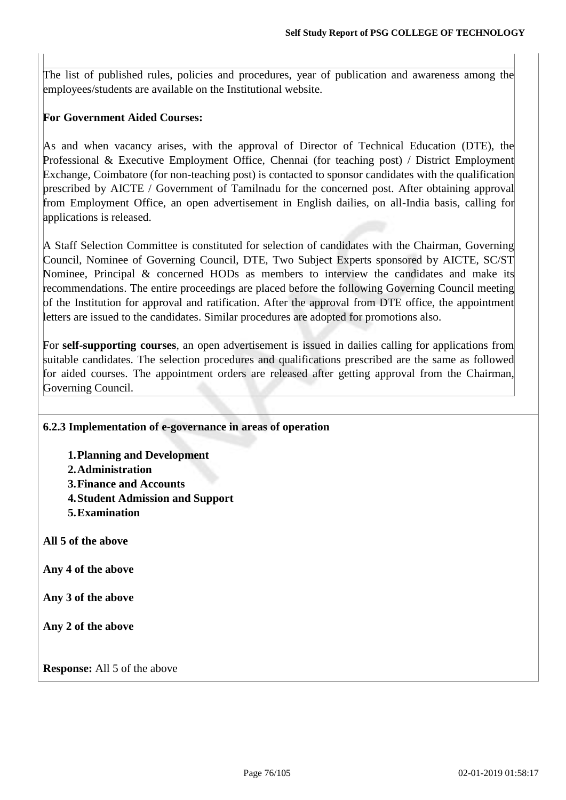The list of published rules, policies and procedures, year of publication and awareness among the employees/students are available on the Institutional website.

### **For Government Aided Courses:**

As and when vacancy arises, with the approval of Director of Technical Education (DTE), the Professional & Executive Employment Office, Chennai (for teaching post) / District Employment Exchange, Coimbatore (for non-teaching post) is contacted to sponsor candidates with the qualification prescribed by AICTE / Government of Tamilnadu for the concerned post. After obtaining approval from Employment Office, an open advertisement in English dailies, on all-India basis, calling for applications is released.

A Staff Selection Committee is constituted for selection of candidates with the Chairman, Governing Council, Nominee of Governing Council, DTE, Two Subject Experts sponsored by AICTE, SC/ST Nominee, Principal & concerned HODs as members to interview the candidates and make its recommendations. The entire proceedings are placed before the following Governing Council meeting of the Institution for approval and ratification. After the approval from DTE office, the appointment letters are issued to the candidates. Similar procedures are adopted for promotions also.

For **self-supporting courses**, an open advertisement is issued in dailies calling for applications from suitable candidates. The selection procedures and qualifications prescribed are the same as followed for aided courses. The appointment orders are released after getting approval from the Chairman, Governing Council.

### **6.2.3 Implementation of e-governance in areas of operation**

**1.Planning and Development 2.Administration 3.Finance and Accounts 4.Student Admission and Support 5.Examination** 

**All 5 of the above** 

**Any 4 of the above** 

**Any 3 of the above** 

**Any 2 of the above**

**Response:** All 5 of the above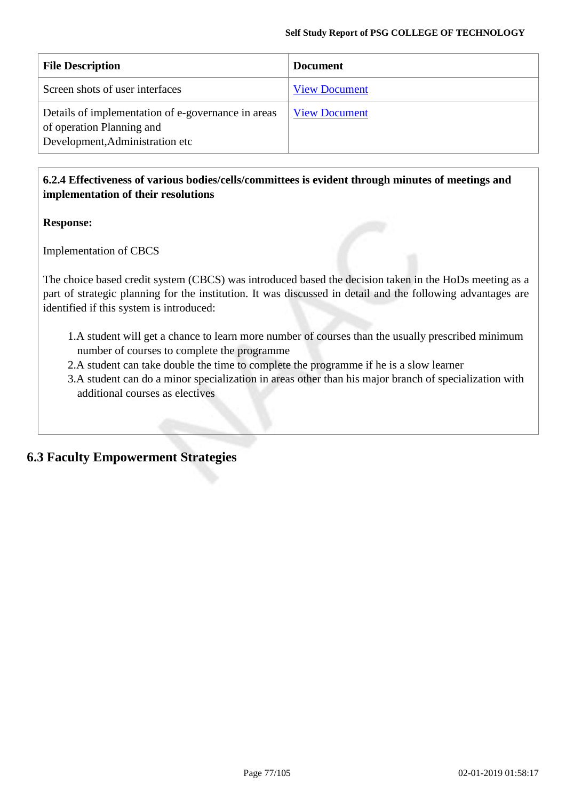| <b>File Description</b>                                                                                            | <b>Document</b>      |
|--------------------------------------------------------------------------------------------------------------------|----------------------|
| Screen shots of user interfaces                                                                                    | <b>View Document</b> |
| Details of implementation of e-governance in areas<br>of operation Planning and<br>Development, Administration etc | <b>View Document</b> |

### **6.2.4 Effectiveness of various bodies/cells/committees is evident through minutes of meetings and implementation of their resolutions**

### **Response:**

Implementation of CBCS

The choice based credit system (CBCS) was introduced based the decision taken in the HoDs meeting as a part of strategic planning for the institution. It was discussed in detail and the following advantages are identified if this system is introduced:

- 1.A student will get a chance to learn more number of courses than the usually prescribed minimum number of courses to complete the programme
- 2.A student can take double the time to complete the programme if he is a slow learner
- 3.A student can do a minor specialization in areas other than his major branch of specialization with additional courses as electives

# **6.3 Faculty Empowerment Strategies**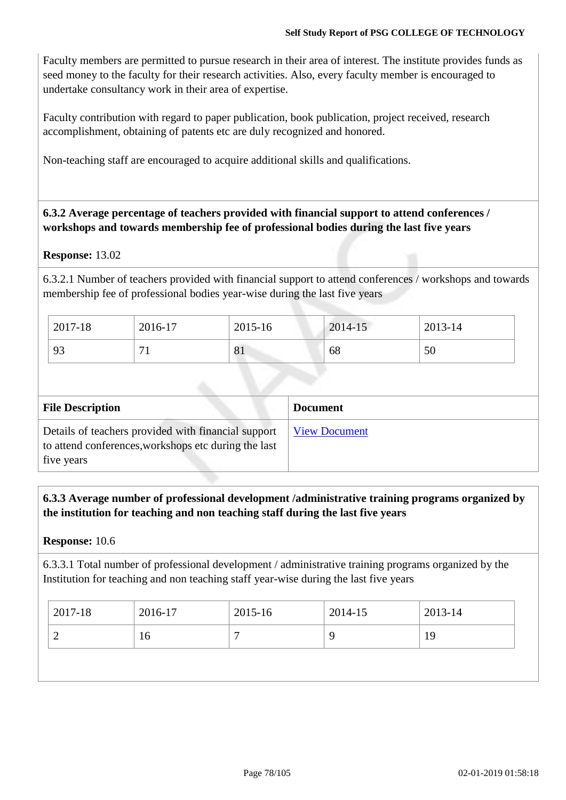Faculty members are permitted to pursue research in their area of interest. The institute provides funds as seed money to the faculty for their research activities. Also, every faculty member is encouraged to undertake consultancy work in their area of expertise.

Faculty contribution with regard to paper publication, book publication, project received, research accomplishment, obtaining of patents etc are duly recognized and honored.

Non-teaching staff are encouraged to acquire additional skills and qualifications.

### **6.3.2 Average percentage of teachers provided with financial support to attend conferences / workshops and towards membership fee of professional bodies during the last five years**

### **Response:** 13.02

6.3.2.1 Number of teachers provided with financial support to attend conferences / workshops and towards membership fee of professional bodies year-wise during the last five years

| 2017-18 | 2016-17      | 2015-16 | 2014-15 | 2013-14 |
|---------|--------------|---------|---------|---------|
| 93      | $\mathbf{r}$ | 81      | 68      | 50      |

| <b>File Description</b>                                                                                                   | <b>Document</b>      |
|---------------------------------------------------------------------------------------------------------------------------|----------------------|
| Details of teachers provided with financial support<br>to attend conferences, workshops etc during the last<br>five years | <b>View Document</b> |

**6.3.3 Average number of professional development /administrative training programs organized by the institution for teaching and non teaching staff during the last five years**

### **Response:** 10.6

6.3.3.1 Total number of professional development / administrative training programs organized by the Institution for teaching and non teaching staff year-wise during the last five years

| $2017 - 18$<br>2016-17 | 2015-16 | 2014-15 | 2013-14 |
|------------------------|---------|---------|---------|
| 16<br>∼                |         |         | 19      |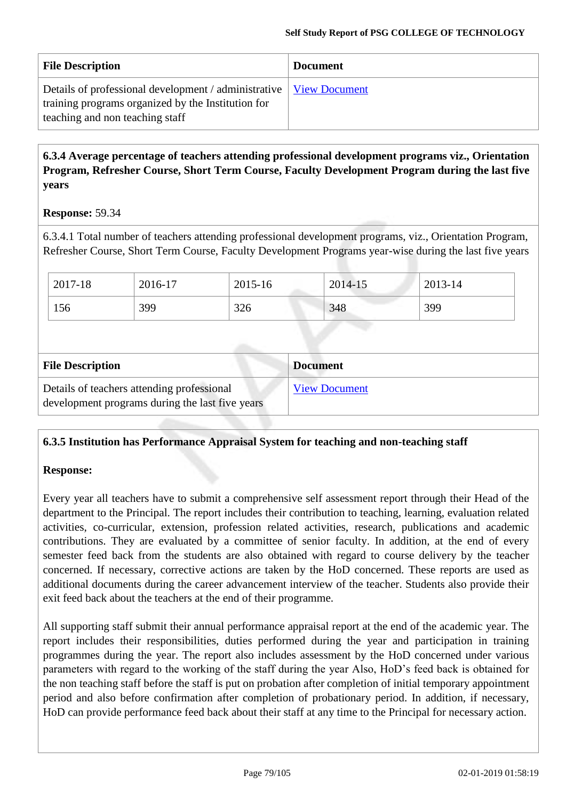| <b>File Description</b>                                                                                                                                       | <b>Document</b> |
|---------------------------------------------------------------------------------------------------------------------------------------------------------------|-----------------|
| Details of professional development / administrative   View Document<br>training programs organized by the Institution for<br>teaching and non teaching staff |                 |

## **6.3.4 Average percentage of teachers attending professional development programs viz., Orientation Program, Refresher Course, Short Term Course, Faculty Development Program during the last five years**

### **Response:** 59.34

6.3.4.1 Total number of teachers attending professional development programs, viz., Orientation Program, Refresher Course, Short Term Course, Faculty Development Programs year-wise during the last five years

| 2017-18 | 2016-17 | 2015-16 | 2014-15 | 2013-14 |
|---------|---------|---------|---------|---------|
| 156     | 399     | 326     | 348     | 399     |
|         |         |         |         |         |
|         |         |         |         |         |

| <b>File Description</b>                                                                       | <b>Document</b>      |
|-----------------------------------------------------------------------------------------------|----------------------|
| Details of teachers attending professional<br>development programs during the last five years | <b>View Document</b> |

### **6.3.5 Institution has Performance Appraisal System for teaching and non-teaching staff**

### **Response:**

Every year all teachers have to submit a comprehensive self assessment report through their Head of the department to the Principal. The report includes their contribution to teaching, learning, evaluation related activities, co-curricular, extension, profession related activities, research, publications and academic contributions. They are evaluated by a committee of senior faculty. In addition, at the end of every semester feed back from the students are also obtained with regard to course delivery by the teacher concerned. If necessary, corrective actions are taken by the HoD concerned. These reports are used as additional documents during the career advancement interview of the teacher. Students also provide their exit feed back about the teachers at the end of their programme.

All supporting staff submit their annual performance appraisal report at the end of the academic year. The report includes their responsibilities, duties performed during the year and participation in training programmes during the year. The report also includes assessment by the HoD concerned under various parameters with regard to the working of the staff during the year Also, HoD's feed back is obtained for the non teaching staff before the staff is put on probation after completion of initial temporary appointment period and also before confirmation after completion of probationary period. In addition, if necessary, HoD can provide performance feed back about their staff at any time to the Principal for necessary action.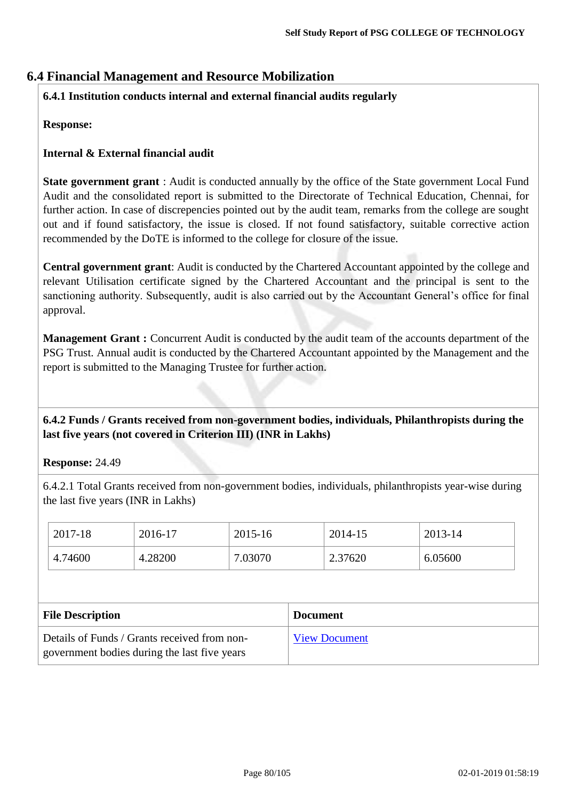# **6.4 Financial Management and Resource Mobilization**

### **6.4.1 Institution conducts internal and external financial audits regularly**

### **Response:**

### **Internal & External financial audit**

**State government grant** : Audit is conducted annually by the office of the State government Local Fund Audit and the consolidated report is submitted to the Directorate of Technical Education, Chennai, for further action. In case of discrepencies pointed out by the audit team, remarks from the college are sought out and if found satisfactory, the issue is closed. If not found satisfactory, suitable corrective action recommended by the DoTE is informed to the college for closure of the issue.

**Central government grant**: Audit is conducted by the Chartered Accountant appointed by the college and relevant Utilisation certificate signed by the Chartered Accountant and the principal is sent to the sanctioning authority. Subsequently, audit is also carried out by the Accountant General's office for final approval.

**Management Grant :** Concurrent Audit is conducted by the audit team of the accounts department of the PSG Trust. Annual audit is conducted by the Chartered Accountant appointed by the Management and the report is submitted to the Managing Trustee for further action.

**6.4.2 Funds / Grants received from non-government bodies, individuals, Philanthropists during the last five years (not covered in Criterion III) (INR in Lakhs)**

**Response:** 24.49

6.4.2.1 Total Grants received from non-government bodies, individuals, philanthropists year-wise during the last five years (INR in Lakhs)

| 2017-18                 | 2016-17 | 2015-16 |                 | 2014-15 | 2013-14 |
|-------------------------|---------|---------|-----------------|---------|---------|
| 4.74600                 | 4.28200 | 7.03070 |                 | 2.37620 | 6.05600 |
|                         |         |         |                 |         |         |
|                         |         |         |                 |         |         |
| <b>File Description</b> |         |         | <b>Document</b> |         |         |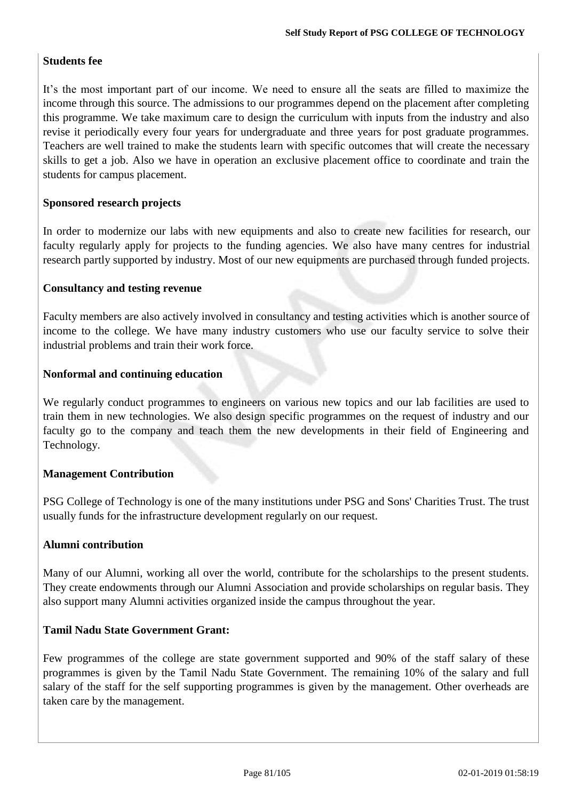### **Students fee**

It's the most important part of our income. We need to ensure all the seats are filled to maximize the income through this source. The admissions to our programmes depend on the placement after completing this programme. We take maximum care to design the curriculum with inputs from the industry and also revise it periodically every four years for undergraduate and three years for post graduate programmes. Teachers are well trained to make the students learn with specific outcomes that will create the necessary skills to get a job. Also we have in operation an exclusive placement office to coordinate and train the students for campus placement.

### **Sponsored research projects**

In order to modernize our labs with new equipments and also to create new facilities for research, our faculty regularly apply for projects to the funding agencies. We also have many centres for industrial research partly supported by industry. Most of our new equipments are purchased through funded projects.

### **Consultancy and testing revenue**

Faculty members are also actively involved in consultancy and testing activities which is another source of income to the college. We have many industry customers who use our faculty service to solve their industrial problems and train their work force.

### **Nonformal and continuing education**

We regularly conduct programmes to engineers on various new topics and our lab facilities are used to train them in new technologies. We also design specific programmes on the request of industry and our faculty go to the company and teach them the new developments in their field of Engineering and Technology.

### **Management Contribution**

PSG College of Technology is one of the many institutions under PSG and Sons' Charities Trust. The trust usually funds for the infrastructure development regularly on our request.

### **Alumni contribution**

Many of our Alumni, working all over the world, contribute for the scholarships to the present students. They create endowments through our Alumni Association and provide scholarships on regular basis. They also support many Alumni activities organized inside the campus throughout the year.

### **Tamil Nadu State Government Grant:**

Few programmes of the college are state government supported and 90% of the staff salary of these programmes is given by the Tamil Nadu State Government. The remaining 10% of the salary and full salary of the staff for the self supporting programmes is given by the management. Other overheads are taken care by the management.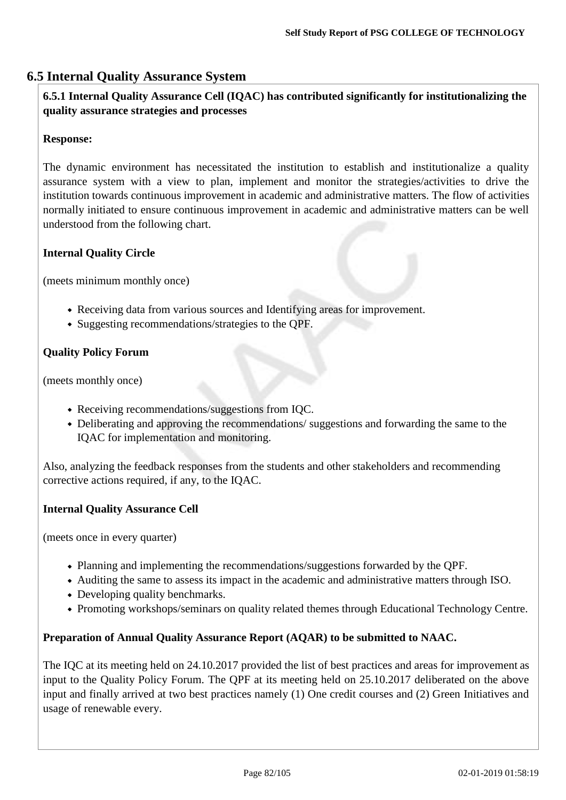# **6.5 Internal Quality Assurance System**

## **6.5.1 Internal Quality Assurance Cell (IQAC) has contributed significantly for institutionalizing the quality assurance strategies and processes**

### **Response:**

The dynamic environment has necessitated the institution to establish and institutionalize a quality assurance system with a view to plan, implement and monitor the strategies/activities to drive the institution towards continuous improvement in academic and administrative matters. The flow of activities normally initiated to ensure continuous improvement in academic and administrative matters can be well understood from the following chart.

### **Internal Quality Circle**

(meets minimum monthly once)

- Receiving data from various sources and Identifying areas for improvement.
- Suggesting recommendations/strategies to the QPF.

### **Quality Policy Forum**

(meets monthly once)

- Receiving recommendations/suggestions from IQC.
- Deliberating and approving the recommendations/ suggestions and forwarding the same to the IQAC for implementation and monitoring.

Also, analyzing the feedback responses from the students and other stakeholders and recommending corrective actions required, if any, to the IQAC.

### **Internal Quality Assurance Cell**

(meets once in every quarter)

- Planning and implementing the recommendations/suggestions forwarded by the QPF.
- Auditing the same to assess its impact in the academic and administrative matters through ISO.
- Developing quality benchmarks.
- Promoting workshops/seminars on quality related themes through Educational Technology Centre.

### **Preparation of Annual Quality Assurance Report (AQAR) to be submitted to NAAC.**

The IQC at its meeting held on 24.10.2017 provided the list of best practices and areas for improvement as input to the Quality Policy Forum. The QPF at its meeting held on 25.10.2017 deliberated on the above input and finally arrived at two best practices namely (1) One credit courses and (2) Green Initiatives and usage of renewable every.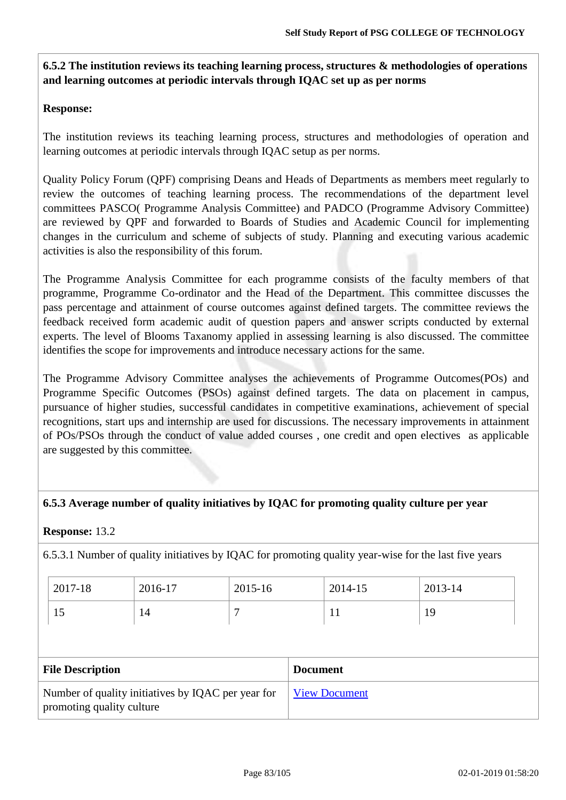# **6.5.2 The institution reviews its teaching learning process, structures & methodologies of operations and learning outcomes at periodic intervals through IQAC set up as per norms**

### **Response:**

The institution reviews its teaching learning process, structures and methodologies of operation and learning outcomes at periodic intervals through IQAC setup as per norms.

Quality Policy Forum (QPF) comprising Deans and Heads of Departments as members meet regularly to review the outcomes of teaching learning process. The recommendations of the department level committees PASCO( Programme Analysis Committee) and PADCO (Programme Advisory Committee) are reviewed by QPF and forwarded to Boards of Studies and Academic Council for implementing changes in the curriculum and scheme of subjects of study. Planning and executing various academic activities is also the responsibility of this forum.

The Programme Analysis Committee for each programme consists of the faculty members of that programme, Programme Co-ordinator and the Head of the Department. This committee discusses the pass percentage and attainment of course outcomes against defined targets. The committee reviews the feedback received form academic audit of question papers and answer scripts conducted by external experts. The level of Blooms Taxanomy applied in assessing learning is also discussed. The committee identifies the scope for improvements and introduce necessary actions for the same.

The Programme Advisory Committee analyses the achievements of Programme Outcomes(POs) and Programme Specific Outcomes (PSOs) against defined targets. The data on placement in campus, pursuance of higher studies, successful candidates in competitive examinations, achievement of special recognitions, start ups and internship are used for discussions. The necessary improvements in attainment of POs/PSOs through the conduct of value added courses , one credit and open electives as applicable are suggested by this committee.

### **6.5.3 Average number of quality initiatives by IQAC for promoting quality culture per year**

### **Response:** 13.2

6.5.3.1 Number of quality initiatives by IQAC for promoting quality year-wise for the last five years

| 2017-18 | 2016-17 | 2015-16 | 2014-15 | 2013-14 |
|---------|---------|---------|---------|---------|
| πJ      | 14      |         | . .     | 19      |

| <b>File Description</b>                                                         | <b>Document</b>      |
|---------------------------------------------------------------------------------|----------------------|
| Number of quality initiatives by IQAC per year for<br>promoting quality culture | <b>View Document</b> |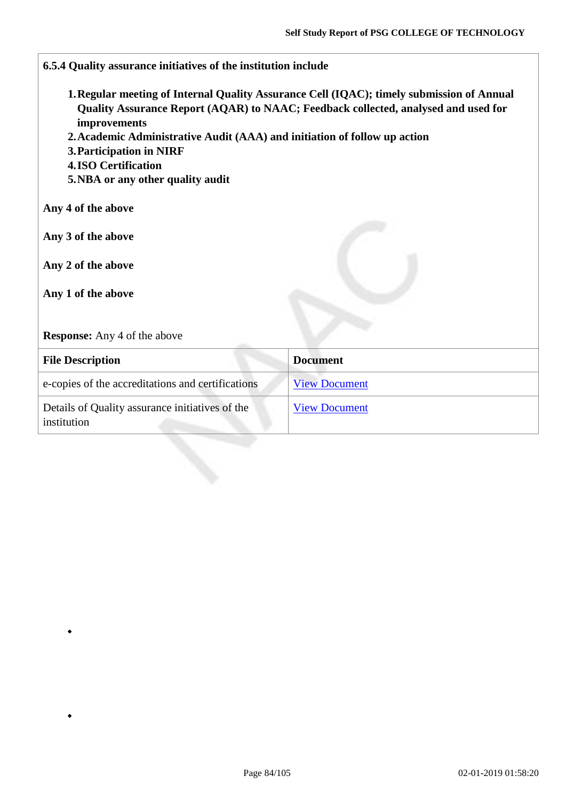| 6.5.4 Quality assurance initiatives of the institution include                                                                                                                           |                                                                                                                                                                                 |
|------------------------------------------------------------------------------------------------------------------------------------------------------------------------------------------|---------------------------------------------------------------------------------------------------------------------------------------------------------------------------------|
| improvements<br>2. Academic Administrative Audit (AAA) and initiation of follow up action<br>3. Participation in NIRF<br><b>4.ISO Certification</b><br>5. NBA or any other quality audit | 1. Regular meeting of Internal Quality Assurance Cell (IQAC); timely submission of Annual<br>Quality Assurance Report (AQAR) to NAAC; Feedback collected, analysed and used for |
| Any 4 of the above                                                                                                                                                                       |                                                                                                                                                                                 |
| Any 3 of the above                                                                                                                                                                       |                                                                                                                                                                                 |
| Any 2 of the above                                                                                                                                                                       |                                                                                                                                                                                 |
| Any 1 of the above                                                                                                                                                                       |                                                                                                                                                                                 |
| <b>Response:</b> Any 4 of the above                                                                                                                                                      |                                                                                                                                                                                 |
| <b>File Description</b>                                                                                                                                                                  | <b>Document</b>                                                                                                                                                                 |
| e-copies of the accreditations and certifications                                                                                                                                        | <b>View Document</b>                                                                                                                                                            |
| Details of Quality assurance initiatives of the<br>institution                                                                                                                           | <b>View Document</b>                                                                                                                                                            |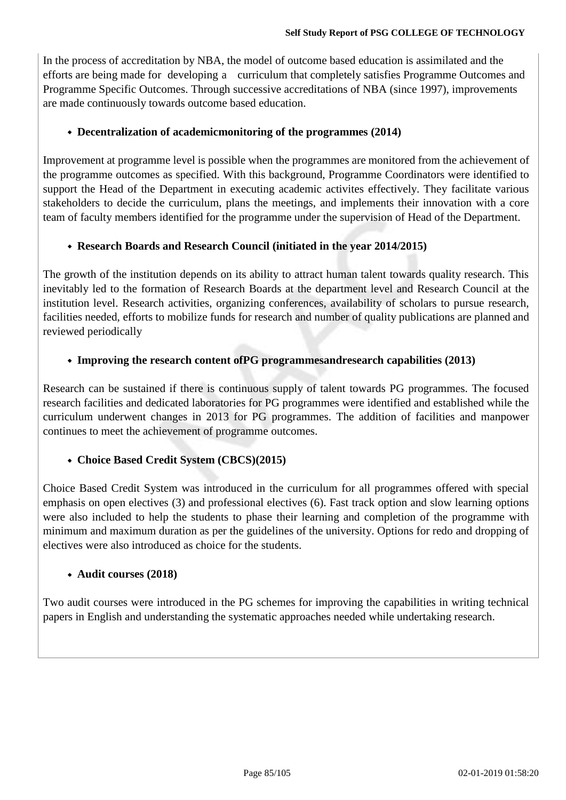In the process of accreditation by NBA, the model of outcome based education is assimilated and the efforts are being made for developing a curriculum that completely satisfies Programme Outcomes and Programme Specific Outcomes. Through successive accreditations of NBA (since 1997), improvements are made continuously towards outcome based education.

### **Decentralization of academicmonitoring of the programmes (2014)**

Improvement at programme level is possible when the programmes are monitored from the achievement of the programme outcomes as specified. With this background, Programme Coordinators were identified to support the Head of the Department in executing academic activites effectively. They facilitate various stakeholders to decide the curriculum, plans the meetings, and implements their innovation with a core team of faculty members identified for the programme under the supervision of Head of the Department.

### **Research Boards and Research Council (initiated in the year 2014/2015)**

The growth of the institution depends on its ability to attract human talent towards quality research. This inevitably led to the formation of Research Boards at the department level and Research Council at the institution level. Research activities, organizing conferences, availability of scholars to pursue research, facilities needed, efforts to mobilize funds for research and number of quality publications are planned and reviewed periodically

### **Improving the research content ofPG programmesandresearch capabilities (2013)**

Research can be sustained if there is continuous supply of talent towards PG programmes. The focused research facilities and dedicated laboratories for PG programmes were identified and established while the curriculum underwent changes in 2013 for PG programmes. The addition of facilities and manpower continues to meet the achievement of programme outcomes.

### **Choice Based Credit System (CBCS)(2015)**

Choice Based Credit System was introduced in the curriculum for all programmes offered with special emphasis on open electives (3) and professional electives (6). Fast track option and slow learning options were also included to help the students to phase their learning and completion of the programme with minimum and maximum duration as per the guidelines of the university. Options for redo and dropping of electives were also introduced as choice for the students.

### **Audit courses (2018)**

Two audit courses were introduced in the PG schemes for improving the capabilities in writing technical papers in English and understanding the systematic approaches needed while undertaking research.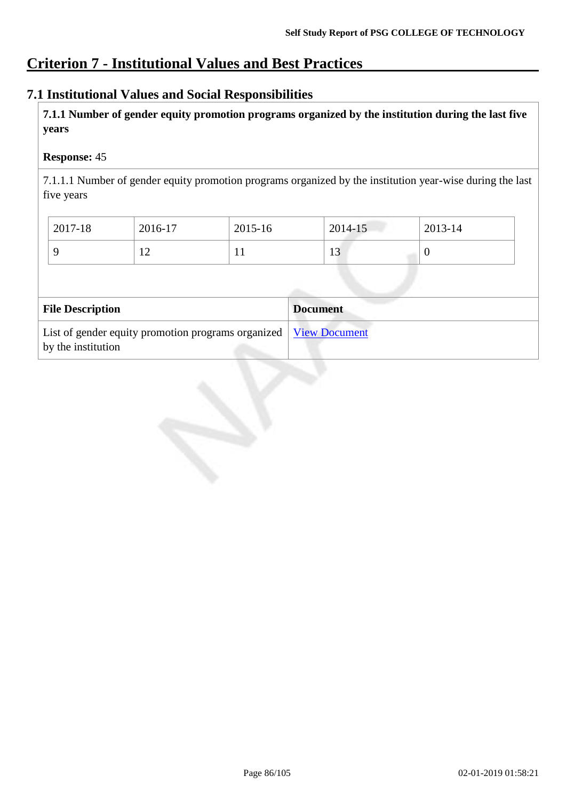# **Criterion 7 - Institutional Values and Best Practices**

# **7.1 Institutional Values and Social Responsibilities**

**7.1.1 Number of gender equity promotion programs organized by the institution during the last five years**

### **Response:** 45

7.1.1.1 Number of gender equity promotion programs organized by the institution year-wise during the last five years

| 2017-18                 | 2016-17 | 2015-16 | 2014-15         | 2013-14 |  |
|-------------------------|---------|---------|-----------------|---------|--|
| 9                       | 12      | 11      | 13              | U       |  |
|                         |         |         |                 |         |  |
|                         |         |         |                 |         |  |
| <b>File Description</b> |         |         | <b>Document</b> |         |  |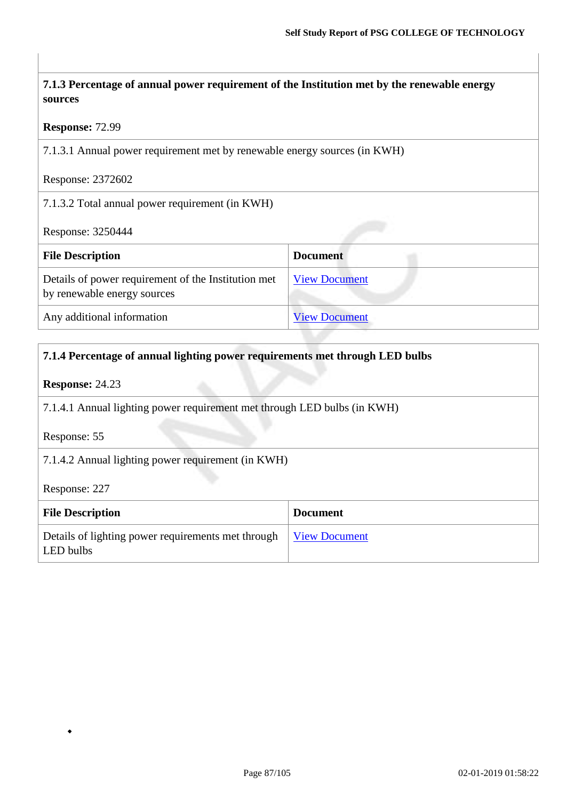| 7.1.3 Percentage of annual power requirement of the Institution met by the renewable energy<br>sources |                      |
|--------------------------------------------------------------------------------------------------------|----------------------|
| <b>Response: 72.99</b>                                                                                 |                      |
| 7.1.3.1 Annual power requirement met by renewable energy sources (in KWH)                              |                      |
| Response: 2372602                                                                                      |                      |
| 7.1.3.2 Total annual power requirement (in KWH)                                                        |                      |
| Response: 3250444                                                                                      |                      |
| <b>File Description</b>                                                                                | <b>Document</b>      |
| Details of power requirement of the Institution met<br>by renewable energy sources                     | <b>View Document</b> |
| Any additional information                                                                             | <b>View Document</b> |

# **7.1.4 Percentage of annual lighting power requirements met through LED bulbs**

### **Response:** 24.23

7.1.4.1 Annual lighting power requirement met through LED bulbs (in KWH)

Response: 55

7.1.4.2 Annual lighting power requirement (in KWH)

Response: 227

| <b>File Description</b>                                         | <b>Document</b> |
|-----------------------------------------------------------------|-----------------|
| Details of lighting power requirements met through<br>LED bulbs | View Document   |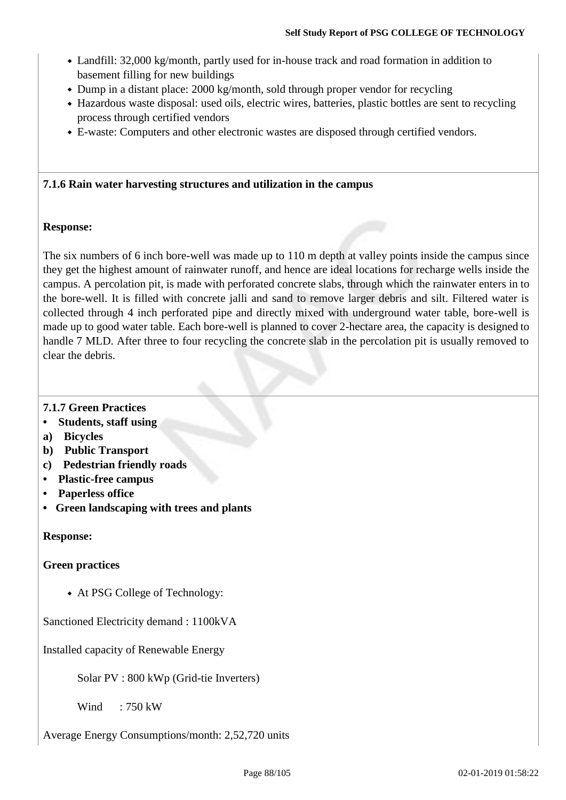- Landfill: 32,000 kg/month, partly used for in-house track and road formation in addition to basement filling for new buildings
- Dump in a distant place: 2000 kg/month, sold through proper vendor for recycling
- Hazardous waste disposal: used oils, electric wires, batteries, plastic bottles are sent to recycling process through certified vendors
- E-waste: Computers and other electronic wastes are disposed through certified vendors.

### **7.1.6 Rain water harvesting structures and utilization in the campus**

### **Response:**

The six numbers of 6 inch bore-well was made up to 110 m depth at valley points inside the campus since they get the highest amount of rainwater runoff, and hence are ideal locations for recharge wells inside the campus. A percolation pit, is made with perforated concrete slabs, through which the rainwater enters in to the bore-well. It is filled with concrete jalli and sand to remove larger debris and silt. Filtered water is collected through 4 inch perforated pipe and directly mixed with underground water table, bore-well is made up to good water table. Each bore-well is planned to cover 2-hectare area, the capacity is designed to handle 7 MLD. After three to four recycling the concrete slab in the percolation pit is usually removed to clear the debris.

### **7.1.7 Green Practices**

- **• Students, staff using**
- **a) Bicycles**
- **b) Public Transport**
- **c) Pedestrian friendly roads**
- **• Plastic-free campus**
- **• Paperless office**
- **• Green landscaping with trees and plants**

### **Response:**

### **Green practices**

At PSG College of Technology:

Sanctioned Electricity demand : 1100kVA

Installed capacity of Renewable Energy

Solar PV : 800 kWp (Grid-tie Inverters)

Wind :  $750$  kW

Average Energy Consumptions/month: 2,52,720 units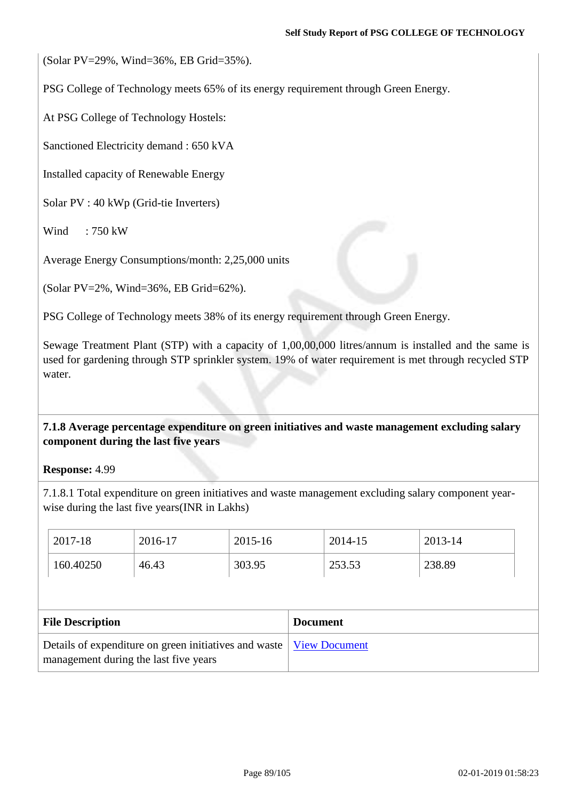(Solar PV=29%, Wind=36%, EB Grid=35%).

PSG College of Technology meets 65% of its energy requirement through Green Energy.

At PSG College of Technology Hostels:

Sanctioned Electricity demand : 650 kVA

Installed capacity of Renewable Energy

Solar PV : 40 kWp (Grid-tie Inverters)

Wind : 750 kW

Average Energy Consumptions/month: 2,25,000 units

(Solar PV=2%, Wind=36%, EB Grid=62%).

PSG College of Technology meets 38% of its energy requirement through Green Energy.

Sewage Treatment Plant (STP) with a capacity of 1,00,00,000 litres/annum is installed and the same is used for gardening through STP sprinkler system. 19% of water requirement is met through recycled STP water.

**7.1.8 Average percentage expenditure on green initiatives and waste management excluding salary component during the last five years**

**Response:** 4.99

7.1.8.1 Total expenditure on green initiatives and waste management excluding salary component yearwise during the last five years(INR in Lakhs)

| 2017-18                                                                                        | 2016-17 | 2015-16         |                      | 2014-15 | 2013-14 |
|------------------------------------------------------------------------------------------------|---------|-----------------|----------------------|---------|---------|
| 160.40250                                                                                      | 46.43   | 303.95          |                      | 253.53  | 238.89  |
|                                                                                                |         |                 |                      |         |         |
| <b>File Description</b>                                                                        |         | <b>Document</b> |                      |         |         |
| Details of expenditure on green initiatives and waste<br>management during the last five years |         |                 | <b>View Document</b> |         |         |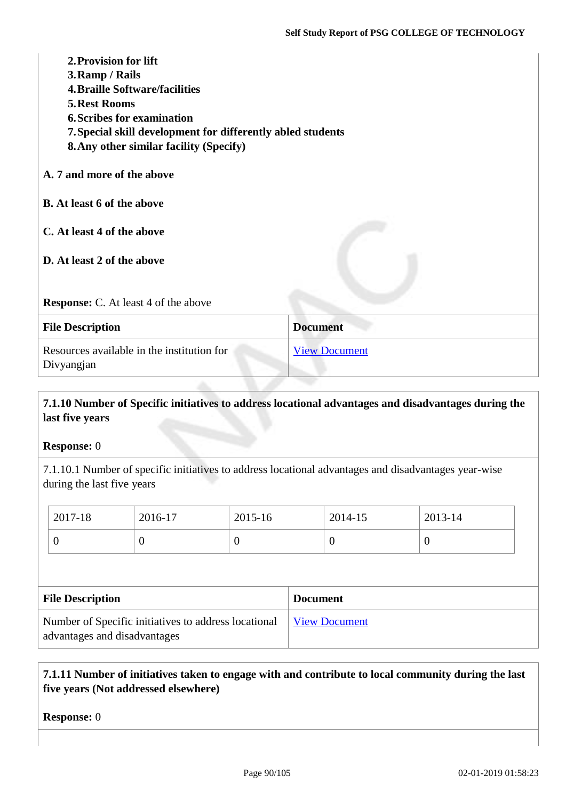| 2. Provision for lift<br>3. Ramp / Rails<br><b>4. Braille Software/facilities</b><br><b>5. Rest Rooms</b><br><b>6. Scribes for examination</b><br>7. Special skill development for differently abled students<br><b>8. Any other similar facility (Specify)</b> |                      |
|-----------------------------------------------------------------------------------------------------------------------------------------------------------------------------------------------------------------------------------------------------------------|----------------------|
| A. 7 and more of the above                                                                                                                                                                                                                                      |                      |
| <b>B.</b> At least 6 of the above                                                                                                                                                                                                                               |                      |
| C. At least 4 of the above                                                                                                                                                                                                                                      |                      |
| D. At least 2 of the above                                                                                                                                                                                                                                      |                      |
| <b>Response:</b> C. At least 4 of the above                                                                                                                                                                                                                     |                      |
| <b>File Description</b>                                                                                                                                                                                                                                         | <b>Document</b>      |
| Resources available in the institution for<br>Divyangjan                                                                                                                                                                                                        | <b>View Document</b> |

# **7.1.10 Number of Specific initiatives to address locational advantages and disadvantages during the last five years**

### **Response:** 0

7.1.10.1 Number of specific initiatives to address locational advantages and disadvantages year-wise during the last five years

| 2017-18                                                                              | 2016-17  | 2015-16 |                      | 2014-15  | 2013-14 |
|--------------------------------------------------------------------------------------|----------|---------|----------------------|----------|---------|
| $\theta$                                                                             | $\theta$ | O       |                      | $\theta$ | υ       |
|                                                                                      |          |         |                      |          |         |
| <b>File Description</b>                                                              |          |         | <b>Document</b>      |          |         |
| Number of Specific initiatives to address locational<br>advantages and disadvantages |          |         | <b>View Document</b> |          |         |

## **7.1.11 Number of initiatives taken to engage with and contribute to local community during the last five years (Not addressed elsewhere)**

**Response:** 0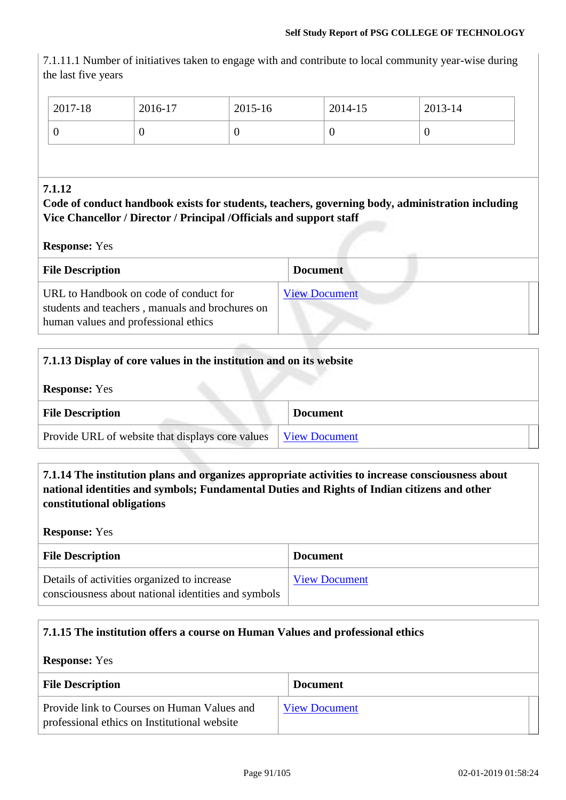7.1.11.1 Number of initiatives taken to engage with and contribute to local community year-wise during the last five years

| $\frac{1}{2017}$ -18 | 2016-17 | 2015-16 | 2014-15 | 2013-14 |
|----------------------|---------|---------|---------|---------|
|                      |         | ν       | ິ       | ν       |

### **7.1.12**

**Code of conduct handbook exists for students, teachers, governing body, administration including Vice Chancellor / Director / Principal /Officials and support staff**

**Response:** Yes

| <b>File Description</b>                                                                                                           | <b>Document</b>      |
|-----------------------------------------------------------------------------------------------------------------------------------|----------------------|
| URL to Handbook on code of conduct for<br>students and teachers, manuals and brochures on<br>human values and professional ethics | <b>View Document</b> |

| 7.1.13 Display of core values in the institution and on its website |                      |  |  |
|---------------------------------------------------------------------|----------------------|--|--|
| <b>Response:</b> Yes                                                |                      |  |  |
| <b>File Description</b>                                             | <b>Document</b>      |  |  |
| Provide URL of website that displays core values                    | <b>View Document</b> |  |  |

**7.1.14 The institution plans and organizes appropriate activities to increase consciousness about national identities and symbols; Fundamental Duties and Rights of Indian citizens and other constitutional obligations**

**Response:** Yes

| <b>File Description</b>                                                                            | <b>Document</b>      |
|----------------------------------------------------------------------------------------------------|----------------------|
| Details of activities organized to increase<br>consciousness about national identities and symbols | <b>View Document</b> |

### **7.1.15 The institution offers a course on Human Values and professional ethics**

**Response:** Yes

| <b>File Description</b>                                                                     | <b>Document</b>      |  |
|---------------------------------------------------------------------------------------------|----------------------|--|
| Provide link to Courses on Human Values and<br>professional ethics on Institutional website | <b>View Document</b> |  |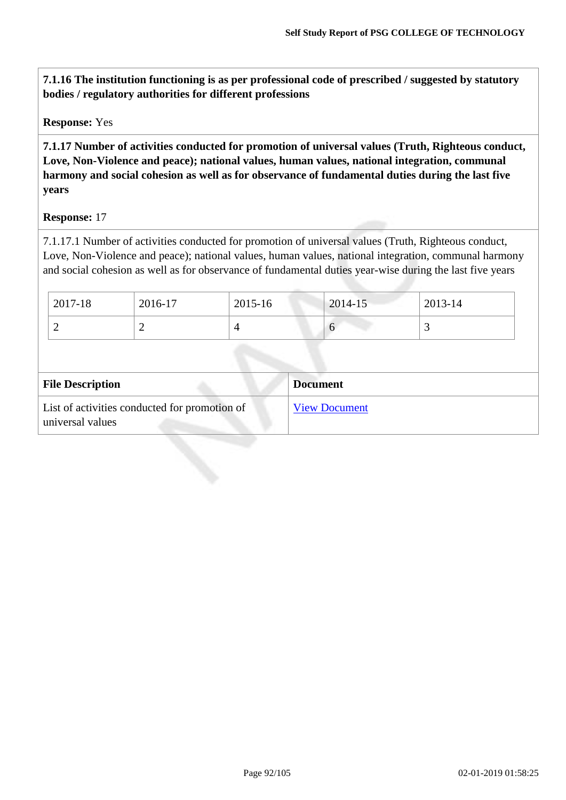**7.1.16 The institution functioning is as per professional code of prescribed / suggested by statutory bodies / regulatory authorities for different professions**

**Response:** Yes

**7.1.17 Number of activities conducted for promotion of universal values (Truth, Righteous conduct, Love, Non-Violence and peace); national values, human values, national integration, communal harmony and social cohesion as well as for observance of fundamental duties during the last five years**

**Response:** 17

7.1.17.1 Number of activities conducted for promotion of universal values (Truth, Righteous conduct, Love, Non-Violence and peace); national values, human values, national integration, communal harmony and social cohesion as well as for observance of fundamental duties year-wise during the last five years

| 2017-18 | 2016-17 | 2015-16 | 2014-15 | 2013-14 |
|---------|---------|---------|---------|---------|
| ∼       | ∸       |         |         |         |
|         |         |         |         |         |

| <b>File Description</b>                                           | <b>Document</b>      |
|-------------------------------------------------------------------|----------------------|
| List of activities conducted for promotion of<br>universal values | <b>View Document</b> |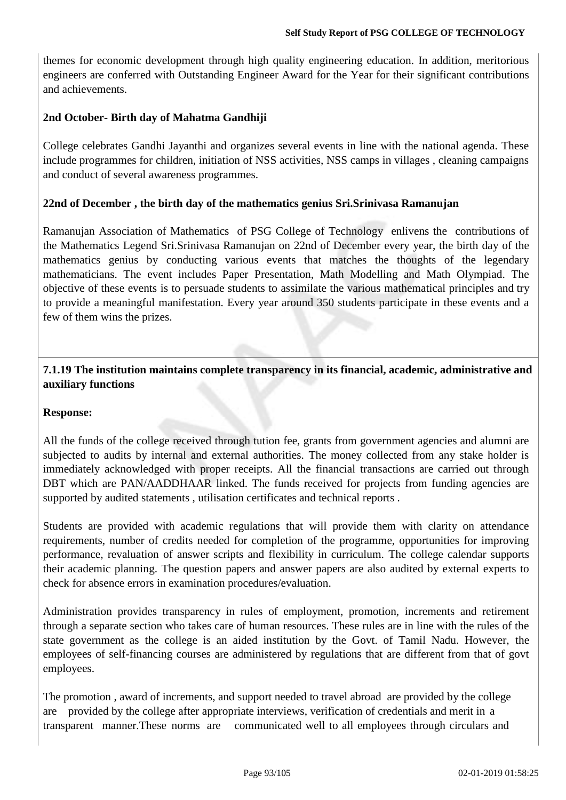themes for economic development through high quality engineering education. In addition, meritorious engineers are conferred with Outstanding Engineer Award for the Year for their significant contributions and achievements.

### **2nd October- Birth day of Mahatma Gandhiji**

College celebrates Gandhi Jayanthi and organizes several events in line with the national agenda. These include programmes for children, initiation of NSS activities, NSS camps in villages , cleaning campaigns and conduct of several awareness programmes.

### **22nd of December , the birth day of the mathematics genius Sri.Srinivasa Ramanujan**

Ramanujan Association of Mathematics of PSG College of Technology enlivens the contributions of the Mathematics Legend Sri.Srinivasa Ramanujan on 22nd of December every year, the birth day of the mathematics genius by conducting various events that matches the thoughts of the legendary mathematicians. The event includes Paper Presentation, Math Modelling and Math Olympiad. The objective of these events is to persuade students to assimilate the various mathematical principles and try to provide a meaningful manifestation. Every year around 350 students participate in these events and a few of them wins the prizes.

### **7.1.19 The institution maintains complete transparency in its financial, academic, administrative and auxiliary functions**

### **Response:**

All the funds of the college received through tution fee, grants from government agencies and alumni are subjected to audits by internal and external authorities. The money collected from any stake holder is immediately acknowledged with proper receipts. All the financial transactions are carried out through DBT which are PAN/AADDHAAR linked. The funds received for projects from funding agencies are supported by audited statements , utilisation certificates and technical reports .

Students are provided with academic regulations that will provide them with clarity on attendance requirements, number of credits needed for completion of the programme, opportunities for improving performance, revaluation of answer scripts and flexibility in curriculum. The college calendar supports their academic planning. The question papers and answer papers are also audited by external experts to check for absence errors in examination procedures/evaluation.

Administration provides transparency in rules of employment, promotion, increments and retirement through a separate section who takes care of human resources. These rules are in line with the rules of the state government as the college is an aided institution by the Govt. of Tamil Nadu. However, the employees of self-financing courses are administered by regulations that are different from that of govt employees.

The promotion , award of increments, and support needed to travel abroad are provided by the college are provided by the college after appropriate interviews, verification of credentials and merit in a transparent manner.These norms are communicated well to all employees through circulars and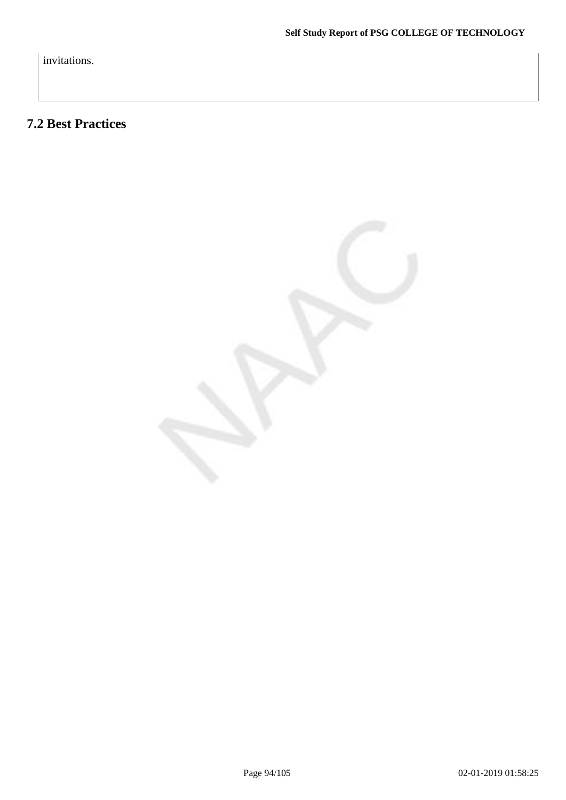invitations.

# **7.2 Best Practices**

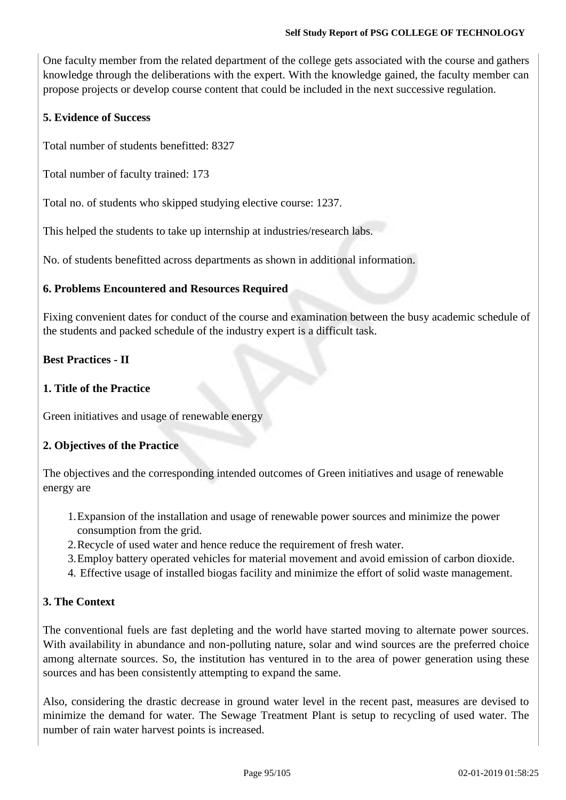One faculty member from the related department of the college gets associated with the course and gathers knowledge through the deliberations with the expert. With the knowledge gained, the faculty member can propose projects or develop course content that could be included in the next successive regulation.

### **5. Evidence of Success**

Total number of students benefitted: 8327

Total number of faculty trained: 173

Total no. of students who skipped studying elective course: 1237.

This helped the students to take up internship at industries/research labs.

No. of students benefitted across departments as shown in additional information.

### **6. Problems Encountered and Resources Required**

Fixing convenient dates for conduct of the course and examination between the busy academic schedule of the students and packed schedule of the industry expert is a difficult task.

### **Best Practices - II**

### **1. Title of the Practice**

Green initiatives and usage of renewable energy

### **2. Objectives of the Practice**

The objectives and the corresponding intended outcomes of Green initiatives and usage of renewable energy are

- 1.Expansion of the installation and usage of renewable power sources and minimize the power consumption from the grid.
- 2.Recycle of used water and hence reduce the requirement of fresh water.
- 3.Employ battery operated vehicles for material movement and avoid emission of carbon dioxide.
- 4. Effective usage of installed biogas facility and minimize the effort of solid waste management.

### **3. The Context**

The conventional fuels are fast depleting and the world have started moving to alternate power sources. With availability in abundance and non-polluting nature, solar and wind sources are the preferred choice among alternate sources. So, the institution has ventured in to the area of power generation using these sources and has been consistently attempting to expand the same.

Also, considering the drastic decrease in ground water level in the recent past, measures are devised to minimize the demand for water. The Sewage Treatment Plant is setup to recycling of used water. The number of rain water harvest points is increased.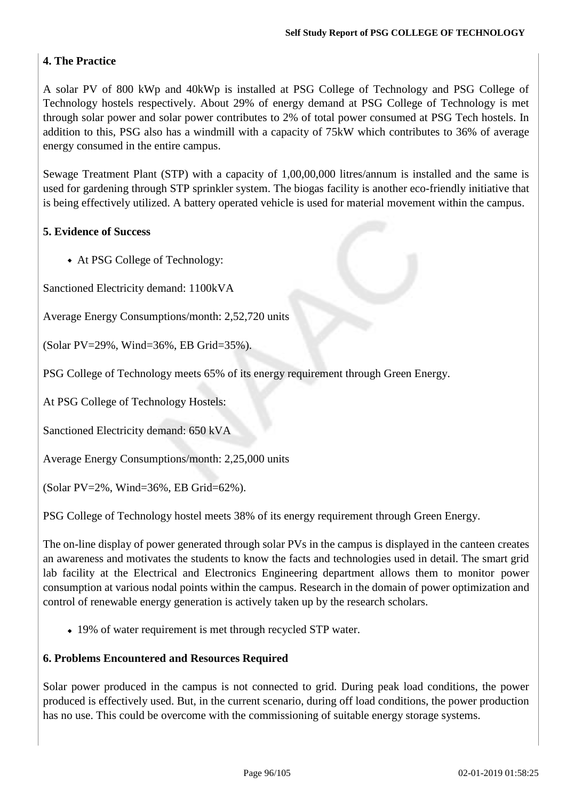## **4. The Practice**

A solar PV of 800 kWp and 40kWp is installed at PSG College of Technology and PSG College of Technology hostels respectively. About 29% of energy demand at PSG College of Technology is met through solar power and solar power contributes to 2% of total power consumed at PSG Tech hostels. In addition to this, PSG also has a windmill with a capacity of 75kW which contributes to 36% of average energy consumed in the entire campus.

Sewage Treatment Plant (STP) with a capacity of 1,00,00,000 litres/annum is installed and the same is used for gardening through STP sprinkler system. The biogas facility is another eco-friendly initiative that is being effectively utilized. A battery operated vehicle is used for material movement within the campus.

## **5. Evidence of Success**

At PSG College of Technology:

Sanctioned Electricity demand: 1100kVA

Average Energy Consumptions/month: 2,52,720 units

(Solar PV=29%, Wind=36%, EB Grid=35%).

PSG College of Technology meets 65% of its energy requirement through Green Energy.

At PSG College of Technology Hostels:

Sanctioned Electricity demand: 650 kVA

Average Energy Consumptions/month: 2,25,000 units

(Solar PV=2%, Wind=36%, EB Grid=62%).

PSG College of Technology hostel meets 38% of its energy requirement through Green Energy.

The on-line display of power generated through solar PVs in the campus is displayed in the canteen creates an awareness and motivates the students to know the facts and technologies used in detail. The smart grid lab facility at the Electrical and Electronics Engineering department allows them to monitor power consumption at various nodal points within the campus. Research in the domain of power optimization and control of renewable energy generation is actively taken up by the research scholars.

19% of water requirement is met through recycled STP water.

### **6. Problems Encountered and Resources Required**

Solar power produced in the campus is not connected to grid. During peak load conditions, the power produced is effectively used. But, in the current scenario, during off load conditions, the power production has no use. This could be overcome with the commissioning of suitable energy storage systems.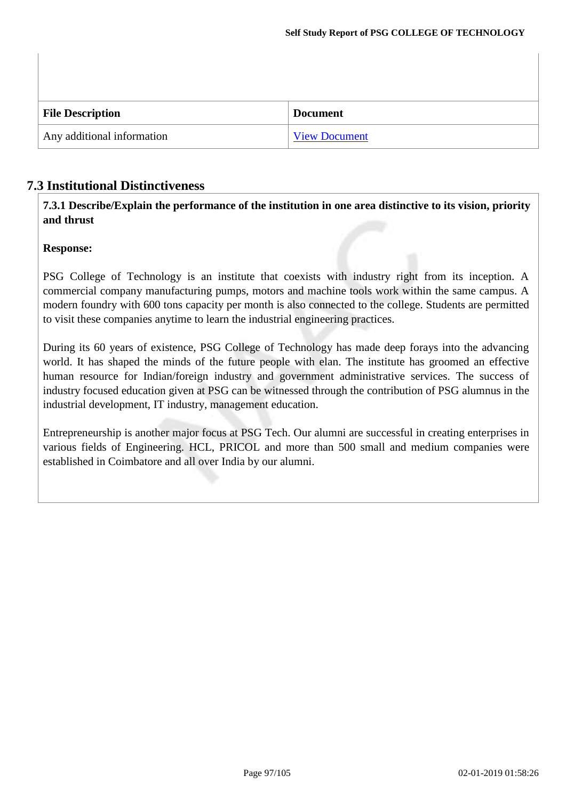| <b>File Description</b>    | <b>Document</b>      |
|----------------------------|----------------------|
| Any additional information | <b>View Document</b> |

# **7.3 Institutional Distinctiveness**

**7.3.1 Describe/Explain the performance of the institution in one area distinctive to its vision, priority and thrust**

### **Response:**

PSG College of Technology is an institute that coexists with industry right from its inception. A commercial company manufacturing pumps, motors and machine tools work within the same campus. A modern foundry with 600 tons capacity per month is also connected to the college. Students are permitted to visit these companies anytime to learn the industrial engineering practices.

During its 60 years of existence, PSG College of Technology has made deep forays into the advancing world. It has shaped the minds of the future people with elan. The institute has groomed an effective human resource for Indian/foreign industry and government administrative services. The success of industry focused education given at PSG can be witnessed through the contribution of PSG alumnus in the industrial development, IT industry, management education.

Entrepreneurship is another major focus at PSG Tech. Our alumni are successful in creating enterprises in various fields of Engineering. HCL, PRICOL and more than 500 small and medium companies were established in Coimbatore and all over India by our alumni.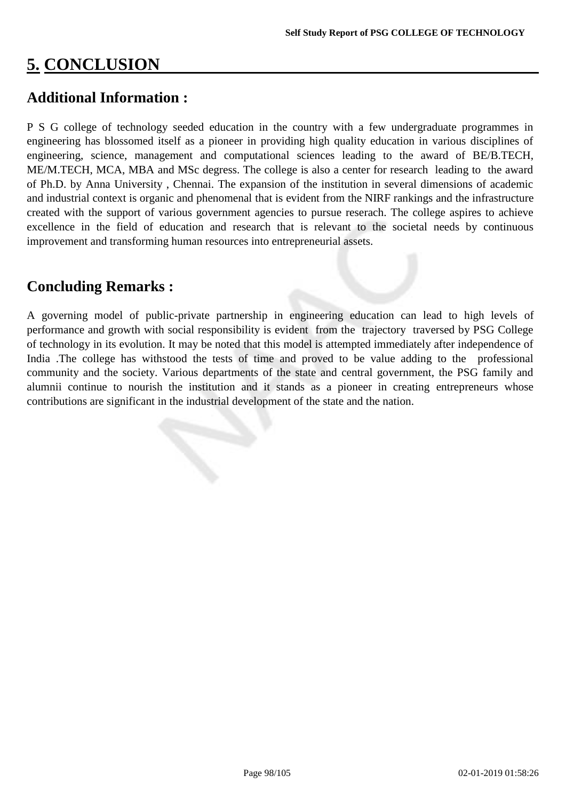# **5. CONCLUSION**

# **Additional Information :**

P S G college of technology seeded education in the country with a few undergraduate programmes in engineering has blossomed itself as a pioneer in providing high quality education in various disciplines of engineering, science, management and computational sciences leading to the award of BE/B.TECH, ME/M.TECH, MCA, MBA and MSc degress. The college is also a center for research leading to the award of Ph.D. by Anna University , Chennai. The expansion of the institution in several dimensions of academic and industrial context is organic and phenomenal that is evident from the NIRF rankings and the infrastructure created with the support of various government agencies to pursue reserach. The college aspires to achieve excellence in the field of education and research that is relevant to the societal needs by continuous improvement and transforming human resources into entrepreneurial assets.

# **Concluding Remarks :**

A governing model of public-private partnership in engineering education can lead to high levels of performance and growth with social responsibility is evident from the trajectory traversed by PSG College of technology in its evolution. It may be noted that this model is attempted immediately after independence of India .The college has withstood the tests of time and proved to be value adding to the professional community and the society. Various departments of the state and central government, the PSG family and alumnii continue to nourish the institution and it stands as a pioneer in creating entrepreneurs whose contributions are significant in the industrial development of the state and the nation.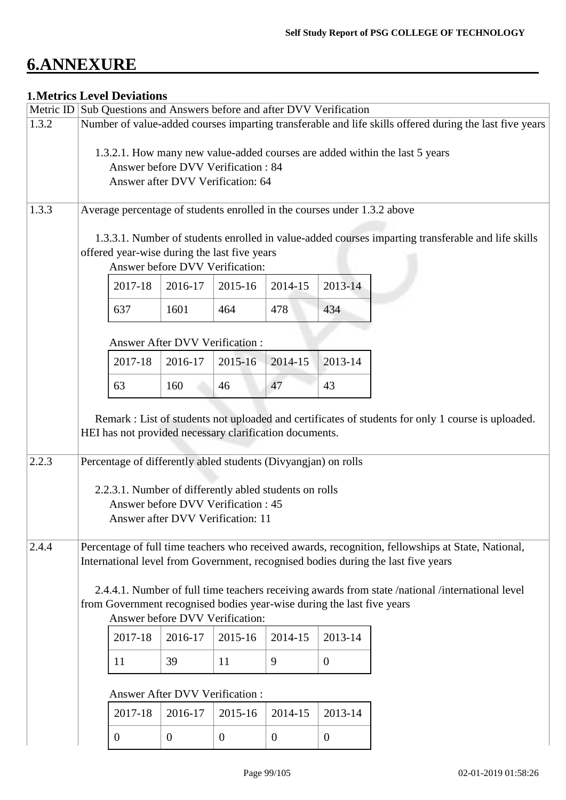# **6.ANNEXURE**

# **1.Metrics Level Deviations**

|       | Metric ID Sub Questions and Answers before and after DVV Verification                                                                                                                                         |                                                                                                                                                                                                                                                                   |                                       |              |                |                |  |
|-------|---------------------------------------------------------------------------------------------------------------------------------------------------------------------------------------------------------------|-------------------------------------------------------------------------------------------------------------------------------------------------------------------------------------------------------------------------------------------------------------------|---------------------------------------|--------------|----------------|----------------|--|
| 1.3.2 | Number of value-added courses imparting transferable and life skills offered during the last five years                                                                                                       |                                                                                                                                                                                                                                                                   |                                       |              |                |                |  |
|       | 1.3.2.1. How many new value-added courses are added within the last 5 years<br>Answer before DVV Verification: 84<br>Answer after DVV Verification: 64                                                        |                                                                                                                                                                                                                                                                   |                                       |              |                |                |  |
| 1.3.3 |                                                                                                                                                                                                               |                                                                                                                                                                                                                                                                   |                                       |              |                |                |  |
|       |                                                                                                                                                                                                               | Average percentage of students enrolled in the courses under 1.3.2 above<br>1.3.3.1. Number of students enrolled in value-added courses imparting transferable and life skills<br>offered year-wise during the last five years<br>Answer before DVV Verification: |                                       |              |                |                |  |
|       |                                                                                                                                                                                                               | 2017-18                                                                                                                                                                                                                                                           | 2016-17                               | 2015-16      | 2014-15        | 2013-14        |  |
|       |                                                                                                                                                                                                               | 637                                                                                                                                                                                                                                                               | 1601                                  | 464          | 478            | 434            |  |
|       |                                                                                                                                                                                                               |                                                                                                                                                                                                                                                                   | Answer After DVV Verification:        |              |                |                |  |
|       |                                                                                                                                                                                                               | 2017-18                                                                                                                                                                                                                                                           | 2016-17                               | 2015-16      | 2014-15        | 2013-14        |  |
|       |                                                                                                                                                                                                               | 63                                                                                                                                                                                                                                                                | 160                                   | 46           | 47             | 43             |  |
|       | Remark : List of students not uploaded and certificates of students for only 1 course is uploaded.<br>HEI has not provided necessary clarification documents.                                                 |                                                                                                                                                                                                                                                                   |                                       |              |                |                |  |
| 2.2.3 | Percentage of differently abled students (Divyangjan) on rolls<br>2.2.3.1. Number of differently abled students on rolls<br>Answer before DVV Verification : 45<br>Answer after DVV Verification: 11          |                                                                                                                                                                                                                                                                   |                                       |              |                |                |  |
| 2.4.4 | Percentage of full time teachers who received awards, recognition, fellowships at State, National,<br>International level from Government, recognised bodies during the last five years                       |                                                                                                                                                                                                                                                                   |                                       |              |                |                |  |
|       | 2.4.4.1. Number of full time teachers receiving awards from state /national /international level<br>from Government recognised bodies year-wise during the last five years<br>Answer before DVV Verification: |                                                                                                                                                                                                                                                                   |                                       |              |                |                |  |
|       |                                                                                                                                                                                                               | 2017-18                                                                                                                                                                                                                                                           | 2016-17                               | 2015-16      | 2014-15        | 2013-14        |  |
|       |                                                                                                                                                                                                               | 11                                                                                                                                                                                                                                                                | 39                                    | 11           | 9              | $\overline{0}$ |  |
|       |                                                                                                                                                                                                               |                                                                                                                                                                                                                                                                   | <b>Answer After DVV Verification:</b> |              |                |                |  |
|       |                                                                                                                                                                                                               | 2017-18                                                                                                                                                                                                                                                           | 2016-17                               | 2015-16      | 2014-15        | 2013-14        |  |
|       |                                                                                                                                                                                                               | $\mathbf{0}$                                                                                                                                                                                                                                                      | $\theta$                              | $\mathbf{0}$ | $\overline{0}$ | $\mathbf{0}$   |  |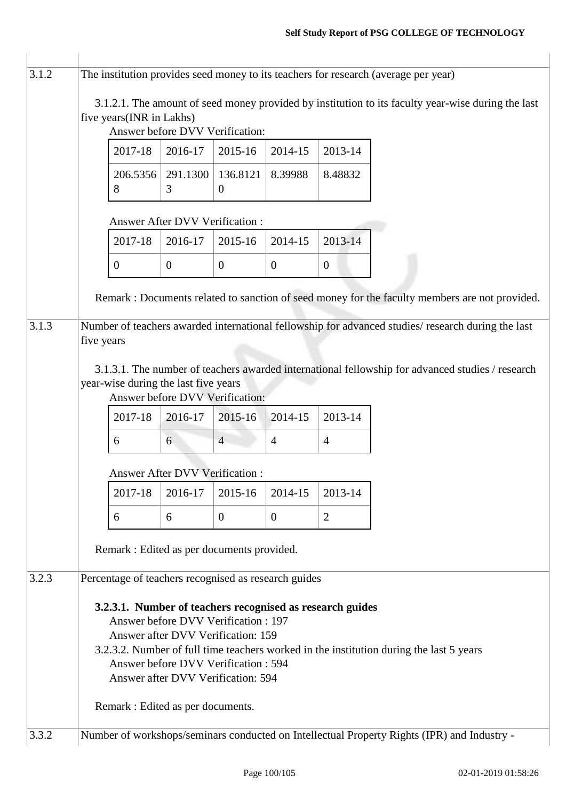| 3.1.2 | The institution provides seed money to its teachers for research (average per year)                                                                                                                                                                                                                             |                                       |                |                            |                |                  |                                                                                                   |  |  |  |  |
|-------|-----------------------------------------------------------------------------------------------------------------------------------------------------------------------------------------------------------------------------------------------------------------------------------------------------------------|---------------------------------------|----------------|----------------------------|----------------|------------------|---------------------------------------------------------------------------------------------------|--|--|--|--|
|       | 3.1.2.1. The amount of seed money provided by institution to its faculty year-wise during the last<br>five years(INR in Lakhs)<br>Answer before DVV Verification:                                                                                                                                               |                                       |                |                            |                |                  |                                                                                                   |  |  |  |  |
|       |                                                                                                                                                                                                                                                                                                                 | 2017-18                               | 2016-17        | 2015-16                    | 2014-15        | 2013-14          |                                                                                                   |  |  |  |  |
|       |                                                                                                                                                                                                                                                                                                                 | 206.5356<br>8                         | 291.1300<br>3  | 136.8121<br>$\overline{0}$ | 8.39988        | 8.48832          |                                                                                                   |  |  |  |  |
|       |                                                                                                                                                                                                                                                                                                                 | <b>Answer After DVV Verification:</b> |                |                            |                |                  |                                                                                                   |  |  |  |  |
|       |                                                                                                                                                                                                                                                                                                                 | 2017-18                               | 2016-17        | 2015-16                    | 2014-15        | 2013-14          |                                                                                                   |  |  |  |  |
|       |                                                                                                                                                                                                                                                                                                                 | $\boldsymbol{0}$                      | $\overline{0}$ | $\overline{0}$             | $\overline{0}$ | $\boldsymbol{0}$ |                                                                                                   |  |  |  |  |
|       |                                                                                                                                                                                                                                                                                                                 |                                       |                |                            |                |                  | Remark : Documents related to sanction of seed money for the faculty members are not provided.    |  |  |  |  |
| 3.1.3 | five years                                                                                                                                                                                                                                                                                                      |                                       |                |                            |                |                  | Number of teachers awarded international fellowship for advanced studies/research during the last |  |  |  |  |
|       | 3.1.3.1. The number of teachers awarded international fellowship for advanced studies / research<br>year-wise during the last five years<br>Answer before DVV Verification:                                                                                                                                     |                                       |                |                            |                |                  |                                                                                                   |  |  |  |  |
|       |                                                                                                                                                                                                                                                                                                                 | 2017-18                               | 2016-17        | 2015-16                    | 2014-15        | 2013-14          |                                                                                                   |  |  |  |  |
|       |                                                                                                                                                                                                                                                                                                                 | 6                                     | 6              | $\overline{4}$             | $\overline{4}$ | $\overline{4}$   |                                                                                                   |  |  |  |  |
|       |                                                                                                                                                                                                                                                                                                                 | Answer After DVV Verification :       |                |                            |                |                  |                                                                                                   |  |  |  |  |
|       |                                                                                                                                                                                                                                                                                                                 | 2017-18                               | 2016-17        | 2015-16                    | 2014-15        | 2013-14          |                                                                                                   |  |  |  |  |
|       |                                                                                                                                                                                                                                                                                                                 | 6                                     | 6              | $\theta$                   | $\overline{0}$ | $\overline{2}$   |                                                                                                   |  |  |  |  |
|       | Remark : Edited as per documents provided.                                                                                                                                                                                                                                                                      |                                       |                |                            |                |                  |                                                                                                   |  |  |  |  |
| 3.2.3 | Percentage of teachers recognised as research guides                                                                                                                                                                                                                                                            |                                       |                |                            |                |                  |                                                                                                   |  |  |  |  |
|       | 3.2.3.1. Number of teachers recognised as research guides<br>Answer before DVV Verification : 197<br>Answer after DVV Verification: 159<br>3.2.3.2. Number of full time teachers worked in the institution during the last 5 years<br>Answer before DVV Verification: 594<br>Answer after DVV Verification: 594 |                                       |                |                            |                |                  |                                                                                                   |  |  |  |  |
|       |                                                                                                                                                                                                                                                                                                                 | Remark : Edited as per documents.     |                |                            |                |                  |                                                                                                   |  |  |  |  |
| 3.3.2 |                                                                                                                                                                                                                                                                                                                 |                                       |                |                            |                |                  | Number of workshops/seminars conducted on Intellectual Property Rights (IPR) and Industry -       |  |  |  |  |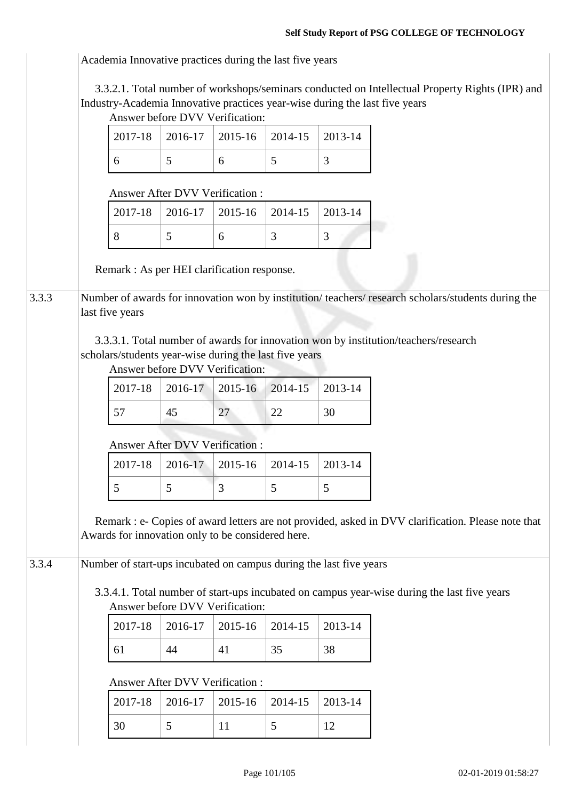Academia Innovative practices during the last five years

3.3.2.1. Total number of workshops/seminars conducted on Intellectual Property Rights (IPR) and Industry-Academia Innovative practices year-wise during the last five years

Answer before DVV Verification:

|  | 2017-18                               | 2016-17                                                                                                                                                                                              | 2015-16 | 2014-15 | 2013-14        |  |  |  |  |  |
|--|---------------------------------------|------------------------------------------------------------------------------------------------------------------------------------------------------------------------------------------------------|---------|---------|----------------|--|--|--|--|--|
|  | 6                                     | 5                                                                                                                                                                                                    | 6       | 5       | $\overline{3}$ |  |  |  |  |  |
|  |                                       | <b>Answer After DVV Verification:</b>                                                                                                                                                                |         |         |                |  |  |  |  |  |
|  | 2017-18                               | 2016-17                                                                                                                                                                                              | 2015-16 | 2014-15 | 2013-14        |  |  |  |  |  |
|  | 8                                     | 5                                                                                                                                                                                                    | 6       | 3       | 3              |  |  |  |  |  |
|  |                                       | Remark : As per HEI clarification response.                                                                                                                                                          |         |         |                |  |  |  |  |  |
|  |                                       | Number of awards for innovation won by institution/teachers/research scholars/students during the                                                                                                    |         |         |                |  |  |  |  |  |
|  | last five years                       |                                                                                                                                                                                                      |         |         |                |  |  |  |  |  |
|  |                                       | 3.3.3.1. Total number of awards for innovation won by institution/teachers/research<br>scholars/students year-wise during the last five years<br>Answer before DVV Verification:                     |         |         |                |  |  |  |  |  |
|  | 2017-18                               | 2016-17                                                                                                                                                                                              | 2015-16 | 2014-15 | 2013-14        |  |  |  |  |  |
|  | 57                                    | 45                                                                                                                                                                                                   | 27      | 22      | 30             |  |  |  |  |  |
|  | <b>Answer After DVV Verification:</b> |                                                                                                                                                                                                      |         |         |                |  |  |  |  |  |
|  |                                       |                                                                                                                                                                                                      |         |         |                |  |  |  |  |  |
|  | 2017-18                               | 2016-17                                                                                                                                                                                              | 2015-16 | 2014-15 | 2013-14        |  |  |  |  |  |
|  | 5                                     | 5                                                                                                                                                                                                    | 3       | 5       | 5              |  |  |  |  |  |
|  |                                       | Remark : e- Copies of award letters are not provided, asked in DVV clarification. Please note that<br>Awards for innovation only to be considered here.                                              |         |         |                |  |  |  |  |  |
|  |                                       | Number of start-ups incubated on campus during the last five years<br>3.3.4.1. Total number of start-ups incubated on campus year-wise during the last five years<br>Answer before DVV Verification: |         |         |                |  |  |  |  |  |
|  | 2017-18                               | 2016-17                                                                                                                                                                                              | 2015-16 | 2014-15 | 2013-14        |  |  |  |  |  |
|  | 61                                    | 44                                                                                                                                                                                                   | 41      | 35      | 38             |  |  |  |  |  |
|  |                                       | Answer After DVV Verification:                                                                                                                                                                       |         |         |                |  |  |  |  |  |
|  | 2017-18                               | 2016-17                                                                                                                                                                                              | 2015-16 | 2014-15 | 2013-14        |  |  |  |  |  |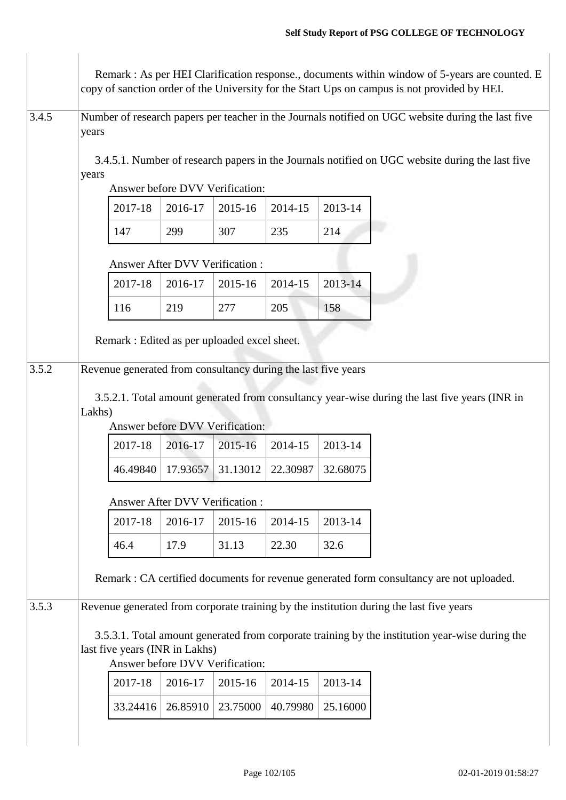|       | Remark : As per HEI Clarification response., documents within window of 5-years are counted. E<br>copy of sanction order of the University for the Start Ups on campus is not provided by HEI. |                                                               |          |                                 |          |          |                                                                                                    |  |  |
|-------|------------------------------------------------------------------------------------------------------------------------------------------------------------------------------------------------|---------------------------------------------------------------|----------|---------------------------------|----------|----------|----------------------------------------------------------------------------------------------------|--|--|
| 3.4.5 | years                                                                                                                                                                                          |                                                               |          |                                 |          |          | Number of research papers per teacher in the Journals notified on UGC website during the last five |  |  |
|       | 3.4.5.1. Number of research papers in the Journals notified on UGC website during the last five<br>years<br>Answer before DVV Verification:                                                    |                                                               |          |                                 |          |          |                                                                                                    |  |  |
|       |                                                                                                                                                                                                | 2017-18                                                       | 2016-17  | 2015-16                         | 2014-15  | 2013-14  |                                                                                                    |  |  |
|       |                                                                                                                                                                                                | 147                                                           | 299      | 307                             | 235      | 214      |                                                                                                    |  |  |
|       |                                                                                                                                                                                                | Answer After DVV Verification:                                |          |                                 |          |          |                                                                                                    |  |  |
|       |                                                                                                                                                                                                | 2017-18                                                       | 2016-17  | 2015-16                         | 2014-15  | 2013-14  |                                                                                                    |  |  |
|       |                                                                                                                                                                                                | 116                                                           | 219      | 277                             | 205      | 158      |                                                                                                    |  |  |
|       |                                                                                                                                                                                                | Remark : Edited as per uploaded excel sheet.                  |          |                                 |          |          |                                                                                                    |  |  |
| 3.5.2 |                                                                                                                                                                                                | Revenue generated from consultancy during the last five years |          |                                 |          |          |                                                                                                    |  |  |
|       | 3.5.2.1. Total amount generated from consultancy year-wise during the last five years (INR in<br>Lakhs)<br>Answer before DVV Verification:                                                     |                                                               |          |                                 |          |          |                                                                                                    |  |  |
|       |                                                                                                                                                                                                | 2017-18                                                       | 2016-17  | 2015-16                         | 2014-15  | 2013-14  |                                                                                                    |  |  |
|       |                                                                                                                                                                                                | 46.49840                                                      | 17.93657 | 31.13012                        | 22.30987 | 32.68075 |                                                                                                    |  |  |
|       | <b>Answer After DVV Verification:</b>                                                                                                                                                          |                                                               |          |                                 |          |          |                                                                                                    |  |  |
|       |                                                                                                                                                                                                | 2017-18                                                       | 2016-17  | 2015-16                         | 2014-15  | 2013-14  |                                                                                                    |  |  |
|       |                                                                                                                                                                                                | 46.4                                                          | 17.9     | 31.13                           | 22.30    | 32.6     |                                                                                                    |  |  |
|       | Remark : CA certified documents for revenue generated form consultancy are not uploaded.                                                                                                       |                                                               |          |                                 |          |          |                                                                                                    |  |  |
| 3.5.3 |                                                                                                                                                                                                |                                                               |          |                                 |          |          | Revenue generated from corporate training by the institution during the last five years            |  |  |
|       |                                                                                                                                                                                                | last five years (INR in Lakhs)                                |          | Answer before DVV Verification: |          |          | 3.5.3.1. Total amount generated from corporate training by the institution year-wise during the    |  |  |
|       |                                                                                                                                                                                                | 2017-18                                                       | 2016-17  | 2015-16                         | 2014-15  | 2013-14  |                                                                                                    |  |  |
|       |                                                                                                                                                                                                | 33.24416                                                      | 26.85910 | 23.75000                        | 40.79980 | 25.16000 |                                                                                                    |  |  |
|       |                                                                                                                                                                                                |                                                               |          |                                 |          |          |                                                                                                    |  |  |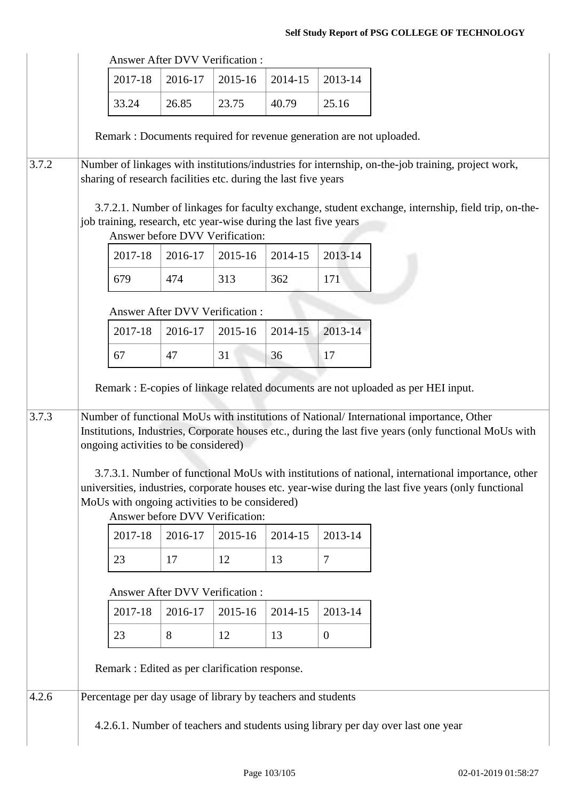|       | <b>Answer After DVV Verification:</b>          |                                                                                                                                                   |                                |                                       |         |                |                                                                                                                                                                                                                                                                                                                                                                                                                  |  |
|-------|------------------------------------------------|---------------------------------------------------------------------------------------------------------------------------------------------------|--------------------------------|---------------------------------------|---------|----------------|------------------------------------------------------------------------------------------------------------------------------------------------------------------------------------------------------------------------------------------------------------------------------------------------------------------------------------------------------------------------------------------------------------------|--|
|       |                                                | 2017-18                                                                                                                                           | 2016-17                        | 2015-16                               | 2014-15 | 2013-14        |                                                                                                                                                                                                                                                                                                                                                                                                                  |  |
|       |                                                | 33.24                                                                                                                                             | 26.85                          | 23.75                                 | 40.79   | 25.16          |                                                                                                                                                                                                                                                                                                                                                                                                                  |  |
|       |                                                | Remark : Documents required for revenue generation are not uploaded.                                                                              |                                |                                       |         |                |                                                                                                                                                                                                                                                                                                                                                                                                                  |  |
|       |                                                |                                                                                                                                                   |                                |                                       |         |                |                                                                                                                                                                                                                                                                                                                                                                                                                  |  |
| 3.7.2 |                                                | sharing of research facilities etc. during the last five years                                                                                    |                                |                                       |         |                | Number of linkages with institutions/industries for internship, on-the-job training, project work,                                                                                                                                                                                                                                                                                                               |  |
|       |                                                |                                                                                                                                                   |                                |                                       |         |                | 3.7.2.1. Number of linkages for faculty exchange, student exchange, internship, field trip, on-the-                                                                                                                                                                                                                                                                                                              |  |
|       |                                                | job training, research, etc year-wise during the last five years                                                                                  |                                | Answer before DVV Verification:       |         |                |                                                                                                                                                                                                                                                                                                                                                                                                                  |  |
|       |                                                | 2017-18                                                                                                                                           | 2016-17                        | 2015-16                               | 2014-15 | 2013-14        |                                                                                                                                                                                                                                                                                                                                                                                                                  |  |
|       |                                                | 679                                                                                                                                               | 474                            | 313                                   | 362     | 171            |                                                                                                                                                                                                                                                                                                                                                                                                                  |  |
|       |                                                |                                                                                                                                                   |                                | <b>Answer After DVV Verification:</b> |         |                |                                                                                                                                                                                                                                                                                                                                                                                                                  |  |
|       |                                                | 2017-18                                                                                                                                           | 2016-17                        | 2015-16                               | 2014-15 | 2013-14        |                                                                                                                                                                                                                                                                                                                                                                                                                  |  |
|       |                                                | 67                                                                                                                                                | 47                             | 31                                    | 36      | 17             |                                                                                                                                                                                                                                                                                                                                                                                                                  |  |
|       |                                                |                                                                                                                                                   |                                |                                       |         |                | Remark : E-copies of linkage related documents are not uploaded as per HEI input.                                                                                                                                                                                                                                                                                                                                |  |
| 3.7.3 |                                                | ongoing activities to be considered)<br>MoUs with ongoing activities to be considered)                                                            |                                | Answer before DVV Verification:       |         |                | Number of functional MoUs with institutions of National/ International importance, Other<br>Institutions, Industries, Corporate houses etc., during the last five years (only functional MoUs with<br>3.7.3.1. Number of functional MoUs with institutions of national, international importance, other<br>universities, industries, corporate houses etc. year-wise during the last five years (only functional |  |
|       |                                                | 2017-18                                                                                                                                           | 2016-17                        | 2015-16                               | 2014-15 | 2013-14        |                                                                                                                                                                                                                                                                                                                                                                                                                  |  |
|       |                                                | 23                                                                                                                                                | 17                             | 12                                    | 13      | $\overline{7}$ |                                                                                                                                                                                                                                                                                                                                                                                                                  |  |
|       |                                                |                                                                                                                                                   |                                |                                       |         |                |                                                                                                                                                                                                                                                                                                                                                                                                                  |  |
|       |                                                |                                                                                                                                                   | Answer After DVV Verification: |                                       |         |                |                                                                                                                                                                                                                                                                                                                                                                                                                  |  |
|       |                                                | 2017-18                                                                                                                                           | 2016-17                        | 2015-16                               | 2014-15 | 2013-14        |                                                                                                                                                                                                                                                                                                                                                                                                                  |  |
|       |                                                | 23                                                                                                                                                | 8                              | 12                                    | 13      | $\overline{0}$ |                                                                                                                                                                                                                                                                                                                                                                                                                  |  |
|       | Remark : Edited as per clarification response. |                                                                                                                                                   |                                |                                       |         |                |                                                                                                                                                                                                                                                                                                                                                                                                                  |  |
| 4.2.6 |                                                |                                                                                                                                                   |                                |                                       |         |                |                                                                                                                                                                                                                                                                                                                                                                                                                  |  |
|       |                                                | Percentage per day usage of library by teachers and students<br>4.2.6.1. Number of teachers and students using library per day over last one year |                                |                                       |         |                |                                                                                                                                                                                                                                                                                                                                                                                                                  |  |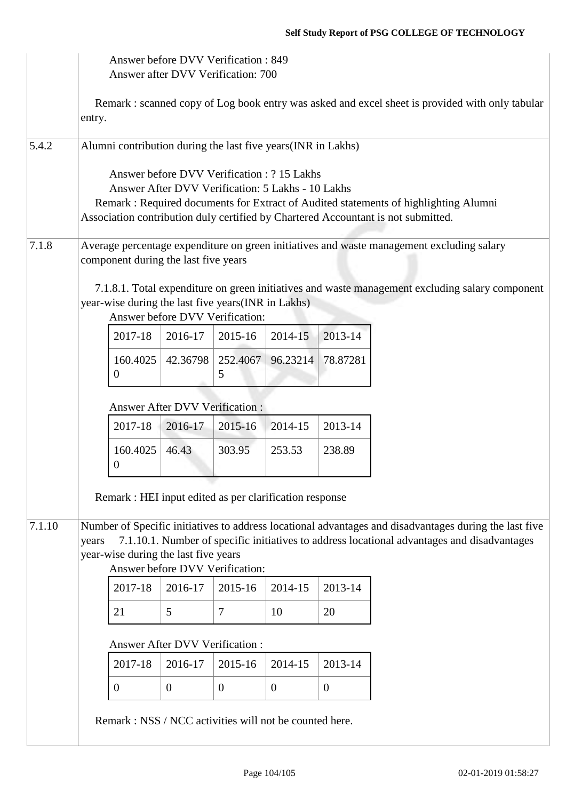|        | Answer before DVV Verification: 849<br>Answer after DVV Verification: 700                                                                                                                                                                                                                 |                                                    |                                       |                                 |          |                |                                                                                                 |  |  |
|--------|-------------------------------------------------------------------------------------------------------------------------------------------------------------------------------------------------------------------------------------------------------------------------------------------|----------------------------------------------------|---------------------------------------|---------------------------------|----------|----------------|-------------------------------------------------------------------------------------------------|--|--|
|        | Remark: scanned copy of Log book entry was asked and excel sheet is provided with only tabular<br>entry.                                                                                                                                                                                  |                                                    |                                       |                                 |          |                |                                                                                                 |  |  |
| 5.4.2  | Alumni contribution during the last five years (INR in Lakhs)                                                                                                                                                                                                                             |                                                    |                                       |                                 |          |                |                                                                                                 |  |  |
|        | Answer before DVV Verification: ? 15 Lakhs<br>Answer After DVV Verification: 5 Lakhs - 10 Lakhs<br>Remark: Required documents for Extract of Audited statements of highlighting Alumni<br>Association contribution duly certified by Chartered Accountant is not submitted.               |                                                    |                                       |                                 |          |                |                                                                                                 |  |  |
| 7.1.8  |                                                                                                                                                                                                                                                                                           | component during the last five years               |                                       |                                 |          |                | Average percentage expenditure on green initiatives and waste management excluding salary       |  |  |
|        |                                                                                                                                                                                                                                                                                           | year-wise during the last five years(INR in Lakhs) |                                       | Answer before DVV Verification: |          |                | 7.1.8.1. Total expenditure on green initiatives and waste management excluding salary component |  |  |
|        |                                                                                                                                                                                                                                                                                           | 2017-18                                            | 2016-17                               | 2015-16                         | 2014-15  | 2013-14        |                                                                                                 |  |  |
|        |                                                                                                                                                                                                                                                                                           | 160.4025<br>$\Omega$                               | 42.36798                              | 252.4067<br>5                   | 96.23214 | 78.87281       |                                                                                                 |  |  |
|        |                                                                                                                                                                                                                                                                                           |                                                    | Answer After DVV Verification:        |                                 |          |                |                                                                                                 |  |  |
|        |                                                                                                                                                                                                                                                                                           | 2017-18                                            | 2016-17                               | 2015-16                         | 2014-15  | 2013-14        |                                                                                                 |  |  |
|        |                                                                                                                                                                                                                                                                                           | 160.4025<br>$\theta$                               | 46.43                                 | 303.95                          | 253.53   | 238.89         |                                                                                                 |  |  |
|        | Remark : HEI input edited as per clarification response                                                                                                                                                                                                                                   |                                                    |                                       |                                 |          |                |                                                                                                 |  |  |
| 7.1.10 | Number of Specific initiatives to address locational advantages and disadvantages during the last five<br>7.1.10.1. Number of specific initiatives to address locational advantages and disadvantages<br>years<br>year-wise during the last five years<br>Answer before DVV Verification: |                                                    |                                       |                                 |          |                |                                                                                                 |  |  |
|        |                                                                                                                                                                                                                                                                                           | 2017-18                                            | 2016-17                               | 2015-16                         | 2014-15  | 2013-14        |                                                                                                 |  |  |
|        |                                                                                                                                                                                                                                                                                           | 21                                                 | 5                                     | 7                               | 10       | 20             |                                                                                                 |  |  |
|        |                                                                                                                                                                                                                                                                                           |                                                    | <b>Answer After DVV Verification:</b> |                                 |          |                |                                                                                                 |  |  |
|        |                                                                                                                                                                                                                                                                                           | 2017-18                                            | 2016-17                               | 2015-16                         | 2014-15  | 2013-14        |                                                                                                 |  |  |
|        |                                                                                                                                                                                                                                                                                           | $\overline{0}$                                     | $\overline{0}$                        | $\overline{0}$                  | $\theta$ | $\overline{0}$ |                                                                                                 |  |  |
|        | Remark: NSS / NCC activities will not be counted here.                                                                                                                                                                                                                                    |                                                    |                                       |                                 |          |                |                                                                                                 |  |  |